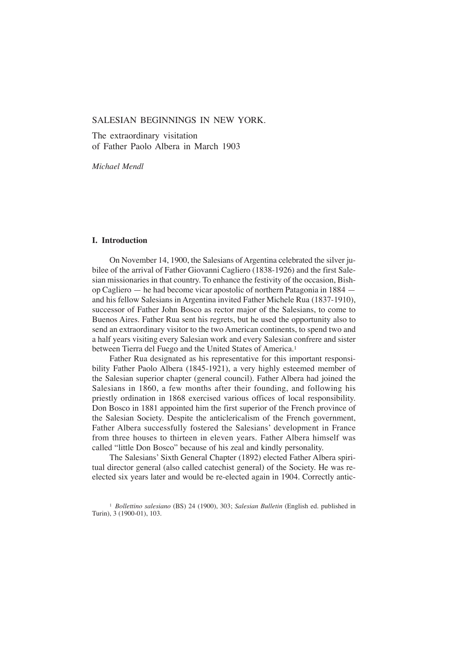# SALESIAN BEGINNINGS IN NEW YORK.

The extraordinary visitation of Father Paolo Albera in March 1903

*Michael Mendl*

# **I. Introduction**

On November 14, 1900, the Salesians of Argentina celebrated the silver jubilee of the arrival of Father Giovanni Cagliero (1838-1926) and the first Salesian missionaries in that country. To enhance the festivity of the occasion, Bishop Cagliero — he had become vicar apostolic of northern Patagonia in 1884 and his fellow Salesians in Argentina invited Father Michele Rua (1837-1910), successor of Father John Bosco as rector major of the Salesians, to come to Buenos Aires. Father Rua sent his regrets, but he used the opportunity also to send an extraordinary visitor to the two American continents, to spend two and a half years visiting every Salesian work and every Salesian confrere and sister between Tierra del Fuego and the United States of America.<sup>1</sup>

Father Rua designated as his representative for this important responsibility Father Paolo Albera (1845-1921), a very highly esteemed member of the Salesian superior chapter (general council). Father Albera had joined the Salesians in 1860, a few months after their founding, and following his priestly ordination in 1868 exercised various offices of local responsibility. Don Bosco in 1881 appointed him the first superior of the French province of the Salesian Society. Despite the anticlericalism of the French government, Father Albera successfully fostered the Salesians' development in France from three houses to thirteen in eleven years. Father Albera himself was called "little Don Bosco" because of his zeal and kindly personality.

The Salesians' Sixth General Chapter (1892) elected Father Albera spiritual director general (also called catechist general) of the Society. He was reelected six years later and would be re-elected again in 1904. Correctly antic-

<sup>1</sup> *Bollettino salesiano* (BS) 24 (1900), 303; *Salesian Bulletin* (English ed. published in Turin), 3 (1900-01), 103.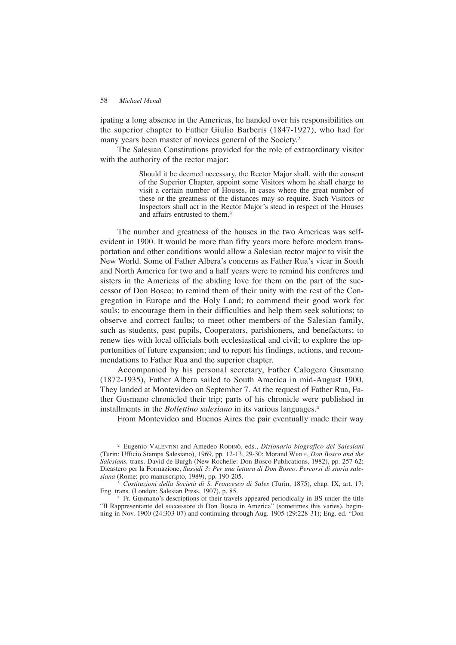ipating a long absence in the Americas, he handed over his responsibilities on the superior chapter to Father Giulio Barberis (1847-1927), who had for many years been master of novices general of the Society.2

The Salesian Constitutions provided for the role of extraordinary visitor with the authority of the rector major:

> Should it be deemed necessary, the Rector Major shall, with the consent of the Superior Chapter, appoint some Visitors whom he shall charge to visit a certain number of Houses, in cases where the great number of these or the greatness of the distances may so require. Such Visitors or Inspectors shall act in the Rector Major's stead in respect of the Houses and affairs entrusted to them.3

The number and greatness of the houses in the two Americas was selfevident in 1900. It would be more than fifty years more before modern transportation and other conditions would allow a Salesian rector major to visit the New World. Some of Father Albera's concerns as Father Rua's vicar in South and North America for two and a half years were to remind his confreres and sisters in the Americas of the abiding love for them on the part of the successor of Don Bosco; to remind them of their unity with the rest of the Congregation in Europe and the Holy Land; to commend their good work for souls; to encourage them in their difficulties and help them seek solutions; to observe and correct faults; to meet other members of the Salesian family, such as students, past pupils, Cooperators, parishioners, and benefactors; to renew ties with local officials both ecclesiastical and civil; to explore the opportunities of future expansion; and to report his findings, actions, and recommendations to Father Rua and the superior chapter.

Accompanied by his personal secretary, Father Calogero Gusmano (1872-1935), Father Albera sailed to South America in mid-August 1900. They landed at Montevideo on September 7. At the request of Father Rua, Father Gusmano chronicled their trip; parts of his chronicle were published in installments in the *Bollettino salesiano* in its various languages.4

From Montevideo and Buenos Aires the pair eventually made their way

<sup>3</sup> *Costituzioni della Società di S. Francesco di Sales* (Turin, 1875), chap. IX, art. 17; Eng. trans. (London: Salesian Press, 1907), p. 85.

<sup>4</sup> Fr. Gusmano's descriptions of their travels appeared periodically in BS under the title "Il Rappresentante del successore di Don Bosco in America" (sometimes this varies), beginning in Nov. 1900 (24:303-07) and continuing through Aug. 1905 (29:228-31); Eng. ed. "Don

<sup>2</sup> Eugenio VALENTINI and Amedeo RODINÒ, eds., *Dizionario biografico dei Salesiani* (Turin: Ufficio Stampa Salesiano), 1969, pp. 12-13, 29-30; Morand WIRTH, *Don Bosco and the Salesians,* trans. David de Burgh (New Rochelle: Don Bosco Publications, 1982), pp. 257-62; Dicastero per la Formazione, *Sussidi 3: Per una lettura di Don Bosco. Percorsi di storia salesiana* (Rome: pro manuscripto, 1989), pp. 190-205.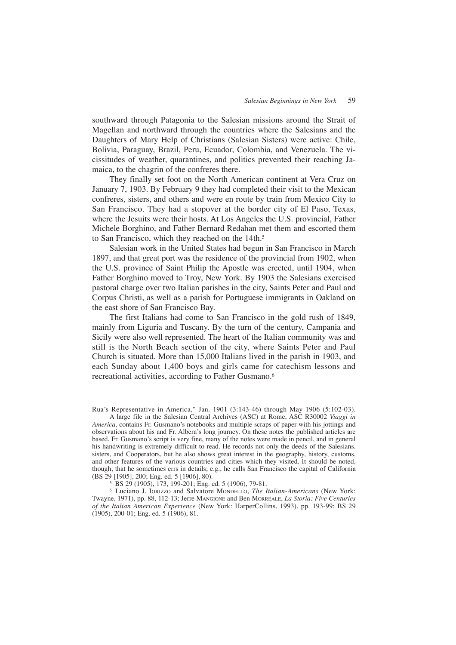southward through Patagonia to the Salesian missions around the Strait of Magellan and northward through the countries where the Salesians and the Daughters of Mary Help of Christians (Salesian Sisters) were active: Chile, Bolivia, Paraguay, Brazil, Peru, Ecuador, Colombia, and Venezuela. The vicissitudes of weather, quarantines, and politics prevented their reaching Jamaica, to the chagrin of the confreres there.

They finally set foot on the North American continent at Vera Cruz on January 7, 1903. By February 9 they had completed their visit to the Mexican confreres, sisters, and others and were en route by train from Mexico City to San Francisco. They had a stopover at the border city of El Paso, Texas, where the Jesuits were their hosts. At Los Angeles the U.S. provincial, Father Michele Borghino, and Father Bernard Redahan met them and escorted them to San Francisco, which they reached on the 14th.<sup>5</sup>

Salesian work in the United States had begun in San Francisco in March 1897, and that great port was the residence of the provincial from 1902, when the U.S. province of Saint Philip the Apostle was erected, until 1904, when Father Borghino moved to Troy, New York. By 1903 the Salesians exercised pastoral charge over two Italian parishes in the city, Saints Peter and Paul and Corpus Christi, as well as a parish for Portuguese immigrants in Oakland on the east shore of San Francisco Bay.

The first Italians had come to San Francisco in the gold rush of 1849, mainly from Liguria and Tuscany. By the turn of the century, Campania and Sicily were also well represented. The heart of the Italian community was and still is the North Beach section of the city, where Saints Peter and Paul Church is situated. More than 15,000 Italians lived in the parish in 1903, and each Sunday about 1,400 boys and girls came for catechism lessons and recreational activities, according to Father Gusmano.6

Rua's Representative in America," Jan. 1901 (3:143-46) through May 1906 (5:102-03).

A large file in the Salesian Central Archives (ASC) at Rome, ASC R30002 *Viaggi in America,* contains Fr. Gusmano's notebooks and multiple scraps of paper with his jottings and observations about his and Fr. Albera's long journey. On these notes the published articles are based. Fr. Gusmano's script is very fine, many of the notes were made in pencil, and in general his handwriting is extremely difficult to read. He records not only the deeds of the Salesians, sisters, and Cooperators, but he also shows great interest in the geography, history, customs, and other features of the various countries and cities which they visited. It should be noted, though, that he sometimes errs in details; e.g., he calls San Francisco the capital of California (BS 29 [1905], 200; Eng. ed. 5 [1906], 80).

<sup>5</sup> BS 29 (1905), 173, 199-201; Eng. ed. 5 (1906), 79-81.

<sup>6</sup> Luciano J. IORIZZO and Salvatore MONDELLO, *The Italian-Americans* (New York: Twayne, 1971), pp. 88, 112-13; Jerre MANGIONE and Ben MORREALE, *La Storia: Five Centuries of the Italian American Experience* (New York: HarperCollins, 1993), pp. 193-99; BS 29 (1905), 200-01; Eng. ed. 5 (1906), 81.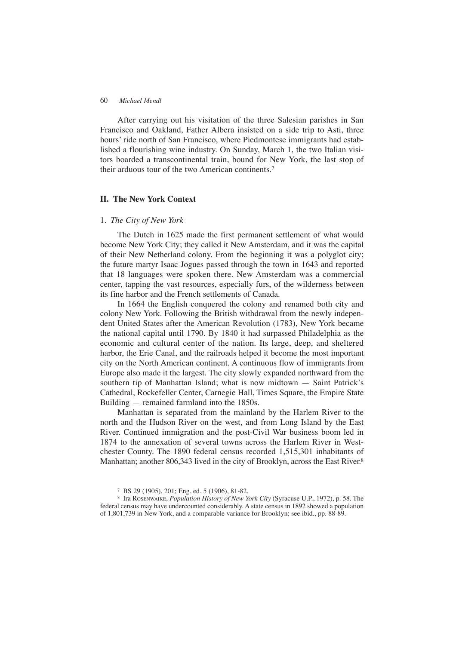## 60 *Michael Mendl*

After carrying out his visitation of the three Salesian parishes in San Francisco and Oakland, Father Albera insisted on a side trip to Asti, three hours' ride north of San Francisco, where Piedmontese immigrants had established a flourishing wine industry. On Sunday, March 1, the two Italian visitors boarded a transcontinental train, bound for New York, the last stop of their arduous tour of the two American continents.7

# **II. The New York Context**

## 1. *The City of New York*

The Dutch in 1625 made the first permanent settlement of what would become New York City; they called it New Amsterdam, and it was the capital of their New Netherland colony. From the beginning it was a polyglot city; the future martyr Isaac Jogues passed through the town in 1643 and reported that 18 languages were spoken there. New Amsterdam was a commercial center, tapping the vast resources, especially furs, of the wilderness between its fine harbor and the French settlements of Canada.

In 1664 the English conquered the colony and renamed both city and colony New York. Following the British withdrawal from the newly independent United States after the American Revolution (1783), New York became the national capital until 1790. By 1840 it had surpassed Philadelphia as the economic and cultural center of the nation. Its large, deep, and sheltered harbor, the Erie Canal, and the railroads helped it become the most important city on the North American continent. A continuous flow of immigrants from Europe also made it the largest. The city slowly expanded northward from the southern tip of Manhattan Island; what is now midtown — Saint Patrick's Cathedral, Rockefeller Center, Carnegie Hall, Times Square, the Empire State Building — remained farmland into the 1850s.

Manhattan is separated from the mainland by the Harlem River to the north and the Hudson River on the west, and from Long Island by the East River. Continued immigration and the post-Civil War business boom led in 1874 to the annexation of several towns across the Harlem River in Westchester County. The 1890 federal census recorded 1,515,301 inhabitants of Manhattan; another 806,343 lived in the city of Brooklyn, across the East River.<sup>8</sup>

<sup>7</sup> BS 29 (1905), 201; Eng. ed. 5 (1906), 81-82.

<sup>8</sup> Ira ROSENWAIKE, *Population History of New York City* (Syracuse U.P., 1972), p. 58. The federal census may have undercounted considerably. A state census in 1892 showed a population of 1,801,739 in New York, and a comparable variance for Brooklyn; see ibid., pp. 88-89.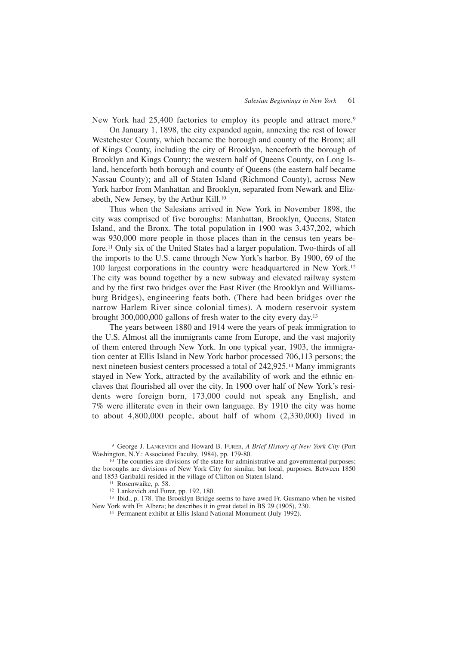New York had 25,400 factories to employ its people and attract more.<sup>9</sup>

On January 1, 1898, the city expanded again, annexing the rest of lower Westchester County, which became the borough and county of the Bronx; all of Kings County, including the city of Brooklyn, henceforth the borough of Brooklyn and Kings County; the western half of Queens County, on Long Island, henceforth both borough and county of Queens (the eastern half became Nassau County); and all of Staten Island (Richmond County), across New York harbor from Manhattan and Brooklyn, separated from Newark and Elizabeth, New Jersey, by the Arthur Kill.10

Thus when the Salesians arrived in New York in November 1898, the city was comprised of five boroughs: Manhattan, Brooklyn, Queens, Staten Island, and the Bronx. The total population in 1900 was 3,437,202, which was 930,000 more people in those places than in the census ten years before.11 Only six of the United States had a larger population. Two-thirds of all the imports to the U.S. came through New York's harbor. By 1900, 69 of the 100 largest corporations in the country were headquartered in New York.12 The city was bound together by a new subway and elevated railway system and by the first two bridges over the East River (the Brooklyn and Williamsburg Bridges), engineering feats both. (There had been bridges over the narrow Harlem River since colonial times). A modern reservoir system brought 300,000,000 gallons of fresh water to the city every day.13

The years between 1880 and 1914 were the years of peak immigration to the U.S. Almost all the immigrants came from Europe, and the vast majority of them entered through New York. In one typical year, 1903, the immigration center at Ellis Island in New York harbor processed 706,113 persons; the next nineteen busiest centers processed a total of 242,925.14 Many immigrants stayed in New York, attracted by the availability of work and the ethnic enclaves that flourished all over the city. In 1900 over half of New York's residents were foreign born, 173,000 could not speak any English, and 7% were illiterate even in their own language. By 1910 the city was home to about 4,800,000 people, about half of whom (2,330,000) lived in

<sup>9</sup> George J. LANKEVICH and Howard B. FURER, *A Brief History of New York City* (Port Washington, N.Y.: Associated Faculty, 1984), pp. 179-80.

 $10$  The counties are divisions of the state for administrative and governmental purposes; the boroughs are divisions of New York City for similar, but local, purposes. Between 1850 and 1853 Garibaldi resided in the village of Clifton on Staten Island.

<sup>11</sup> Rosenwaike, p. 58.<br><sup>12</sup> Lankevich and Furer, pp. 192, 180.

<sup>13</sup> Ibid., p. 178. The Brooklyn Bridge seems to have awed Fr. Gusmano when he visited New York with Fr. Albera; he describes it in great detail in BS 29 (1905), 230.

<sup>14</sup> Permanent exhibit at Ellis Island National Monument (July 1992).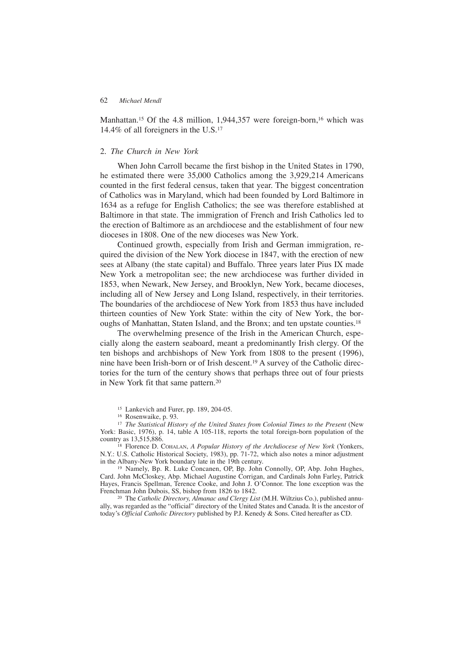Manhattan.<sup>15</sup> Of the 4.8 million, 1,944,357 were foreign-born,<sup>16</sup> which was 14.4% of all foreigners in the U.S.17

# 2. *The Church in New York*

When John Carroll became the first bishop in the United States in 1790, he estimated there were 35,000 Catholics among the 3,929,214 Americans counted in the first federal census, taken that year. The biggest concentration of Catholics was in Maryland, which had been founded by Lord Baltimore in 1634 as a refuge for English Catholics; the see was therefore established at Baltimore in that state. The immigration of French and Irish Catholics led to the erection of Baltimore as an archdiocese and the establishment of four new dioceses in 1808. One of the new dioceses was New York.

Continued growth, especially from Irish and German immigration, required the division of the New York diocese in 1847, with the erection of new sees at Albany (the state capital) and Buffalo. Three years later Pius IX made New York a metropolitan see; the new archdiocese was further divided in 1853, when Newark, New Jersey, and Brooklyn, New York, became dioceses, including all of New Jersey and Long Island, respectively, in their territories. The boundaries of the archdiocese of New York from 1853 thus have included thirteen counties of New York State: within the city of New York, the boroughs of Manhattan, Staten Island, and the Bronx; and ten upstate counties.18

The overwhelming presence of the Irish in the American Church, especially along the eastern seaboard, meant a predominantly Irish clergy. Of the ten bishops and archbishops of New York from 1808 to the present (1996), nine have been Irish-born or of Irish descent.19 A survey of the Catholic directories for the turn of the century shows that perhaps three out of four priests in New York fit that same pattern.<sup>20</sup>

<sup>15</sup> Lankevich and Furer, pp. 189, 204-05.

<sup>16</sup> Rosenwaike, p. 93.

<sup>17</sup> *The Statistical History of the United States from Colonial Times to the Present (New* York: Basic, 1976), p. 14, table A 105-118, reports the total foreign-born population of the country as 13,515,886.

<sup>18</sup> Florence D. COHALAN, *A Popular History of the Archdiocese of New York* (Yonkers, N.Y.: U.S. Catholic Historical Society, 1983), pp. 71-72, which also notes a minor adjustment in the Albany-New York boundary late in the 19th century.

<sup>19</sup> Namely, Bp. R. Luke Concanen, OP, Bp. John Connolly, OP, Abp. John Hughes, Card. John McCloskey, Abp. Michael Augustine Corrigan, and Cardinals John Farley, Patrick Hayes, Francis Spellman, Terence Cooke, and John J. O'Connor. The lone exception was the Frenchman John Dubois, SS, bishop from 1826 to 1842.

<sup>20</sup> The *Catholic Directory, Almanac and Clergy List* (M.H. Wiltzius Co.), published annually, was regarded as the "official" directory of the United States and Canada. It is the ancestor of today's *Official Catholic Directory* published by P.J. Kenedy & Sons. Cited hereafter as CD.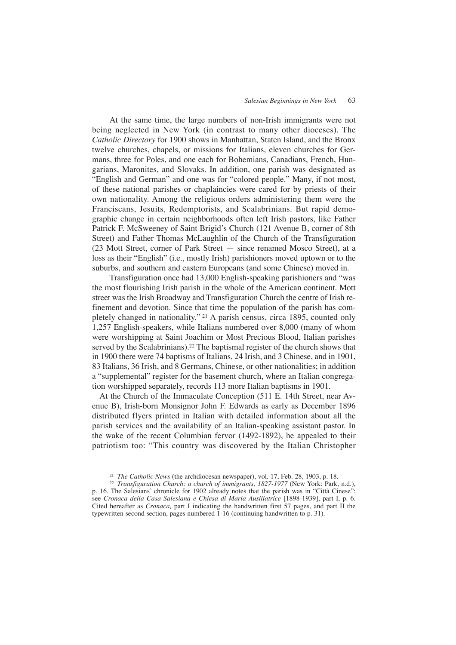At the same time, the large numbers of non-Irish immigrants were not being neglected in New York (in contrast to many other dioceses). The *Catholic Directory* for 1900 shows in Manhattan, Staten Island, and the Bronx twelve churches, chapels, or missions for Italians, eleven churches for Germans, three for Poles, and one each for Bohemians, Canadians, French, Hungarians, Maronites, and Slovaks. In addition, one parish was designated as "English and German" and one was for "colored people." Many, if not most, of these national parishes or chaplaincies were cared for by priests of their own nationality. Among the religious orders administering them were the Franciscans, Jesuits, Redemptorists, and Scalabrinians. But rapid demographic change in certain neighborhoods often left Irish pastors, like Father Patrick F. McSweeney of Saint Brigid's Church (121 Avenue B, corner of 8th Street) and Father Thomas McLaughlin of the Church of the Transfiguration (23 Mott Street, corner of Park Street — since renamed Mosco Street), at a loss as their "English" (i.e., mostly Irish) parishioners moved uptown or to the suburbs, and southern and eastern Europeans (and some Chinese) moved in.

Transfiguration once had 13,000 English-speaking parishioners and "was the most flourishing Irish parish in the whole of the American continent. Mott street was the Irish Broadway and Transfiguration Church the centre of Irish refinement and devotion. Since that time the population of the parish has completely changed in nationality." <sup>21</sup> A parish census, circa 1895, counted only 1,257 English-speakers, while Italians numbered over 8,000 (many of whom were worshipping at Saint Joachim or Most Precious Blood, Italian parishes served by the Scalabrinians).<sup>22</sup> The baptismal register of the church shows that in 1900 there were 74 baptisms of Italians, 24 Irish, and 3 Chinese, and in 1901, 83 Italians, 36 Irish, and 8 Germans, Chinese, or other nationalities; in addition a "supplemental" register for the basement church, where an Italian congregation worshipped separately, records 113 more Italian baptisms in 1901.

At the Church of the Immaculate Conception (511 E. 14th Street, near Avenue B), Irish-born Monsignor John F. Edwards as early as December 1896 distributed flyers printed in Italian with detailed information about all the parish services and the availability of an Italian-speaking assistant pastor. In the wake of the recent Columbian fervor (1492-1892), he appealed to their patriotism too: "This country was discovered by the Italian Christopher

<sup>21</sup> *The Catholic News* (the archdiocesan newspaper), vol. 17, Feb. 28, 1903, p. 18.

<sup>22</sup> *Transfiguration Church: a church of immigrants, 1827-1977* (New York: Park, n.d.), p. 16. The Salesians' chronicle for 1902 already notes that the parish was in "Città Cinese": see *Cronaca della Casa Salesiana e Chiesa di Maria Ausiliatrice* [1898-1939], part I, p. 6. Cited hereafter as *Cronaca,* part I indicating the handwritten first 57 pages, and part II the typewritten second section, pages numbered 1-16 (continuing handwritten to p. 31).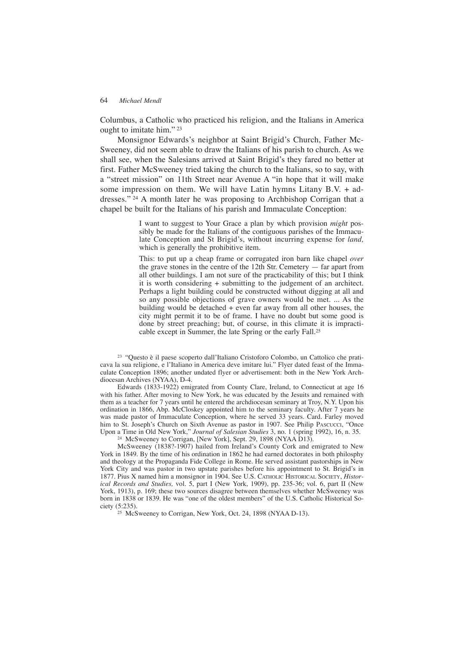Columbus, a Catholic who practiced his religion, and the Italians in America ought to imitate him." <sup>23</sup>

Monsignor Edwards's neighbor at Saint Brigid's Church, Father Mc-Sweeney, did not seem able to draw the Italians of his parish to church. As we shall see, when the Salesians arrived at Saint Brigid's they fared no better at first. Father McSweeney tried taking the church to the Italians, so to say, with a "street mission" on 11th Street near Avenue A "in hope that it will make some impression on them. We will have Latin hymns Litany B.V. + addresses." <sup>24</sup> A month later he was proposing to Archbishop Corrigan that a chapel be built for the Italians of his parish and Immaculate Conception:

> I want to suggest to Your Grace a plan by which provision *might* possibly be made for the Italians of the contiguous parishes of the Immaculate Conception and St Brigid's, without incurring expense for *land,* which is generally the prohibitive item.

> This: to put up a cheap frame or corrugated iron barn like chapel *over* the grave stones in the centre of the 12th Str. Cemetery — far apart from all other buildings. I am not sure of the practicability of this; but I think it is worth considering + submitting to the judgement of an architect. Perhaps a light building could be constructed without digging at all and so any possible objections of grave owners would be met. ... As the building would be detached  $+$  even far away from all other houses, the city might permit it to be of frame. I have no doubt but some good is done by street preaching; but, of course, in this climate it is impracticable except in Summer, the late Spring or the early Fall.25

<sup>23</sup> "Questo è il paese scoperto dall'Italiano Cristoforo Colombo, un Cattolico che praticava la sua religione, e l'Italiano in America deve imitare lui." Flyer dated feast of the Immaculate Conception 1896; another undated flyer or advertisement: both in the New York Archdiocesan Archives (NYAA), D-4.

Edwards (1833-1922) emigrated from County Clare, Ireland, to Connecticut at age 16 with his father. After moving to New York, he was educated by the Jesuits and remained with them as a teacher for 7 years until he entered the archdiocesan seminary at Troy, N.Y. Upon his ordination in 1866, Abp. McCloskey appointed him to the seminary faculty. After 7 years he was made pastor of Immaculate Conception, where he served 33 years. Card. Farley moved him to St. Joseph's Church on Sixth Avenue as pastor in 1907. See Philip Pascucci, "Once Upon a Time in Old New York," *Journal of Salesian Studies* 3, no. 1 (spring 1992), 16, n. 35.

<sup>24</sup> McSweeney to Corrigan, [New York], Sept. 29, 1898 (NYAA D13).

McSweeney (1838?-1907) hailed from Ireland's County Cork and emigrated to New York in 1849. By the time of his ordination in 1862 he had earned doctorates in both philosphy and theology at the Propaganda Fide College in Rome. He served assistant pastorships in New York City and was pastor in two upstate parishes before his appointment to St. Brigid's in 1877. Pius X named him a monsignor in 1904. See U.S. CATHOLIC HISTORICAL SOCIETY, *Historical Records and Studies,* vol. 5, part I (New York, 1909), pp. 235-36; vol. 6, part II (New York, 1913), p. 169; these two sources disagree between themselves whether McSweeney was born in 1838 or 1839. He was "one of the oldest members" of the U.S. Catholic Historical Society (5:235).

<sup>25</sup> McSweeney to Corrigan, New York, Oct. 24, 1898 (NYAA D-13).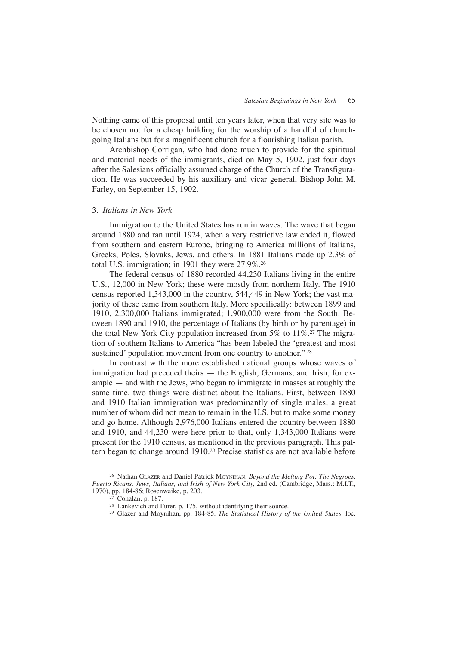Nothing came of this proposal until ten years later, when that very site was to be chosen not for a cheap building for the worship of a handful of churchgoing Italians but for a magnificent church for a flourishing Italian parish.

Archbishop Corrigan, who had done much to provide for the spiritual and material needs of the immigrants, died on May 5, 1902, just four days after the Salesians officially assumed charge of the Church of the Transfiguration. He was succeeded by his auxiliary and vicar general, Bishop John M. Farley, on September 15, 1902.

## 3. *Italians in New York*

Immigration to the United States has run in waves. The wave that began around 1880 and ran until 1924, when a very restrictive law ended it, flowed from southern and eastern Europe, bringing to America millions of Italians, Greeks, Poles, Slovaks, Jews, and others. In 1881 Italians made up 2.3% of total U.S. immigration; in 1901 they were 27.9%.26

The federal census of 1880 recorded 44,230 Italians living in the entire U.S., 12,000 in New York; these were mostly from northern Italy. The 1910 census reported 1,343,000 in the country, 544,449 in New York; the vast majority of these came from southern Italy. More specifically: between 1899 and 1910, 2,300,000 Italians immigrated; 1,900,000 were from the South. Between 1890 and 1910, the percentage of Italians (by birth or by parentage) in the total New York City population increased from 5% to 11%.27 The migration of southern Italians to America "has been labeled the 'greatest and most sustained' population movement from one country to another."<sup>28</sup>

In contrast with the more established national groups whose waves of immigration had preceded theirs — the English, Germans, and Irish, for example — and with the Jews, who began to immigrate in masses at roughly the same time, two things were distinct about the Italians. First, between 1880 and 1910 Italian immigration was predominantly of single males, a great number of whom did not mean to remain in the U.S. but to make some money and go home. Although 2,976,000 Italians entered the country between 1880 and 1910, and 44,230 were here prior to that, only 1,343,000 Italians were present for the 1910 census, as mentioned in the previous paragraph. This pattern began to change around 1910.29 Precise statistics are not available before

<sup>26</sup> Nathan GLAZER and Daniel Patrick MOYNIHAN, *Beyond the Melting Pot: The Negroes, Puerto Ricans, Jews, Italians, and Irish of New York City,* 2nd ed. (Cambridge, Mass.: M.I.T., 1970), pp. 184-86; Rosenwaike, p. 203.

<sup>27</sup> Cohalan, p. 187.

<sup>28</sup> Lankevich and Furer, p. 175, without identifying their source.

<sup>29</sup> Glazer and Moynihan, pp. 184-85. *The Statistical History of the United States,* loc.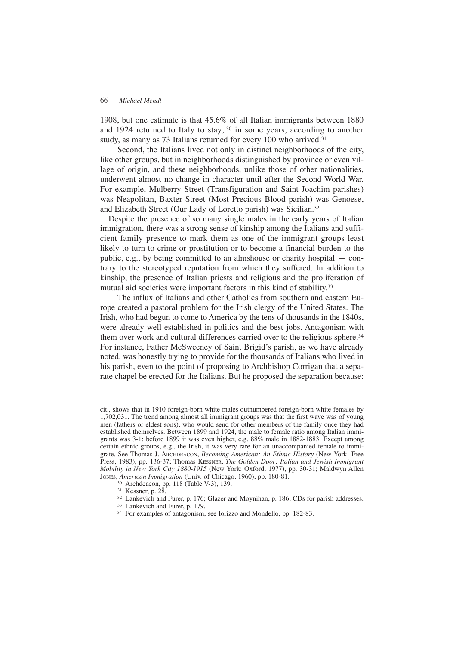1908, but one estimate is that 45.6% of all Italian immigrants between 1880 and 1924 returned to Italy to stay; <sup>30</sup> in some years, according to another study, as many as 73 Italians returned for every 100 who arrived.<sup>31</sup>

Second, the Italians lived not only in distinct neighborhoods of the city, like other groups, but in neighborhoods distinguished by province or even village of origin, and these neighborhoods, unlike those of other nationalities, underwent almost no change in character until after the Second World War. For example, Mulberry Street (Transfiguration and Saint Joachim parishes) was Neapolitan, Baxter Street (Most Precious Blood parish) was Genoese, and Elizabeth Street (Our Lady of Loretto parish) was Sicilian.32

Despite the presence of so many single males in the early years of Italian immigration, there was a strong sense of kinship among the Italians and sufficient family presence to mark them as one of the immigrant groups least likely to turn to crime or prostitution or to become a financial burden to the public, e.g., by being committed to an almshouse or charity hospital — contrary to the stereotyped reputation from which they suffered. In addition to kinship, the presence of Italian priests and religious and the proliferation of mutual aid societies were important factors in this kind of stability.<sup>33</sup>

The influx of Italians and other Catholics from southern and eastern Europe created a pastoral problem for the Irish clergy of the United States. The Irish, who had begun to come to America by the tens of thousands in the 1840s, were already well established in politics and the best jobs. Antagonism with them over work and cultural differences carried over to the religious sphere.<sup>34</sup> For instance, Father McSweeney of Saint Brigid's parish, as we have already noted, was honestly trying to provide for the thousands of Italians who lived in his parish, even to the point of proposing to Archbishop Corrigan that a separate chapel be erected for the Italians. But he proposed the separation because:

cit., shows that in 1910 foreign-born white males outnumbered foreign-born white females by 1,702,031. The trend among almost all immigrant groups was that the first wave was of young men (fathers or eldest sons), who would send for other members of the family once they had established themselves. Between 1899 and 1924, the male to female ratio among Italian immigrants was 3-1; before 1899 it was even higher, e.g. 88% male in 1882-1883. Except among certain ethnic groups, e.g., the Irish, it was very rare for an unaccompanied female to immigrate. See Thomas J. ARCHDEACON, *Becoming American: An Ethnic History* (New York: Free Press, 1983), pp. 136-37; Thomas KESSNER, *The Golden Door: Italian and Jewish Immigrant Mobility in New York City 1880-1915* (New York: Oxford, 1977), pp. 30-31; Maldwyn Allen JONES, *American Immigration* (Univ. of Chicago, 1960), pp. 180-81.

<sup>30</sup> Archdeacon, pp. 118 (Table V-3), 139.

<sup>31</sup> Kessner, p. 28.

<sup>32</sup> Lankevich and Furer, p. 176; Glazer and Moynihan, p. 186; CDs for parish addresses.

- <sup>33</sup> Lankevich and Furer, p. 179.
- <sup>34</sup> For examples of antagonism, see Iorizzo and Mondello, pp. 182-83.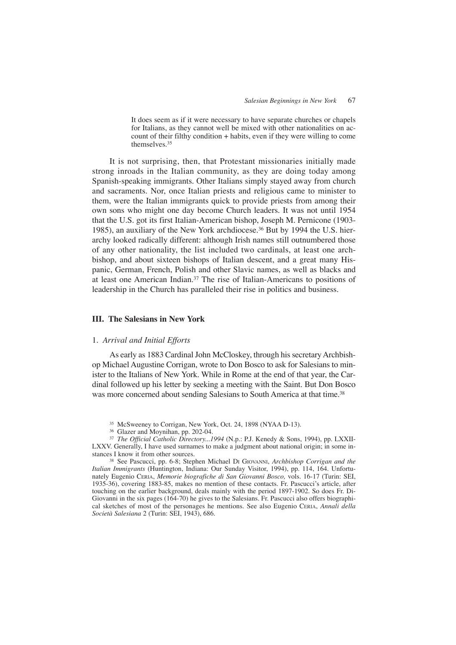It does seem as if it were necessary to have separate churches or chapels for Italians, as they cannot well be mixed with other nationalities on account of their filthy condition + habits, even if they were willing to come themselves.35

It is not surprising, then, that Protestant missionaries initially made strong inroads in the Italian community, as they are doing today among Spanish-speaking immigrants. Other Italians simply stayed away from church and sacraments. Nor, once Italian priests and religious came to minister to them, were the Italian immigrants quick to provide priests from among their own sons who might one day become Church leaders. It was not until 1954 that the U.S. got its first Italian-American bishop, Joseph M. Pernicone (1903- 1985), an auxiliary of the New York archdiocese.36 But by 1994 the U.S. hierarchy looked radically different: although Irish names still outnumbered those of any other nationality, the list included two cardinals, at least one archbishop, and about sixteen bishops of Italian descent, and a great many Hispanic, German, French, Polish and other Slavic names, as well as blacks and at least one American Indian.37 The rise of Italian-Americans to positions of leadership in the Church has paralleled their rise in politics and business.

# **III. The Salesians in New York**

## 1. *Arrival and Initial Efforts*

As early as 1883 Cardinal John McCloskey, through his secretary Archbishop Michael Augustine Corrigan, wrote to Don Bosco to ask for Salesians to minister to the Italians of New York. While in Rome at the end of that year, the Cardinal followed up his letter by seeking a meeting with the Saint. But Don Bosco was more concerned about sending Salesians to South America at that time.<sup>38</sup>

<sup>35</sup> McSweeney to Corrigan, New York, Oct. 24, 1898 (NYAA D-13).

<sup>36</sup> Glazer and Moynihan, pp. 202-04.

<sup>37</sup> *The Official Catholic Directory...1994* (N.p.: P.J. Kenedy & Sons, 1994), pp. LXXII-LXXV. Generally, I have used surnames to make a judgment about national origin; in some instances I know it from other sources.

<sup>38</sup> See Pascucci, pp. 6-8; Stephen Michael DI GIOVANNI, *Archbishop Corrigan and the Italian Immigrants* (Huntington, Indiana: Our Sunday Visitor, 1994), pp. 114, 164. Unfortunately Eugenio CERIA, *Memorie biografiche di San Giovanni Bosco,* vols. 16-17 (Turin: SEI, 1935-36), covering 1883-85, makes no mention of these contacts. Fr. Pascucci's article, after touching on the earlier background, deals mainly with the period 1897-1902. So does Fr. Di-Giovanni in the six pages (164-70) he gives to the Salesians. Fr. Pascucci also offers biographical sketches of most of the personages he mentions. See also Eugenio CERIA, *Annali della Società Salesiana* 2 (Turin: SEI, 1943), 686.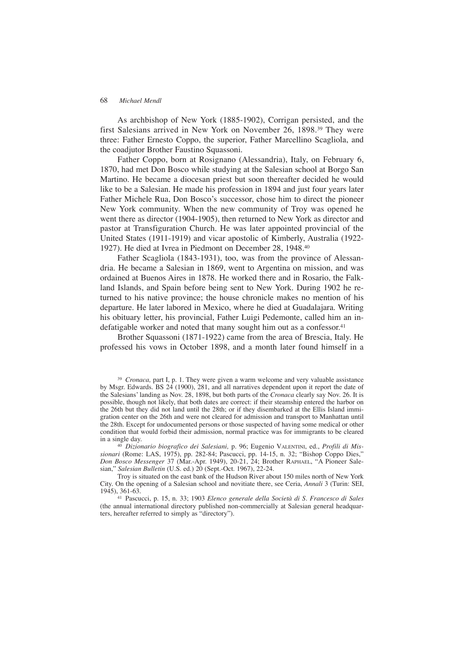As archbishop of New York (1885-1902), Corrigan persisted, and the first Salesians arrived in New York on November 26, 1898.39 They were three: Father Ernesto Coppo, the superior, Father Marcellino Scagliola, and the coadjutor Brother Faustino Squassoni.

Father Coppo, born at Rosignano (Alessandria), Italy, on February 6, 1870, had met Don Bosco while studying at the Salesian school at Borgo San Martino. He became a diocesan priest but soon thereafter decided he would like to be a Salesian. He made his profession in 1894 and just four years later Father Michele Rua, Don Bosco's successor, chose him to direct the pioneer New York community. When the new community of Troy was opened he went there as director (1904-1905), then returned to New York as director and pastor at Transfiguration Church. He was later appointed provincial of the United States (1911-1919) and vicar apostolic of Kimberly, Australia (1922- 1927). He died at Ivrea in Piedmont on December 28, 1948.40

Father Scagliola (1843-1931), too, was from the province of Alessandria. He became a Salesian in 1869, went to Argentina on mission, and was ordained at Buenos Aires in 1878. He worked there and in Rosario, the Falkland Islands, and Spain before being sent to New York. During 1902 he returned to his native province; the house chronicle makes no mention of his departure. He later labored in Mexico, where he died at Guadalajara. Writing his obituary letter, his provincial, Father Luigi Pedemonte, called him an indefatigable worker and noted that many sought him out as a confessor.<sup>41</sup>

Brother Squassoni (1871-1922) came from the area of Brescia, Italy. He professed his vows in October 1898, and a month later found himself in a

<sup>39</sup> *Cronaca,* part I, p. 1. They were given a warm welcome and very valuable assistance by Msgr. Edwards. BS 24 (1900), 281, and all narratives dependent upon it report the date of the Salesians' landing as Nov. 28, 1898, but both parts of the *Cronaca* clearly say Nov. 26. It is possible, though not likely, that both dates are correct: if their steamship entered the harbor on the 26th but they did not land until the 28th; or if they disembarked at the Ellis Island immigration center on the 26th and were not cleared for admission and transport to Manhattan until the 28th. Except for undocumented persons or those suspected of having some medical or other condition that would forbid their admission, normal practice was for immigrants to be cleared in a single day.

<sup>40</sup> *Dizionario biografico dei Salesiani,* p. 96; Eugenio VALENTINI, ed., *Profili di Missionari* (Rome: LAS, 1975), pp. 282-84; Pascucci, pp. 14-15, n. 32; "Bishop Coppo Dies," *Don Bosco Messenger* 37 (Mar.-Apr. 1949), 20-21, 24; Brother RAPHAEL, "A Pioneer Salesian," *Salesian Bulletin* (U.S. ed.) 20 (Sept.-Oct. 1967), 22-24.

Troy is situated on the east bank of the Hudson River about 150 miles north of New York City. On the opening of a Salesian school and novitiate there, see Ceria, *Annali* 3 (Turin: SEI, 1945), 361-63.

<sup>41</sup> Pascucci, p. 15, n. 33; 1903 *Elenco generale della Società di S. Francesco di Sales* (the annual international directory published non-commercially at Salesian general headquarters, hereafter referred to simply as "directory").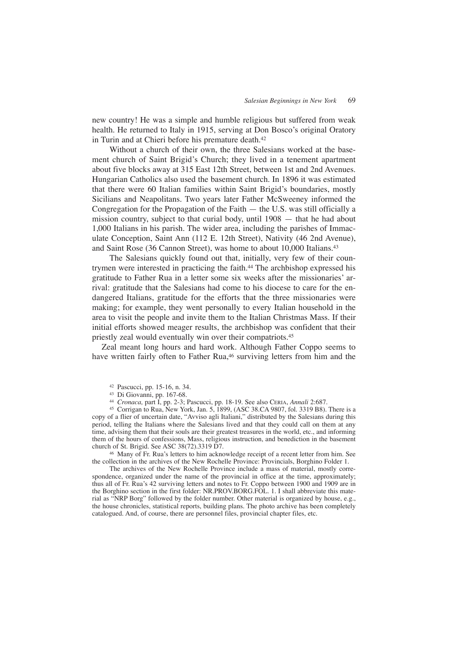new country! He was a simple and humble religious but suffered from weak health. He returned to Italy in 1915, serving at Don Bosco's original Oratory in Turin and at Chieri before his premature death.<sup>42</sup>

Without a church of their own, the three Salesians worked at the basement church of Saint Brigid's Church; they lived in a tenement apartment about five blocks away at 315 East 12th Street, between 1st and 2nd Avenues. Hungarian Catholics also used the basement church. In 1896 it was estimated that there were 60 Italian families within Saint Brigid's boundaries, mostly Sicilians and Neapolitans. Two years later Father McSweeney informed the Congregation for the Propagation of the Faith — the U.S. was still officially a mission country, subject to that curial body, until 1908 — that he had about 1,000 Italians in his parish. The wider area, including the parishes of Immaculate Conception, Saint Ann (112 E. 12th Street), Nativity (46 2nd Avenue), and Saint Rose (36 Cannon Street), was home to about 10,000 Italians.43

The Salesians quickly found out that, initially, very few of their countrymen were interested in practicing the faith.<sup>44</sup> The archbishop expressed his gratitude to Father Rua in a letter some six weeks after the missionaries' arrival: gratitude that the Salesians had come to his diocese to care for the endangered Italians, gratitude for the efforts that the three missionaries were making; for example, they went personally to every Italian household in the area to visit the people and invite them to the Italian Christmas Mass. If their initial efforts showed meager results, the archbishop was confident that their priestly zeal would eventually win over their compatriots.45

Zeal meant long hours and hard work. Although Father Coppo seems to have written fairly often to Father Rua,<sup>46</sup> surviving letters from him and the

<sup>42</sup> Pascucci, pp. 15-16, n. 34.

<sup>44</sup> *Cronaca,* part I, pp. 2-3; Pascucci, pp. 18-19. See also CERIA, *Annali* 2:687.

<sup>45</sup> Corrigan to Rua, New York, Jan. 5, 1899, (ASC 38.CA 9807, fol. 3319 B8). There is a copy of a flier of uncertain date, "Avviso agli Italiani," distributed by the Salesians during this period, telling the Italians where the Salesians lived and that they could call on them at any time, advising them that their souls are their greatest treasures in the world, etc., and informing them of the hours of confessions, Mass, religious instruction, and benediction in the basement church of St. Brigid. See ASC 38(72).3319 D7.

<sup>46</sup> Many of Fr. Rua's letters to him acknowledge receipt of a recent letter from him. See the collection in the archives of the New Rochelle Province: Provincials, Borghino Folder 1.

The archives of the New Rochelle Province include a mass of material, mostly correspondence, organized under the name of the provincial in office at the time, approximately; thus all of Fr. Rua's 42 surviving letters and notes to Fr. Coppo between 1900 and 1909 are in the Borghino section in the first folder: NR.PROV.BORG.FOL. 1. I shall abbreviate this material as "NRP Borg" followed by the folder number. Other material is organized by house, e.g., the house chronicles, statistical reports, building plans. The photo archive has been completely catalogued. And, of course, there are personnel files, provincial chapter files, etc.

<sup>43</sup> Di Giovanni, pp. 167-68.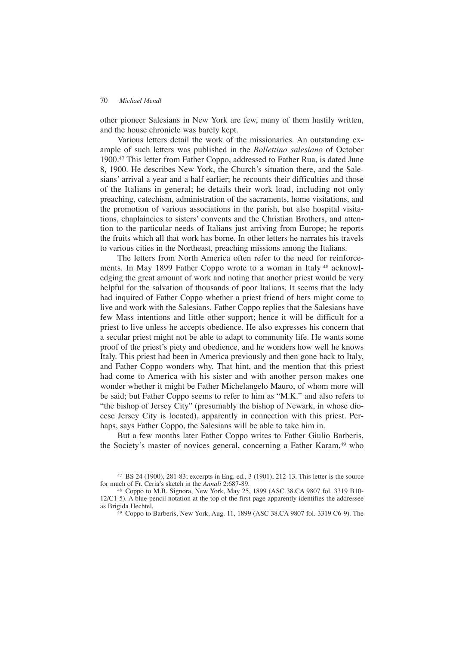other pioneer Salesians in New York are few, many of them hastily written, and the house chronicle was barely kept.

Various letters detail the work of the missionaries. An outstanding example of such letters was published in the *Bollettino salesiano* of October 1900.47 This letter from Father Coppo, addressed to Father Rua, is dated June 8, 1900. He describes New York, the Church's situation there, and the Salesians' arrival a year and a half earlier; he recounts their difficulties and those of the Italians in general; he details their work load, including not only preaching, catechism, administration of the sacraments, home visitations, and the promotion of various associations in the parish, but also hospital visitations, chaplaincies to sisters' convents and the Christian Brothers, and attention to the particular needs of Italians just arriving from Europe; he reports the fruits which all that work has borne. In other letters he narrates his travels to various cities in the Northeast, preaching missions among the Italians.

The letters from North America often refer to the need for reinforcements. In May 1899 Father Coppo wrote to a woman in Italy<sup>48</sup> acknowledging the great amount of work and noting that another priest would be very helpful for the salvation of thousands of poor Italians. It seems that the lady had inquired of Father Coppo whether a priest friend of hers might come to live and work with the Salesians. Father Coppo replies that the Salesians have few Mass intentions and little other support; hence it will be difficult for a priest to live unless he accepts obedience. He also expresses his concern that a secular priest might not be able to adapt to community life. He wants some proof of the priest's piety and obedience, and he wonders how well he knows Italy. This priest had been in America previously and then gone back to Italy, and Father Coppo wonders why. That hint, and the mention that this priest had come to America with his sister and with another person makes one wonder whether it might be Father Michelangelo Mauro, of whom more will be said; but Father Coppo seems to refer to him as "M.K." and also refers to "the bishop of Jersey City" (presumably the bishop of Newark, in whose diocese Jersey City is located), apparently in connection with this priest. Perhaps, says Father Coppo, the Salesians will be able to take him in.

But a few months later Father Coppo writes to Father Giulio Barberis, the Society's master of novices general, concerning a Father Karam,<sup>49</sup> who

<sup>49</sup> Coppo to Barberis, New York, Aug. 11, 1899 (ASC 38.CA 9807 fol. 3319 C6-9). The

<sup>47</sup> BS 24 (1900), 281-83; excerpts in Eng. ed., 3 (1901), 212-13. This letter is the source for much of Fr. Ceria's sketch in the *Annali* 2:687-89.

<sup>48</sup> Coppo to M.B. Signora, New York, May 25, 1899 (ASC 38.CA 9807 fol. 3319 B10- 12/C1-5). A blue-pencil notation at the top of the first page apparently identifies the addressee as Brigida Hechtel.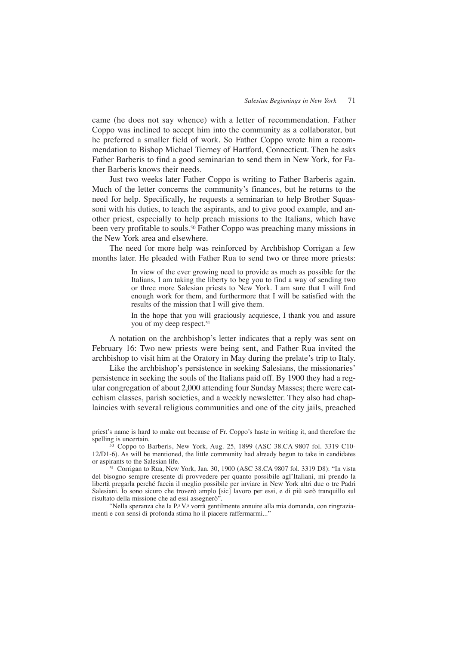came (he does not say whence) with a letter of recommendation. Father Coppo was inclined to accept him into the community as a collaborator, but he preferred a smaller field of work. So Father Coppo wrote him a recommendation to Bishop Michael Tierney of Hartford, Connecticut. Then he asks Father Barberis to find a good seminarian to send them in New York, for Father Barberis knows their needs.

Just two weeks later Father Coppo is writing to Father Barberis again. Much of the letter concerns the community's finances, but he returns to the need for help. Specifically, he requests a seminarian to help Brother Squassoni with his duties, to teach the aspirants, and to give good example, and another priest, especially to help preach missions to the Italians, which have been very profitable to souls.<sup>50</sup> Father Coppo was preaching many missions in the New York area and elsewhere.

The need for more help was reinforced by Archbishop Corrigan a few months later. He pleaded with Father Rua to send two or three more priests:

> In view of the ever growing need to provide as much as possible for the Italians, I am taking the liberty to beg you to find a way of sending two or three more Salesian priests to New York. I am sure that I will find enough work for them, and furthermore that I will be satisfied with the results of the mission that I will give them.

> In the hope that you will graciously acquiesce, I thank you and assure you of my deep respect.<sup>51</sup>

A notation on the archbishop's letter indicates that a reply was sent on February 16: Two new priests were being sent, and Father Rua invited the archbishop to visit him at the Oratory in May during the prelate's trip to Italy.

Like the archbishop's persistence in seeking Salesians, the missionaries' persistence in seeking the souls of the Italians paid off. By 1900 they had a regular congregation of about 2,000 attending four Sunday Masses; there were catechism classes, parish societies, and a weekly newsletter. They also had chaplaincies with several religious communities and one of the city jails, preached

<sup>51</sup> Corrigan to Rua, New York, Jan. 30, 1900 (ASC 38.CA 9807 fol. 3319 D8): "In vista del bisogno sempre cresente di provvedere per quanto possibile agl'Italiani, mi prendo la libertà pregarla perché faccia il meglio possibile per inviare in New York altri due o tre Padri Salesiani. Io sono sicuro che troverò amplo [sic] lavoro per essi, e di più sarò tranquillo sul risultato della missione che ad essi assegnerò".

"Nella speranza che la P.ª V.ª vorrà gentilmente annuire alla mia domanda, con ringraziamenti e con sensi di profonda stima ho il piacere raffermarmi..."

priest's name is hard to make out because of Fr. Coppo's haste in writing it, and therefore the spelling is uncertain.

<sup>50</sup> Coppo to Barberis, New York, Aug. 25, 1899 (ASC 38.CA 9807 fol. 3319 C10- 12/D1-6). As will be mentioned, the little community had already begun to take in candidates or aspirants to the Salesian life.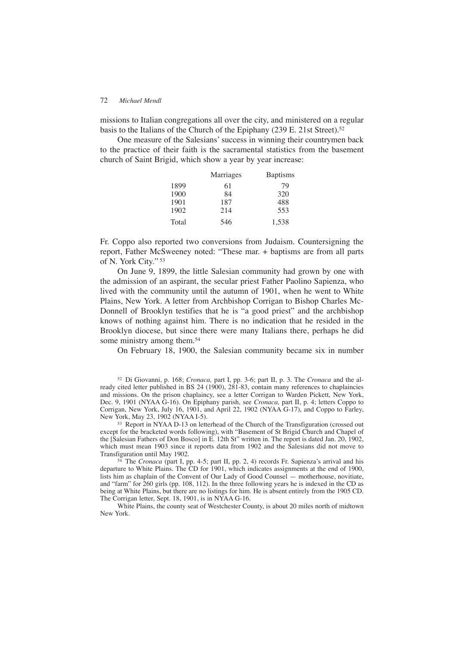missions to Italian congregations all over the city, and ministered on a regular basis to the Italians of the Church of the Epiphany (239 E. 21st Street).<sup>52</sup>

One measure of the Salesians' success in winning their countrymen back to the practice of their faith is the sacramental statistics from the basement church of Saint Brigid, which show a year by year increase:

|       | Marriages | <b>Baptisms</b> |
|-------|-----------|-----------------|
| 1899  | 61        | 79              |
| 1900  | 84        | 320             |
| 1901  | 187       | 488             |
| 1902  | 214       | 553             |
| Total | 546       | 1,538           |

Fr. Coppo also reported two conversions from Judaism. Countersigning the report, Father McSweeney noted: "These mar. + baptisms are from all parts of N. York City." <sup>53</sup>

On June 9, 1899, the little Salesian community had grown by one with the admission of an aspirant, the secular priest Father Paolino Sapienza, who lived with the community until the autumn of 1901, when he went to White Plains, New York. A letter from Archbishop Corrigan to Bishop Charles Mc-Donnell of Brooklyn testifies that he is "a good priest" and the archbishop knows of nothing against him. There is no indication that he resided in the Brooklyn diocese, but since there were many Italians there, perhaps he did some ministry among them.<sup>54</sup>

On February 18, 1900, the Salesian community became six in number

<sup>52</sup> Di Giovanni, p. 168; *Cronaca,* part I, pp. 3-6; part II, p. 3. The *Cronaca* and the already cited letter published in BS 24 (1900), 281-83, contain many references to chaplaincies and missions. On the prison chaplaincy, see a letter Corrigan to Warden Pickett, New York, Dec. 9, 1901 (NYAA G-16). On Epiphany parish, see *Cronaca,* part II, p. 4; letters Coppo to Corrigan, New York, July 16, 1901, and April 22, 1902 (NYAA G-17), and Coppo to Farley, New York, May 23, 1902 (NYAA I-5).

<sup>53</sup> Report in NYAA D-13 on letterhead of the Church of the Transfiguration (crossed out except for the bracketed words following), with "Basement of St Brigid Church and Chapel of the [Salesian Fathers of Don Bosco] in E. 12th St" written in. The report is dated Jan. 20, 1902, which must mean 1903 since it reports data from 1902 and the Salesians did not move to Transfiguration until May 1902.

<sup>54</sup> The *Cronaca* (part I, pp. 4-5; part II, pp. 2, 4) records Fr. Sapienza's arrival and his departure to White Plains. The CD for 1901, which indicates assignments at the end of 1900, lists him as chaplain of the Convent of Our Lady of Good Counsel — motherhouse, novitiate, and "farm" for 260 girls (pp. 108, 112). In the three following years he is indexed in the CD as being at White Plains, but there are no listings for him. He is absent entirely from the 1905 CD. The Corrigan letter, Sept. 18, 1901, is in NYAA G-16.

White Plains, the county seat of Westchester County, is about 20 miles north of midtown New York.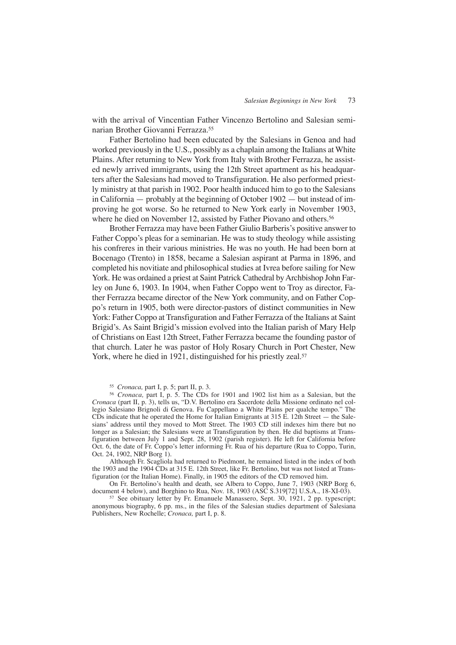with the arrival of Vincentian Father Vincenzo Bertolino and Salesian seminarian Brother Giovanni Ferrazza.55

Father Bertolino had been educated by the Salesians in Genoa and had worked previously in the U.S., possibly as a chaplain among the Italians at White Plains. After returning to New York from Italy with Brother Ferrazza, he assisted newly arrived immigrants, using the 12th Street apartment as his headquarters after the Salesians had moved to Transfiguration. He also performed priestly ministry at that parish in 1902. Poor health induced him to go to the Salesians in California — probably at the beginning of October 1902 — but instead of improving he got worse. So he returned to New York early in November 1903, where he died on November 12, assisted by Father Piovano and others.<sup>56</sup>

Brother Ferrazza may have been Father Giulio Barberis's positive answer to Father Coppo's pleas for a seminarian. He was to study theology while assisting his confreres in their various ministries. He was no youth. He had been born at Bocenago (Trento) in 1858, became a Salesian aspirant at Parma in 1896, and completed his novitiate and philosophical studies at Ivrea before sailing for New York. He was ordained a priest at Saint Patrick Cathedral by Archbishop John Farley on June 6, 1903. In 1904, when Father Coppo went to Troy as director, Father Ferrazza became director of the New York community, and on Father Coppo's return in 1905, both were director-pastors of distinct communities in New York: Father Coppo at Transfiguration and Father Ferrazza of the Italians at Saint Brigid's. As Saint Brigid's mission evolved into the Italian parish of Mary Help of Christians on East 12th Street, Father Ferrazza became the founding pastor of that church. Later he was pastor of Holy Rosary Church in Port Chester, New York, where he died in 1921, distinguished for his priestly zeal.<sup>57</sup>

<sup>55</sup> *Cronaca,* part I, p. 5; part II, p. 3.

<sup>56</sup> *Cronaca,* part I, p. 5. The CDs for 1901 and 1902 list him as a Salesian, but the *Cronaca* (part II, p. 3), tells us, "D.V. Bertolino era Sacerdote della Missione ordinato nel collegio Salesiano Brignoli di Genova. Fu Cappellano a White Plains per qualche tempo." The CDs indicate that he operated the Home for Italian Emigrants at  $315$  E. 12th Street — the Salesians' address until they moved to Mott Street. The 1903 CD still indexes him there but no longer as a Salesian; the Salesians were at Transfiguration by then. He did baptisms at Transfiguration between July 1 and Sept. 28, 1902 (parish register). He left for California before Oct. 6, the date of Fr. Coppo's letter informing Fr. Rua of his departure (Rua to Coppo, Turin, Oct. 24, 1902, NRP Borg 1).

Although Fr. Scagliola had returned to Piedmont, he remained listed in the index of both the 1903 and the 1904 CDs at 315 E. 12th Street, like Fr. Bertolino, but was not listed at Transfiguration (or the Italian Home). Finally, in 1905 the editors of the CD removed him.

On Fr. Bertolino's health and death, see Albera to Coppo, June 7, 1903 (NRP Borg 6, document 4 below), and Borghino to Rua, Nov. 18, 1903 (ASC S.319[72] U.S.A., 18-XI-03).

<sup>57</sup> See obituary letter by Fr. Emanuele Manassero, Sept. 30, 1921, 2 pp. typescript; anonymous biography, 6 pp. ms., in the files of the Salesian studies department of Salesiana Publishers, New Rochelle; *Cronaca,* part I, p. 8.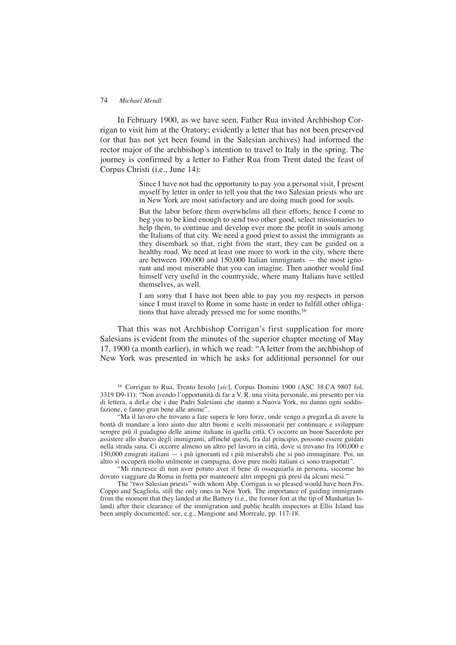## 74 *Michael Mendl*

In February 1900, as we have seen, Father Rua invited Archbishop Corrigan to visit him at the Oratory; evidently a letter that has not been preserved (or that has not yet been found in the Salesian archives) had informed the rector major of the archbishop's intention to travel to Italy in the spring. The journey is confirmed by a letter to Father Rua from Trent dated the feast of Corpus Christi (i.e., June 14):

> Since I have not had the opportunity to pay you a personal visit, I present myself by letter in order to tell you that the two Salesian priests who are in New York are most satisfactory and are doing much good for souls.

> But the labor before them overwhelms all their efforts; hence I come to beg you to be kind enough to send two other good, select missionaries to help them, to continue and develop ever more the profit in souls among the Italians of that city. We need a good priest to assist the immigrants as they disembark so that, right from the start, they can be guided on a healthy road. We need at least one more to work in the city, where there are between 100,000 and 150,000 Italian immigrants — the most ignorant and most miserable that you can imagine. Then another would find himself very useful in the countryside, where many Italians have settled themselves, as well.

> I am sorry that I have not been able to pay you my respects in person since I must travel to Rome in some haste in order to fulfill other obligations that have already pressed me for some months.<sup>58</sup>

That this was not Archbishop Corrigan's first supplication for more Salesians is evident from the minutes of the superior chapter meeting of May 17, 1900 (a month earlier), in which we read: "A letter from the archbishop of New York was presented in which he asks for additional personnel for our

<sup>58</sup> Corrigan to Rua, Trento Iesolo [*sic*], Corpus Domini 1900 (ASC 38.CA 9807 fol. 3319 D9-11): "Non avendo l'opportunità di far a V. R. una visita personale, mi presento per via di lettera, a dirLe che i due Padri Salesiani che stanno a Nuova York, mi danno ogni soddisfazione, e fanno gran bene alle anime".

"Ma il lavoro che trovano a fare supera le loro forze, onde vengo a pregarLa di avere la bontà di mandare a loro aiuto due altri buoni e scelti missionarii per continuare e sviluppare sempre più il guadagno delle anime italiane in quella città. Ci occorre un buon Sacerdote per assistere allo sbarco degli immigranti, affinché questi, fra dal principio, possono essere guidati nella strada sana. Ci occorre almeno un altro pel lavoro in città, dove si trovano fra 100,000 e 150,000 emigrati italiani — i più ignoranti ed i più miserabili che si può immaginare. Poi, un altro si occuperà molto utilmente in campagna, dove pure molti italiani ci sono trasportati".

"Mi rincresce di non aver potuto aver il bene di ossequiarla in persona, siccome ho dovuto viaggiare da Roma in fretta per mantenere altri impegni già presi da alcuni mesi."

The "two Salesian priests" with whom Abp. Corrigan is so pleased would have been Frs. Coppo and Scagliola, still the only ones in New York. The importance of guiding immigrants from the moment that they landed at the Battery (i.e., the former fort at the tip of Manhattan Island) after their clearance of the immigration and public health inspectors at Ellis Island has been amply documented; see, e.g., Mangione and Morreale, pp. 117-18.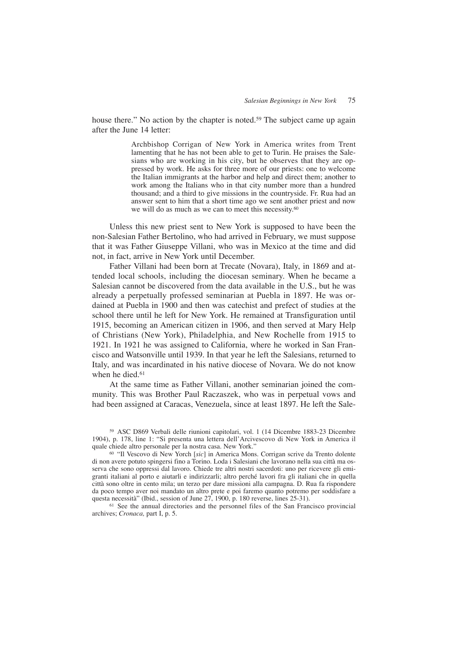house there." No action by the chapter is noted.<sup>59</sup> The subject came up again after the June 14 letter:

> Archbishop Corrigan of New York in America writes from Trent lamenting that he has not been able to get to Turin. He praises the Salesians who are working in his city, but he observes that they are oppressed by work. He asks for three more of our priests: one to welcome the Italian immigrants at the harbor and help and direct them; another to work among the Italians who in that city number more than a hundred thousand; and a third to give missions in the countryside. Fr. Rua had an answer sent to him that a short time ago we sent another priest and now we will do as much as we can to meet this necessity.<sup>60</sup>

Unless this new priest sent to New York is supposed to have been the non-Salesian Father Bertolino, who had arrived in February, we must suppose that it was Father Giuseppe Villani, who was in Mexico at the time and did not, in fact, arrive in New York until December.

Father Villani had been born at Trecate (Novara), Italy, in 1869 and attended local schools, including the diocesan seminary. When he became a Salesian cannot be discovered from the data available in the U.S., but he was already a perpetually professed seminarian at Puebla in 1897. He was ordained at Puebla in 1900 and then was catechist and prefect of studies at the school there until he left for New York. He remained at Transfiguration until 1915, becoming an American citizen in 1906, and then served at Mary Help of Christians (New York), Philadelphia, and New Rochelle from 1915 to 1921. In 1921 he was assigned to California, where he worked in San Francisco and Watsonville until 1939. In that year he left the Salesians, returned to Italy, and was incardinated in his native diocese of Novara. We do not know when he died.<sup>61</sup>

At the same time as Father Villani, another seminarian joined the community. This was Brother Paul Raczaszek, who was in perpetual vows and had been assigned at Caracas, Venezuela, since at least 1897. He left the Sale-

<sup>59</sup> ASC D869 Verbali delle riunioni capitolari, vol. 1 (14 Dicembre 1883-23 Dicembre 1904), p. 178, line 1: "Si presenta una lettera dell'Arcivescovo di New York in America il quale chiede altro personale per la nostra casa. New York."

<sup>60</sup> "Il Vescovo di New Yorch [*sic*] in America Mons. Corrigan scrive da Trento dolente di non avere potuto spingersi fino a Torino. Loda i Salesiani che lavorano nella sua città ma osserva che sono oppressi dal lavoro. Chiede tre altri nostri sacerdoti: uno per ricevere gli emigranti italiani al porto e aiutarli e indirizzarli; altro perché lavori fra gli italiani che in quella città sono oltre in cento mila; un terzo per dare missioni alla campagna. D. Rua fa rispondere da poco tempo aver noi mandato un altro prete e poi faremo quanto potremo per soddisfare a questa necessità" (Ibid., session of June 27, 1900, p. 180 reverse, lines 25-31).

<sup>61</sup> See the annual directories and the personnel files of the San Francisco provincial archives; *Cronaca,* part I, p. 5.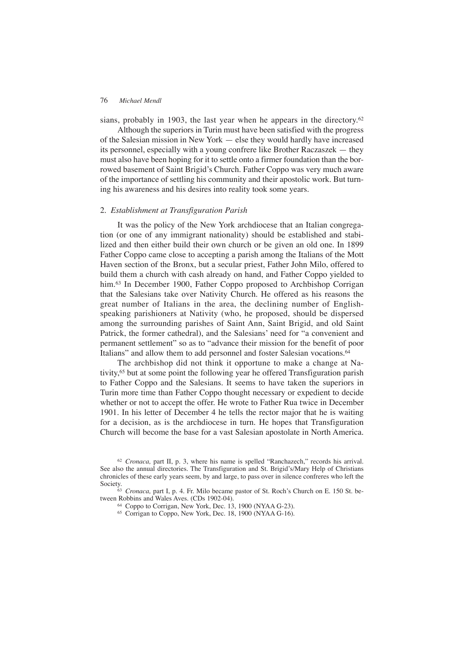sians, probably in 1903, the last year when he appears in the directory.<sup>62</sup>

Although the superiors in Turin must have been satisfied with the progress of the Salesian mission in New York — else they would hardly have increased its personnel, especially with a young confrere like Brother Raczaszek — they must also have been hoping for it to settle onto a firmer foundation than the borrowed basement of Saint Brigid's Church. Father Coppo was very much aware of the importance of settling his community and their apostolic work. But turning his awareness and his desires into reality took some years.

# 2. *Establishment at Transfiguration Parish*

It was the policy of the New York archdiocese that an Italian congregation (or one of any immigrant nationality) should be established and stabilized and then either build their own church or be given an old one. In 1899 Father Coppo came close to accepting a parish among the Italians of the Mott Haven section of the Bronx, but a secular priest, Father John Milo, offered to build them a church with cash already on hand, and Father Coppo yielded to him.<sup>63</sup> In December 1900, Father Coppo proposed to Archbishop Corrigan that the Salesians take over Nativity Church. He offered as his reasons the great number of Italians in the area, the declining number of Englishspeaking parishioners at Nativity (who, he proposed, should be dispersed among the surrounding parishes of Saint Ann, Saint Brigid, and old Saint Patrick, the former cathedral), and the Salesians' need for "a convenient and permanent settlement" so as to "advance their mission for the benefit of poor Italians" and allow them to add personnel and foster Salesian vocations.<sup>64</sup>

The archbishop did not think it opportune to make a change at Nativity,65 but at some point the following year he offered Transfiguration parish to Father Coppo and the Salesians. It seems to have taken the superiors in Turin more time than Father Coppo thought necessary or expedient to decide whether or not to accept the offer. He wrote to Father Rua twice in December 1901. In his letter of December 4 he tells the rector major that he is waiting for a decision, as is the archdiocese in turn. He hopes that Transfiguration Church will become the base for a vast Salesian apostolate in North America.

<sup>62</sup> *Cronaca,* part II, p. 3, where his name is spelled "Ranchazech," records his arrival. See also the annual directories. The Transfiguration and St. Brigid's/Mary Help of Christians chronicles of these early years seem, by and large, to pass over in silence confreres who left the Society.

<sup>63</sup> *Cronaca,* part I, p. 4. Fr. Milo became pastor of St. Roch's Church on E. 150 St. between Robbins and Wales Aves. (CDs 1902-04).

<sup>64</sup> Coppo to Corrigan, New York, Dec. 13, 1900 (NYAA G-23).

<sup>65</sup> Corrigan to Coppo, New York, Dec. 18, 1900 (NYAA G-16).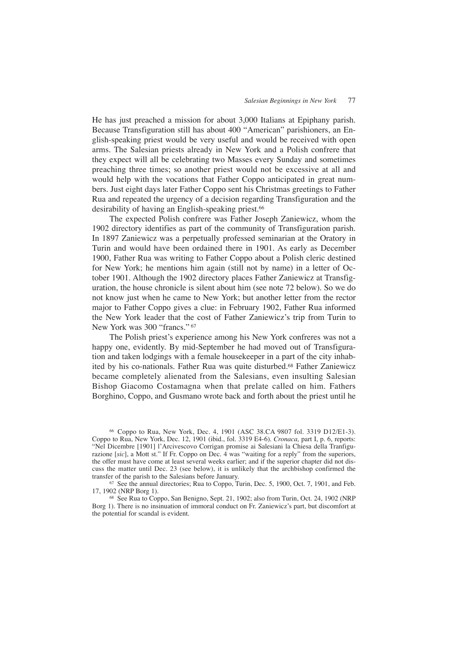He has just preached a mission for about 3,000 Italians at Epiphany parish. Because Transfiguration still has about 400 "American" parishioners, an English-speaking priest would be very useful and would be received with open arms. The Salesian priests already in New York and a Polish confrere that they expect will all be celebrating two Masses every Sunday and sometimes preaching three times; so another priest would not be excessive at all and would help with the vocations that Father Coppo anticipated in great numbers. Just eight days later Father Coppo sent his Christmas greetings to Father Rua and repeated the urgency of a decision regarding Transfiguration and the desirability of having an English-speaking priest.<sup>66</sup>

The expected Polish confrere was Father Joseph Zaniewicz, whom the 1902 directory identifies as part of the community of Transfiguration parish. In 1897 Zaniewicz was a perpetually professed seminarian at the Oratory in Turin and would have been ordained there in 1901. As early as December 1900, Father Rua was writing to Father Coppo about a Polish cleric destined for New York; he mentions him again (still not by name) in a letter of October 1901. Although the 1902 directory places Father Zaniewicz at Transfiguration, the house chronicle is silent about him (see note 72 below). So we do not know just when he came to New York; but another letter from the rector major to Father Coppo gives a clue: in February 1902, Father Rua informed the New York leader that the cost of Father Zaniewicz's trip from Turin to New York was 300 "francs." <sup>67</sup>

The Polish priest's experience among his New York confreres was not a happy one, evidently. By mid-September he had moved out of Transfiguration and taken lodgings with a female housekeeper in a part of the city inhabited by his co-nationals. Father Rua was quite disturbed.68 Father Zaniewicz became completely alienated from the Salesians, even insulting Salesian Bishop Giacomo Costamagna when that prelate called on him. Fathers Borghino, Coppo, and Gusmano wrote back and forth about the priest until he

<sup>66</sup> Coppo to Rua, New York, Dec. 4, 1901 (ASC 38.CA 9807 fol. 3319 D12/E1-3). Coppo to Rua, New York, Dec. 12, 1901 (ibid., fol. 3319 E4-6). *Cronaca,* part I, p. 6, reports: "Nel Dicembre [1901] l'Arcivescovo Corrigan promise ai Salesiani la Chiesa della Tranfigurazione [sic], a Mott st." If Fr. Coppo on Dec. 4 was "waiting for a reply" from the superiors, the offer must have come at least several weeks earlier; and if the superior chapter did not discuss the matter until Dec. 23 (see below), it is unlikely that the archbishop confirmed the transfer of the parish to the Salesians before January.

<sup>67</sup> See the annual directories; Rua to Coppo, Turin, Dec. 5, 1900, Oct. 7, 1901, and Feb. 17, 1902 (NRP Borg 1).

<sup>68</sup> See Rua to Coppo, San Benigno, Sept. 21, 1902; also from Turin, Oct. 24, 1902 (NRP Borg 1). There is no insinuation of immoral conduct on Fr. Zaniewicz's part, but discomfort at the potential for scandal is evident.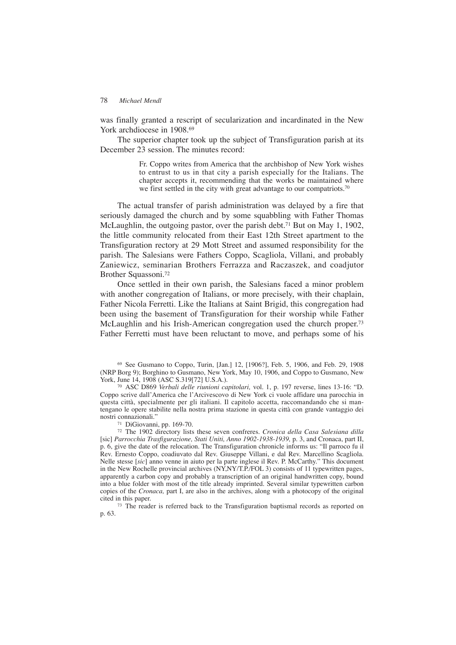was finally granted a rescript of secularization and incardinated in the New York archdiocese in 1908.<sup>69</sup>

The superior chapter took up the subject of Transfiguration parish at its December 23 session. The minutes record:

> Fr. Coppo writes from America that the archbishop of New York wishes to entrust to us in that city a parish especially for the Italians. The chapter accepts it, recommending that the works be maintained where we first settled in the city with great advantage to our compatriots.<sup>70</sup>

The actual transfer of parish administration was delayed by a fire that seriously damaged the church and by some squabbling with Father Thomas McLaughlin, the outgoing pastor, over the parish debt.<sup>71</sup> But on May 1, 1902, the little community relocated from their East 12th Street apartment to the Transfiguration rectory at 29 Mott Street and assumed responsibility for the parish. The Salesians were Fathers Coppo, Scagliola, Villani, and probably Zaniewicz, seminarian Brothers Ferrazza and Raczaszek, and coadjutor Brother Squassoni.72

Once settled in their own parish, the Salesians faced a minor problem with another congregation of Italians, or more precisely, with their chaplain, Father Nicola Ferretti. Like the Italians at Saint Brigid, this congregation had been using the basement of Transfiguration for their worship while Father McLaughlin and his Irish-American congregation used the church proper.73 Father Ferretti must have been reluctant to move, and perhaps some of his

<sup>69</sup> See Gusmano to Coppo, Turin, [Jan.] 12, [1906?], Feb. 5, 1906, and Feb. 29, 1908 (NRP Borg 9); Borghino to Gusmano, New York, May 10, 1906, and Coppo to Gusmano, New York, June 14, 1908 (ASC S.319[72] U.S.A.).

<sup>70</sup> ASC D869 *Verbali delle riunioni capitolari,* vol. 1, p. 197 reverse, lines 13-16: "D. Coppo scrive dall'America che l'Arcivescovo di New York ci vuole affidare una parocchia in questa città, specialmente per gli italiani. Il capitolo accetta, raccomandando che si mantengano le opere stabilite nella nostra prima stazione in questa città con grande vantaggio dei nostri connazionali."

<sup>71</sup> DiGiovanni, pp. 169-70.

<sup>72</sup> The 1902 directory lists these seven confreres. *Cronica della Casa Salesiana dilla* [sic] *Parrocchia Trasfigurazione, Stati Uniti, Anno 1902-1938-1939*, p. 3, and Cronaca, part II, p. 6, give the date of the relocation. The Transfiguration chronicle informs us: "Il parroco fu il Rev. Ernesto Coppo, coadiuvato dal Rev. Giuseppe Villani, e dal Rev. Marcellino Scagliola. Nelle stesse [*sic*] anno venne in aiuto per la parte inglese il Rev. P. McCarthy." This document in the New Rochelle provincial archives (NY,NY/T.P./FOL 3) consists of 11 typewritten pages, apparently a carbon copy and probably a transcription of an original handwritten copy, bound into a blue folder with most of the title already imprinted. Several similar typewritten carbon copies of the *Cronaca,* part I, are also in the archives, along with a photocopy of the original cited in this paper.

<sup>73</sup> The reader is referred back to the Transfiguration baptismal records as reported on p. 63.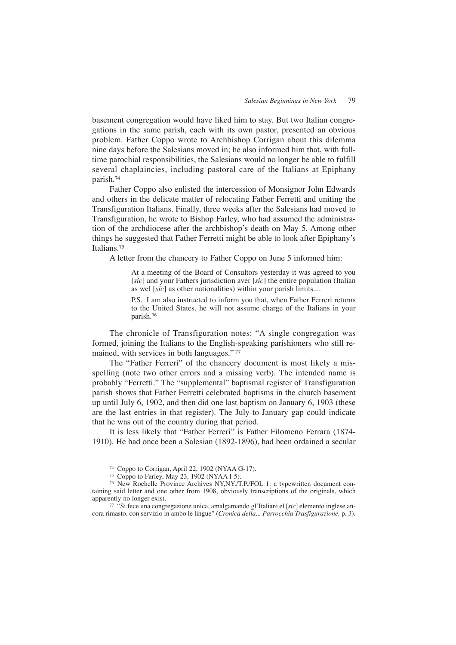basement congregation would have liked him to stay. But two Italian congregations in the same parish, each with its own pastor, presented an obvious problem. Father Coppo wrote to Archbishop Corrigan about this dilemma nine days before the Salesians moved in; he also informed him that, with fulltime parochial responsibilities, the Salesians would no longer be able to fulfill several chaplaincies, including pastoral care of the Italians at Epiphany parish.74

Father Coppo also enlisted the intercession of Monsignor John Edwards and others in the delicate matter of relocating Father Ferretti and uniting the Transfiguration Italians. Finally, three weeks after the Salesians had moved to Transfiguration, he wrote to Bishop Farley, who had assumed the administration of the archdiocese after the archbishop's death on May 5. Among other things he suggested that Father Ferretti might be able to look after Epiphany's Italians.75

A letter from the chancery to Father Coppo on June 5 informed him:

At a meeting of the Board of Consultors yesterday it was agreed to you [*sic*] and your Fathers jurisdiction aver [*sic*] the entire population (Italian as wel [*sic*] as other nationalities) within your parish limits....

P.S. I am also instructed to inform you that, when Father Ferreri returns to the United States, he will not assume charge of the Italians in your parish.76

The chronicle of Transfiguration notes: "A single congregation was formed, joining the Italians to the English-speaking parishioners who still remained, with services in both languages." <sup>77</sup>

The "Father Ferreri" of the chancery document is most likely a misspelling (note two other errors and a missing verb). The intended name is probably "Ferretti." The "supplemental" baptismal register of Transfiguration parish shows that Father Ferretti celebrated baptisms in the church basement up until July 6, 1902, and then did one last baptism on January 6, 1903 (these are the last entries in that register). The July-to-January gap could indicate that he was out of the country during that period.

It is less likely that "Father Ferreri" is Father Filomeno Ferrara (1874- 1910). He had once been a Salesian (1892-1896), had been ordained a secular

<sup>74</sup> Coppo to Corrigan, April 22, 1902 (NYAA G-17).

<sup>75</sup> Coppo to Farley, May 23, 1902 (NYAA I-5).

<sup>76</sup> New Rochelle Province Archives NY,NY./T.P./FOL 1: a typewritten document containing said letter and one other from 1908, obviously transcriptions of the originals, which apparently no longer exist.

<sup>77</sup> "Si fece una congregazione unica, amalgamando gl'Italiani el [*sic*] elemento inglese ancora rimasto, con servizio in ambo le lingue" (*Cronica della... Parrocchia Trasfigurazione,* p. 3).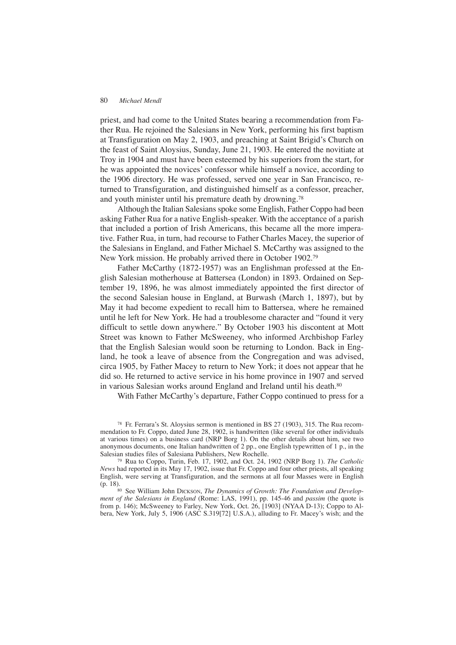priest, and had come to the United States bearing a recommendation from Father Rua. He rejoined the Salesians in New York, performing his first baptism at Transfiguration on May 2, 1903, and preaching at Saint Brigid's Church on the feast of Saint Aloysius, Sunday, June 21, 1903. He entered the novitiate at Troy in 1904 and must have been esteemed by his superiors from the start, for he was appointed the novices' confessor while himself a novice, according to the 1906 directory. He was professed, served one year in San Francisco, returned to Transfiguration, and distinguished himself as a confessor, preacher, and youth minister until his premature death by drowning.78

Although the Italian Salesians spoke some English, Father Coppo had been asking Father Rua for a native English-speaker. With the acceptance of a parish that included a portion of Irish Americans, this became all the more imperative. Father Rua, in turn, had recourse to Father Charles Macey, the superior of the Salesians in England, and Father Michael S. McCarthy was assigned to the New York mission. He probably arrived there in October 1902.79

Father McCarthy (1872-1957) was an Englishman professed at the English Salesian motherhouse at Battersea (London) in 1893. Ordained on September 19, 1896, he was almost immediately appointed the first director of the second Salesian house in England, at Burwash (March 1, 1897), but by May it had become expedient to recall him to Battersea, where he remained until he left for New York. He had a troublesome character and "found it very difficult to settle down anywhere." By October 1903 his discontent at Mott Street was known to Father McSweeney, who informed Archbishop Farley that the English Salesian would soon be returning to London. Back in England, he took a leave of absence from the Congregation and was advised, circa 1905, by Father Macey to return to New York; it does not appear that he did so. He returned to active service in his home province in 1907 and served in various Salesian works around England and Ireland until his death.<sup>80</sup>

With Father McCarthy's departure, Father Coppo continued to press for a

<sup>78</sup> Fr. Ferrara's St. Aloysius sermon is mentioned in BS 27 (1903), 315. The Rua recommendation to Fr. Coppo, dated June 28, 1902, is handwritten (like several for other individuals at various times) on a business card (NRP Borg 1). On the other details about him, see two anonymous documents, one Italian handwritten of 2 pp., one English typewritten of 1 p., in the Salesian studies files of Salesiana Publishers, New Rochelle.

<sup>79</sup> Rua to Coppo, Turin, Feb. 17, 1902, and Oct. 24, 1902 (NRP Borg 1). *The Catholic News* had reported in its May 17, 1902, issue that Fr. Coppo and four other priests, all speaking English, were serving at Transfiguration, and the sermons at all four Masses were in English (p. 18).<br><sup>80</sup> See William John DICKSON, *The Dynamics of Growth: The Foundation and Develop-*

*ment of the Salesians in England* (Rome: LAS, 1991), pp. 145-46 and *passim* (the quote is from p. 146); McSweeney to Farley, New York, Oct. 26, [1903] (NYAA D-13); Coppo to Albera, New York, July 5, 1906 (ASC S.319[72] U.S.A.), alluding to Fr. Macey's wish; and the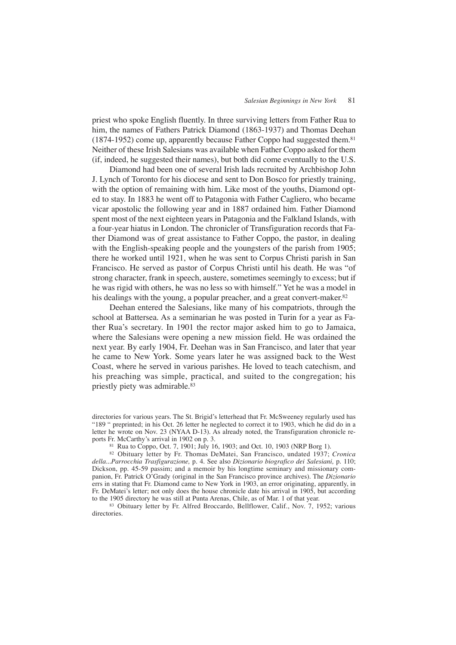priest who spoke English fluently. In three surviving letters from Father Rua to him, the names of Fathers Patrick Diamond (1863-1937) and Thomas Deehan (1874-1952) come up, apparently because Father Coppo had suggested them.81 Neither of these Irish Salesians was available when Father Coppo asked for them (if, indeed, he suggested their names), but both did come eventually to the U.S.

Diamond had been one of several Irish lads recruited by Archbishop John J. Lynch of Toronto for his diocese and sent to Don Bosco for priestly training, with the option of remaining with him. Like most of the youths, Diamond opted to stay. In 1883 he went off to Patagonia with Father Cagliero, who became vicar apostolic the following year and in 1887 ordained him. Father Diamond spent most of the next eighteen years in Patagonia and the Falkland Islands, with a four-year hiatus in London. The chronicler of Transfiguration records that Father Diamond was of great assistance to Father Coppo, the pastor, in dealing with the English-speaking people and the youngsters of the parish from 1905; there he worked until 1921, when he was sent to Corpus Christi parish in San Francisco. He served as pastor of Corpus Christi until his death. He was "of strong character, frank in speech, austere, sometimes seemingly to excess; but if he was rigid with others, he was no less so with himself." Yet he was a model in his dealings with the young, a popular preacher, and a great convert-maker.<sup>82</sup>

Deehan entered the Salesians, like many of his compatriots, through the school at Battersea. As a seminarian he was posted in Turin for a year as Father Rua's secretary. In 1901 the rector major asked him to go to Jamaica, where the Salesians were opening a new mission field. He was ordained the next year. By early 1904, Fr. Deehan was in San Francisco, and later that year he came to New York. Some years later he was assigned back to the West Coast, where he served in various parishes. He loved to teach catechism, and his preaching was simple, practical, and suited to the congregation; his priestly piety was admirable.<sup>83</sup>

directories for various years. The St. Brigid's letterhead that Fr. McSweeney regularly used has "189 " preprinted; in his Oct. 26 letter he neglected to correct it to 1903, which he did do in a letter he wrote on Nov. 23 (NYAA D-13). As already noted, the Transfiguration chronicle reports Fr. McCarthy's arrival in 1902 on p. 3.

<sup>81</sup> Rua to Coppo, Oct. 7, 1901; July 16, 1903; and Oct. 10, 1903 (NRP Borg 1).

<sup>82</sup> Obituary letter by Fr. Thomas DeMatei, San Francisco, undated 1937; *Cronica della...Parrocchia Trasfigurazione,* p. 4. See also *Dizionario biografico dei Salesiani,* p. 110; Dickson, pp. 45-59 passim; and a memoir by his longtime seminary and missionary companion, Fr. Patrick O'Grady (original in the San Francisco province archives). The *Dizionario* errs in stating that Fr. Diamond came to New York in 1903, an error originating, apparently, in Fr. DeMatei's letter; not only does the house chronicle date his arrival in 1905, but according to the 1905 directory he was still at Punta Arenas, Chile, as of Mar. 1 of that year.

<sup>83</sup> Obituary letter by Fr. Alfred Broccardo, Bellflower, Calif., Nov. 7, 1952; various directories.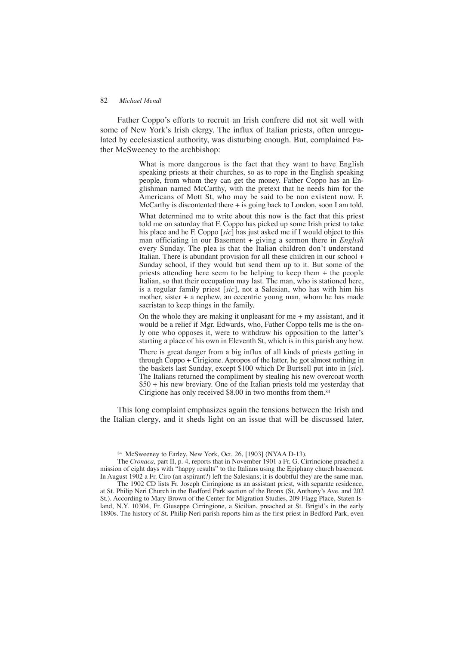## 82 *Michael Mendl*

Father Coppo's efforts to recruit an Irish confrere did not sit well with some of New York's Irish clergy. The influx of Italian priests, often unregulated by ecclesiastical authority, was disturbing enough. But, complained Father McSweeney to the archbishop:

> What is more dangerous is the fact that they want to have English speaking priests at their churches, so as to rope in the English speaking people, from whom they can get the money. Father Coppo has an Englishman named McCarthy, with the pretext that he needs him for the Americans of Mott St, who may be said to be non existent now. F. McCarthy is discontented there  $+$  is going back to London, soon I am told.

> What determined me to write about this now is the fact that this priest told me on saturday that F. Coppo has picked up some Irish priest to take his place and he F. Coppo [*sic*] has just asked me if I would object to this man officiating in our Basement + giving a sermon there in *English* every Sunday. The plea is that the Italian children don't understand Italian. There is abundant provision for all these children in our school + Sunday school, if they would but send them up to it. But some of the priests attending here seem to be helping to keep them + the people Italian, so that their occupation may last. The man, who is stationed here, is a regular family priest [*sic*], not a Salesian, who has with him his mother, sister + a nephew, an eccentric young man, whom he has made sacristan to keep things in the family.

> On the whole they are making it unpleasant for me  $+$  my assistant, and it would be a relief if Mgr. Edwards, who, Father Coppo tells me is the only one who opposes it, were to withdraw his opposition to the latter's starting a place of his own in Eleventh St, which is in this parish any how.

> There is great danger from a big influx of all kinds of priests getting in through Coppo + Cirigione. Apropos of the latter, he got almost nothing in the baskets last Sunday, except \$100 which Dr Burtsell put into in [*sic*]. The Italians returned the compliment by stealing his new overcoat worth \$50 + his new breviary. One of the Italian priests told me yesterday that Cirigione has only received \$8.00 in two months from them.84

This long complaint emphasizes again the tensions between the Irish and the Italian clergy, and it sheds light on an issue that will be discussed later,

The 1902 CD lists Fr. Joseph Cirringione as an assistant priest, with separate residence, at St. Philip Neri Church in the Bedford Park section of the Bronx (St. Anthony's Ave. and 202 St.). According to Mary Brown of the Center for Migration Studies, 209 Flagg Place, Staten Island, N.Y. 10304, Fr. Giuseppe Cirringione, a Sicilian, preached at St. Brigid's in the early 1890s. The history of St. Philip Neri parish reports him as the first priest in Bedford Park, even

<sup>84</sup> McSweeney to Farley, New York, Oct. 26, [1903] (NYAA D-13).

The *Cronaca,* part II, p. 4, reports that in November 1901 a Fr. G. Cirrincione preached a mission of eight days with "happy results" to the Italians using the Epiphany church basement. In August 1902 a Fr. Ciro (an aspirant?) left the Salesians; it is doubtful they are the same man.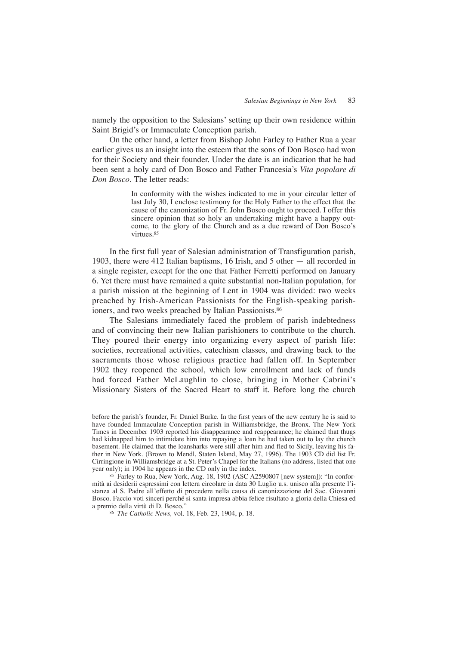namely the opposition to the Salesians' setting up their own residence within Saint Brigid's or Immaculate Conception parish.

On the other hand, a letter from Bishop John Farley to Father Rua a year earlier gives us an insight into the esteem that the sons of Don Bosco had won for their Society and their founder. Under the date is an indication that he had been sent a holy card of Don Bosco and Father Francesia's *Vita popolare di Don Bosco.* The letter reads:

> In conformity with the wishes indicated to me in your circular letter of last July 30, I enclose testimony for the Holy Father to the effect that the cause of the canonization of Fr. John Bosco ought to proceed. I offer this sincere opinion that so holy an undertaking might have a happy outcome, to the glory of the Church and as a due reward of Don Bosco's virtues.85

In the first full year of Salesian administration of Transfiguration parish, 1903, there were 412 Italian baptisms, 16 Irish, and 5 other — all recorded in a single register, except for the one that Father Ferretti performed on January 6. Yet there must have remained a quite substantial non-Italian population, for a parish mission at the beginning of Lent in 1904 was divided: two weeks preached by Irish-American Passionists for the English-speaking parishioners, and two weeks preached by Italian Passionists.<sup>86</sup>

The Salesians immediately faced the problem of parish indebtedness and of convincing their new Italian parishioners to contribute to the church. They poured their energy into organizing every aspect of parish life: societies, recreational activities, catechism classes, and drawing back to the sacraments those whose religious practice had fallen off. In September 1902 they reopened the school, which low enrollment and lack of funds had forced Father McLaughlin to close, bringing in Mother Cabrini's Missionary Sisters of the Sacred Heart to staff it. Before long the church

<sup>85</sup> Farley to Rua, New York, Aug. 18, 1902 (ASC A2590807 [new system]): "In conformità ai desiderii espressimi con lettera circolare in data 30 Luglio u.s. unisco alla presente l'istanza al S. Padre all'effetto di procedere nella causa di canonizzazione del Sac. Giovanni Bosco. Faccio voti sinceri perché si santa impresa abbia felice risultato a gloria della Chiesa ed a premio della virtù di D. Bosco."

<sup>86</sup> *The Catholic News,* vol. 18, Feb. 23, 1904, p. 18.

before the parish's founder, Fr. Daniel Burke. In the first years of the new century he is said to have founded Immaculate Conception parish in Williamsbridge, the Bronx. The New York Times in December 1903 reported his disappearance and reappearance; he claimed that thugs had kidnapped him to intimidate him into repaying a loan he had taken out to lay the church basement. He claimed that the loansharks were still after him and fled to Sicily, leaving his father in New York. (Brown to Mendl, Staten Island, May 27, 1996). The 1903 CD did list Fr. Cirringione in Williamsbridge at a St. Peter's Chapel for the Italians (no address, listed that one year only); in 1904 he appears in the CD only in the index.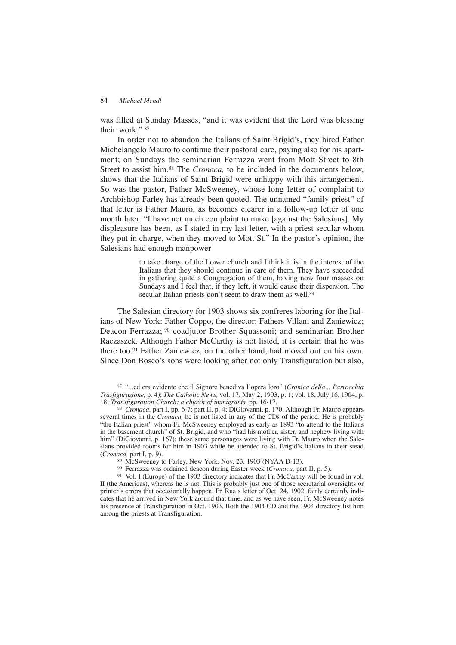was filled at Sunday Masses, "and it was evident that the Lord was blessing their work." <sup>87</sup>

In order not to abandon the Italians of Saint Brigid's, they hired Father Michelangelo Mauro to continue their pastoral care, paying also for his apartment; on Sundays the seminarian Ferrazza went from Mott Street to 8th Street to assist him.<sup>88</sup> The *Cronaca*, to be included in the documents below, shows that the Italians of Saint Brigid were unhappy with this arrangement. So was the pastor, Father McSweeney, whose long letter of complaint to Archbishop Farley has already been quoted. The unnamed "family priest" of that letter is Father Mauro, as becomes clearer in a follow-up letter of one month later: "I have not much complaint to make [against the Salesians]. My displeasure has been, as I stated in my last letter, with a priest secular whom they put in charge, when they moved to Mott St." In the pastor's opinion, the Salesians had enough manpower

> to take charge of the Lower church and I think it is in the interest of the Italians that they should continue in care of them. They have succeeded in gathering quite a Congregation of them, having now four masses on Sundays and I feel that, if they left, it would cause their dispersion. The secular Italian priests don't seem to draw them as well.<sup>89</sup>

The Salesian directory for 1903 shows six confreres laboring for the Italians of New York: Father Coppo, the director; Fathers Villani and Zaniewicz; Deacon Ferrazza; <sup>90</sup> coadjutor Brother Squassoni; and seminarian Brother Raczaszek. Although Father McCarthy is not listed, it is certain that he was there too.91 Father Zaniewicz, on the other hand, had moved out on his own. Since Don Bosco's sons were looking after not only Transfiguration but also,

<sup>87</sup> "...ed era evidente che il Signore benediva l'opera loro" (*Cronica della... Parrocchia Trasfigurazione,* p. 4); *The Catholic News,* vol. 17, May 2, 1903, p. 1; vol. 18, July 16, 1904, p. 18; *Transfiguration Church: a church of immigrants,* pp. 16-17.

<sup>88</sup> *Cronaca,* part I, pp. 6-7; part II, p. 4; DiGiovanni, p. 170. Although Fr. Mauro appears several times in the *Cronaca,* he is not listed in any of the CDs of the period. He is probably "the Italian priest" whom Fr. McSweeney employed as early as 1893 "to attend to the Italians in the basement church" of St. Brigid, and who "had his mother, sister, and nephew living with him" (DiGiovanni, p. 167); these same personages were living with Fr. Mauro when the Salesians provided rooms for him in 1903 while he attended to St. Brigid's Italians in their stead (*Cronaca,* part I, p. 9).

<sup>89</sup> McSweeney to Farley, New York, Nov. 23, 1903 (NYAA D-13).

<sup>90</sup> Ferrazza was ordained deacon during Easter week (*Cronaca,* part II, p. 5).

<sup>91</sup> Vol. I (Europe) of the 1903 directory indicates that Fr. McCarthy will be found in vol. II (the Americas), whereas he is not. This is probably just one of those secretarial oversights or printer's errors that occasionally happen. Fr. Rua's letter of Oct. 24, 1902, fairly certainly indicates that he arrived in New York around that time, and as we have seen, Fr. McSweeney notes his presence at Transfiguration in Oct. 1903. Both the 1904 CD and the 1904 directory list him among the priests at Transfiguration.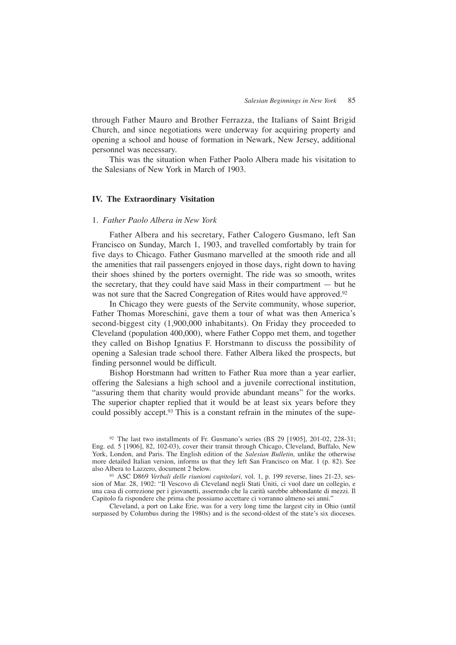through Father Mauro and Brother Ferrazza, the Italians of Saint Brigid Church, and since negotiations were underway for acquiring property and opening a school and house of formation in Newark, New Jersey, additional personnel was necessary.

This was the situation when Father Paolo Albera made his visitation to the Salesians of New York in March of 1903.

# **IV. The Extraordinary Visitation**

## 1. *Father Paolo Albera in New York*

Father Albera and his secretary, Father Calogero Gusmano, left San Francisco on Sunday, March 1, 1903, and travelled comfortably by train for five days to Chicago. Father Gusmano marvelled at the smooth ride and all the amenities that rail passengers enjoyed in those days, right down to having their shoes shined by the porters overnight. The ride was so smooth, writes the secretary, that they could have said Mass in their compartment — but he was not sure that the Sacred Congregation of Rites would have approved.<sup>92</sup>

In Chicago they were guests of the Servite community, whose superior, Father Thomas Moreschini, gave them a tour of what was then America's second-biggest city (1,900,000 inhabitants). On Friday they proceeded to Cleveland (population 400,000), where Father Coppo met them, and together they called on Bishop Ignatius F. Horstmann to discuss the possibility of opening a Salesian trade school there. Father Albera liked the prospects, but finding personnel would be difficult.

Bishop Horstmann had written to Father Rua more than a year earlier, offering the Salesians a high school and a juvenile correctional institution, "assuring them that charity would provide abundant means" for the works. The superior chapter replied that it would be at least six years before they could possibly accept.<sup>93</sup> This is a constant refrain in the minutes of the supe-

<sup>92</sup> The last two installments of Fr. Gusmano's series (BS 29 [1905], 201-02, 228-31; Eng. ed. 5 [1906], 82, 102-03), cover their transit through Chicago, Cleveland, Buffalo, New York, London, and Paris. The English edition of the *Salesian Bulletin,* unlike the otherwise more detailed Italian version, informs us that they left San Francisco on Mar. 1 (p. 82). See also Albera to Lazzero, document 2 below.

<sup>93</sup> ASC D869 *Verbali delle riunioni capitolari,* vol. 1, p. 199 reverse, lines 21-23, session of Mar. 28, 1902: "Il Vescovo di Cleveland negli Stati Uniti, ci vuol dare un collegio, e una casa di correzione per i giovanetti, asserendo che la carità sarebbe abbondante di mezzi. Il Capitolo fa rispondere che prima che possiamo accettare ci vorranno almeno sei anni."

Cleveland, a port on Lake Erie, was for a very long time the largest city in Ohio (until surpassed by Columbus during the 1980s) and is the second-oldest of the state's six dioceses.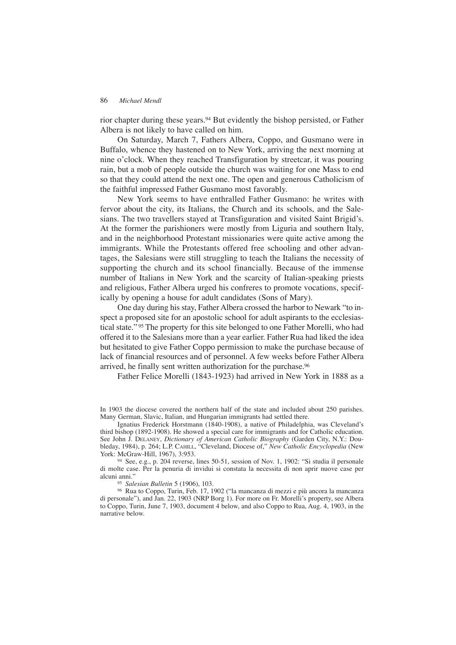rior chapter during these years.<sup>94</sup> But evidently the bishop persisted, or Father Albera is not likely to have called on him.

On Saturday, March 7, Fathers Albera, Coppo, and Gusmano were in Buffalo, whence they hastened on to New York, arriving the next morning at nine o'clock. When they reached Transfiguration by streetcar, it was pouring rain, but a mob of people outside the church was waiting for one Mass to end so that they could attend the next one. The open and generous Catholicism of the faithful impressed Father Gusmano most favorably.

New York seems to have enthralled Father Gusmano: he writes with fervor about the city, its Italians, the Church and its schools, and the Salesians. The two travellers stayed at Transfiguration and visited Saint Brigid's. At the former the parishioners were mostly from Liguria and southern Italy, and in the neighborhood Protestant missionaries were quite active among the immigrants. While the Protestants offered free schooling and other advantages, the Salesians were still struggling to teach the Italians the necessity of supporting the church and its school financially. Because of the immense number of Italians in New York and the scarcity of Italian-speaking priests and religious, Father Albera urged his confreres to promote vocations, specifically by opening a house for adult candidates (Sons of Mary).

One day during his stay, Father Albera crossed the harbor to Newark "to inspect a proposed site for an apostolic school for adult aspirants to the ecclesiastical state." <sup>95</sup> The property for this site belonged to one Father Morelli, who had offered it to the Salesians more than a year earlier. Father Rua had liked the idea but hesitated to give Father Coppo permission to make the purchase because of lack of financial resources and of personnel. A few weeks before Father Albera arrived, he finally sent written authorization for the purchase.96

Father Felice Morelli (1843-1923) had arrived in New York in 1888 as a

In 1903 the diocese covered the northern half of the state and included about 250 parishes. Many German, Slavic, Italian, and Hungarian immigrants had settled there.

Ignatius Frederick Horstmann (1840-1908), a native of Philadelphia, was Cleveland's third bishop (1892-1908). He showed a special care for immigrants and for Catholic education. See John J. DELANEY, *Dictionary of American Catholic Biography* (Garden City, N.Y.: Doubleday, 1984), p. 264; L.P. CAHILL, "Cleveland, Diocese of," *New Catholic Encyclopedia* (New York: McGraw-Hill, 1967), 3:953.

<sup>94</sup> See, e.g., p. 204 reverse, lines 50-51, session of Nov. 1, 1902: "Si studia il personale di molte case. Per la penuria di invidui si constata la necessita di non aprir nuove case per alcuni anni."

<sup>95</sup> *Salesian Bulletin* 5 (1906), 103.

<sup>96</sup> Rua to Coppo, Turin, Feb. 17, 1902 ("la mancanza di mezzi e più ancora la mancanza di personale"), and Jan. 22, 1903 (NRP Borg 1). For more on Fr. Morelli's property, see Albera to Coppo, Turin, June 7, 1903, document 4 below, and also Coppo to Rua, Aug. 4, 1903, in the narrative below.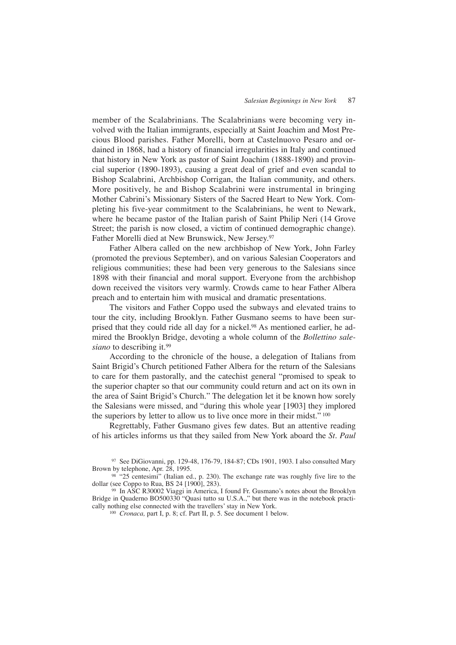member of the Scalabrinians. The Scalabrinians were becoming very involved with the Italian immigrants, especially at Saint Joachim and Most Precious Blood parishes. Father Morelli, born at Castelnuovo Pesaro and ordained in 1868, had a history of financial irregularities in Italy and continued that history in New York as pastor of Saint Joachim (1888-1890) and provincial superior (1890-1893), causing a great deal of grief and even scandal to Bishop Scalabrini, Archbishop Corrigan, the Italian community, and others. More positively, he and Bishop Scalabrini were instrumental in bringing Mother Cabrini's Missionary Sisters of the Sacred Heart to New York. Completing his five-year commitment to the Scalabrinians, he went to Newark, where he became pastor of the Italian parish of Saint Philip Neri (14 Grove Street; the parish is now closed, a victim of continued demographic change). Father Morelli died at New Brunswick, New Jersey.97

Father Albera called on the new archbishop of New York, John Farley (promoted the previous September), and on various Salesian Cooperators and religious communities; these had been very generous to the Salesians since 1898 with their financial and moral support. Everyone from the archbishop down received the visitors very warmly. Crowds came to hear Father Albera preach and to entertain him with musical and dramatic presentations.

The visitors and Father Coppo used the subways and elevated trains to tour the city, including Brooklyn. Father Gusmano seems to have been surprised that they could ride all day for a nickel.<sup>98</sup> As mentioned earlier, he admired the Brooklyn Bridge, devoting a whole column of the *Bollettino salesiano* to describing it.99

According to the chronicle of the house, a delegation of Italians from Saint Brigid's Church petitioned Father Albera for the return of the Salesians to care for them pastorally, and the catechist general "promised to speak to the superior chapter so that our community could return and act on its own in the area of Saint Brigid's Church." The delegation let it be known how sorely the Salesians were missed, and "during this whole year [1903] they implored the superiors by letter to allow us to live once more in their midst." <sup>100</sup>

Regrettably, Father Gusmano gives few dates. But an attentive reading of his articles informs us that they sailed from New York aboard the *St. Paul*

<sup>97</sup> See DiGiovanni, pp. 129-48, 176-79, 184-87; CDs 1901, 1903. I also consulted Mary Brown by telephone, Apr. 28, 1995.

98 "25 centesimi" (Italian ed., p. 230). The exchange rate was roughly five lire to the dollar (see Coppo to Rua, BS 24 [1900], 283).

<sup>99</sup> In ASC R30002 Viaggi in America, I found Fr. Gusmano's notes about the Brooklyn Bridge in Quaderno BO500330 "Quasi tutto su U.S.A.," but there was in the notebook practically nothing else connected with the travellers' stay in New York.

<sup>100</sup> *Cronaca,* part I, p. 8; cf. Part II, p. 5. See document 1 below.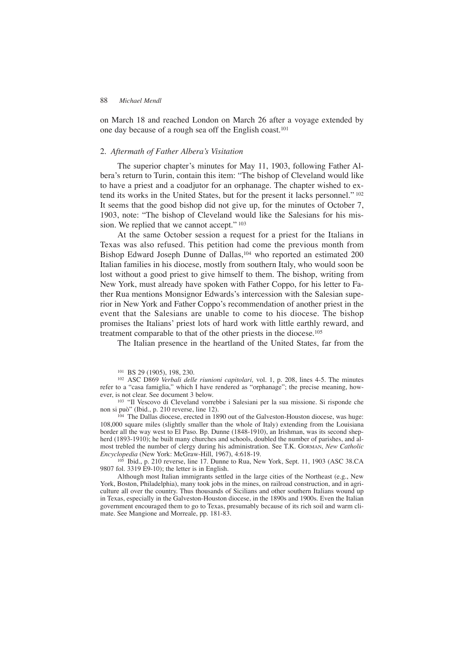on March 18 and reached London on March 26 after a voyage extended by one day because of a rough sea off the English coast.101

# 2. *Aftermath of Father Albera's Visitation*

The superior chapter's minutes for May 11, 1903, following Father Albera's return to Turin, contain this item: "The bishop of Cleveland would like to have a priest and a coadjutor for an orphanage. The chapter wished to extend its works in the United States, but for the present it lacks personnel." <sup>102</sup> It seems that the good bishop did not give up, for the minutes of October 7, 1903, note: "The bishop of Cleveland would like the Salesians for his mission. We replied that we cannot accept." 103

At the same October session a request for a priest for the Italians in Texas was also refused. This petition had come the previous month from Bishop Edward Joseph Dunne of Dallas,104 who reported an estimated 200 Italian families in his diocese, mostly from southern Italy, who would soon be lost without a good priest to give himself to them. The bishop, writing from New York, must already have spoken with Father Coppo, for his letter to Father Rua mentions Monsignor Edwards's intercession with the Salesian superior in New York and Father Coppo's recommendation of another priest in the event that the Salesians are unable to come to his diocese. The bishop promises the Italians' priest lots of hard work with little earthly reward, and treatment comparable to that of the other priests in the diocese.105

The Italian presence in the heartland of the United States, far from the

<sup>102</sup> ASC D869 *Verbali delle riunioni capitolari,* vol. 1, p. 208, lines 4-5. The minutes refer to a "casa famiglia," which I have rendered as "orphanage"; the precise meaning, however, is not clear. See document 3 below.

<sup>103</sup> "Il Vescovo di Cleveland vorrebbe i Salesiani per la sua missione. Si risponde che non si può" (Ibid., p. 210 reverse, line 12).

<sup>104</sup> The Dallas diocese, erected in 1890 out of the Galveston-Houston diocese, was huge: 108,000 square miles (slightly smaller than the whole of Italy) extending from the Louisiana border all the way west to El Paso. Bp. Dunne (1848-1910), an Irishman, was its second shepherd (1893-1910); he built many churches and schools, doubled the number of parishes, and almost trebled the number of clergy during his administration. See T.K. GORMAN, *New Catholic Encyclopedia* (New York: McGraw-Hill, 1967), 4:618-19.

<sup>105</sup> Ibid., p. 210 reverse, line 17. Dunne to Rua, New York, Sept. 11, 1903 (ASC 38.CA 9807 fol. 3319 E9-10); the letter is in English.

Although most Italian immigrants settled in the large cities of the Northeast (e.g., New York, Boston, Philadelphia), many took jobs in the mines, on railroad construction, and in agriculture all over the country. Thus thousands of Sicilians and other southern Italians wound up in Texas, especially in the Galveston-Houston diocese, in the 1890s and 1900s. Even the Italian government encouraged them to go to Texas, presumably because of its rich soil and warm climate. See Mangione and Morreale, pp. 181-83.

<sup>101</sup> BS 29 (1905), 198, 230.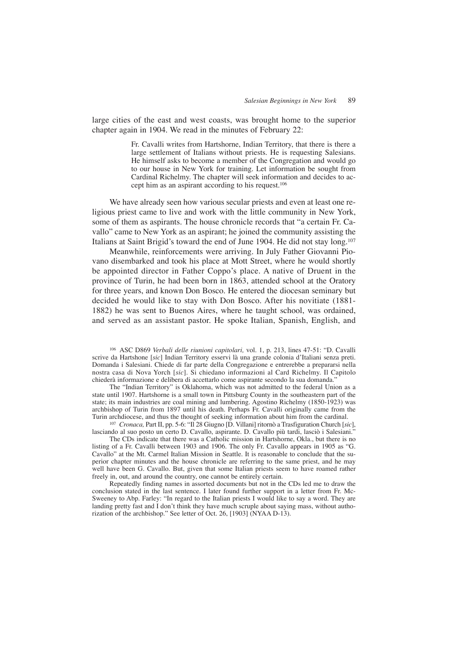large cities of the east and west coasts, was brought home to the superior chapter again in 1904. We read in the minutes of February 22:

> Fr. Cavalli writes from Hartshorne, Indian Territory, that there is there a large settlement of Italians without priests. He is requesting Salesians. He himself asks to become a member of the Congregation and would go to our house in New York for training. Let information be sought from Cardinal Richelmy. The chapter will seek information and decides to accept him as an aspirant according to his request.106

We have already seen how various secular priests and even at least one religious priest came to live and work with the little community in New York, some of them as aspirants. The house chronicle records that "a certain Fr. Cavallo" came to New York as an aspirant; he joined the community assisting the Italians at Saint Brigid's toward the end of June 1904. He did not stay long.107

Meanwhile, reinforcements were arriving. In July Father Giovanni Piovano disembarked and took his place at Mott Street, where he would shortly be appointed director in Father Coppo's place. A native of Druent in the province of Turin, he had been born in 1863, attended school at the Oratory for three years, and known Don Bosco. He entered the diocesan seminary but decided he would like to stay with Don Bosco. After his novitiate (1881- 1882) he was sent to Buenos Aires, where he taught school, was ordained, and served as an assistant pastor. He spoke Italian, Spanish, English, and

<sup>106</sup> ASC D869 *Verbali delle riunioni capitolari,* vol. 1, p. 213, lines 47-51: "D. Cavalli scrive da Hartshone [*sic*] Indian Territory esservi là una grande colonia d'Italiani senza preti. Domanda i Salesiani. Chiede di far parte della Congregazione e entrerebbe a prepararsi nella nostra casa di Nova Yorch [*sic*]. Si chiedano informazioni al Card Richelmy. Il Capitolo chiederà informazione e delibera di accettarlo come aspirante secondo la sua domanda."

The "Indian Territory" is Oklahoma, which was not admitted to the federal Union as a state until 1907. Hartshorne is a small town in Pittsburg County in the southeastern part of the state; its main industries are coal mining and lumbering. Agostino Richelmy (1850-1923) was archbishop of Turin from 1897 until his death. Perhaps Fr. Cavalli originally came from the Turin archdiocese, and thus the thought of seeking information about him from the cardinal.

<sup>107</sup> *Cronaca,* Part II, pp. 5-6: "Il 28 Giugno [D. Villani] ritornò a Trasfiguration Church [*sic*], lasciando al suo posto un certo D. Cavallo, aspirante. D. Cavallo più tardi, lasciò i Salesiani."

The CDs indicate that there was a Catholic mission in Hartshorne, Okla., but there is no listing of a Fr. Cavalli between 1903 and 1906. The only Fr. Cavallo appears in 1905 as "G. Cavallo" at the Mt. Carmel Italian Mission in Seattle. It is reasonable to conclude that the superior chapter minutes and the house chronicle are referring to the same priest, and he may well have been G. Cavallo. But, given that some Italian priests seem to have roamed rather freely in, out, and around the country, one cannot be entirely certain.

Repeatedly finding names in assorted documents but not in the CDs led me to draw the conclusion stated in the last sentence. I later found further support in a letter from Fr. Mc-Sweeney to Abp. Farley: "In regard to the Italian priests I would like to say a word. They are landing pretty fast and I don't think they have much scruple about saying mass, without authorization of the archbishop." See letter of Oct. 26, [1903] (NYAA D-13).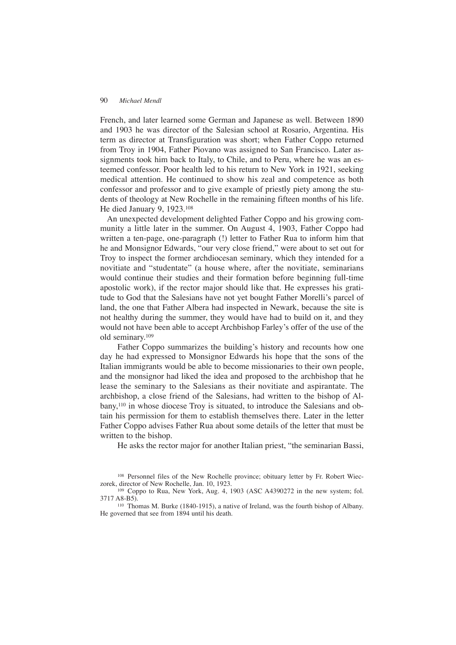French, and later learned some German and Japanese as well. Between 1890 and 1903 he was director of the Salesian school at Rosario, Argentina. His term as director at Transfiguration was short; when Father Coppo returned from Troy in 1904, Father Piovano was assigned to San Francisco. Later assignments took him back to Italy, to Chile, and to Peru, where he was an esteemed confessor. Poor health led to his return to New York in 1921, seeking medical attention. He continued to show his zeal and competence as both confessor and professor and to give example of priestly piety among the students of theology at New Rochelle in the remaining fifteen months of his life. He died January 9, 1923.108

An unexpected development delighted Father Coppo and his growing community a little later in the summer. On August 4, 1903, Father Coppo had written a ten-page, one-paragraph (!) letter to Father Rua to inform him that he and Monsignor Edwards, "our very close friend," were about to set out for Troy to inspect the former archdiocesan seminary, which they intended for a novitiate and "studentate" (a house where, after the novitiate, seminarians would continue their studies and their formation before beginning full-time apostolic work), if the rector major should like that. He expresses his gratitude to God that the Salesians have not yet bought Father Morelli's parcel of land, the one that Father Albera had inspected in Newark, because the site is not healthy during the summer, they would have had to build on it, and they would not have been able to accept Archbishop Farley's offer of the use of the old seminary.109

Father Coppo summarizes the building's history and recounts how one day he had expressed to Monsignor Edwards his hope that the sons of the Italian immigrants would be able to become missionaries to their own people, and the monsignor had liked the idea and proposed to the archbishop that he lease the seminary to the Salesians as their novitiate and aspirantate. The archbishop, a close friend of the Salesians, had written to the bishop of Albany,110 in whose diocese Troy is situated, to introduce the Salesians and obtain his permission for them to establish themselves there. Later in the letter Father Coppo advises Father Rua about some details of the letter that must be written to the bishop.

He asks the rector major for another Italian priest, "the seminarian Bassi,

<sup>110</sup> Thomas M. Burke (1840-1915), a native of Ireland, was the fourth bishop of Albany. He governed that see from 1894 until his death.

<sup>108</sup> Personnel files of the New Rochelle province; obituary letter by Fr. Robert Wieczorek, director of New Rochelle, Jan. 10, 1923.

<sup>109</sup> Coppo to Rua, New York, Aug. 4, 1903 (ASC A4390272 in the new system; fol. 3717 A8-B5).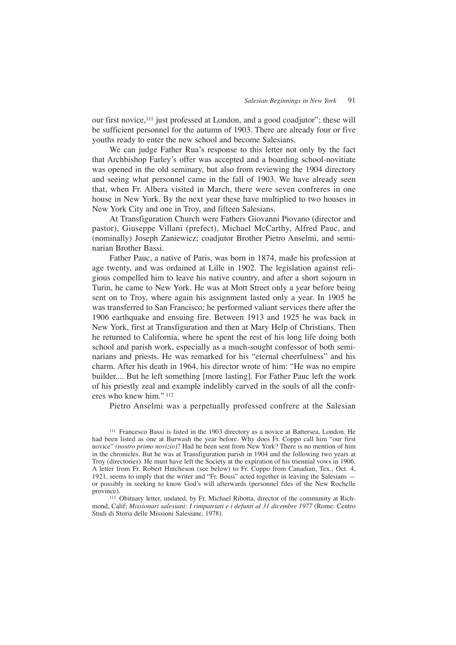our first novice,111 just professed at London, and a good coadjutor"; these will be sufficient personnel for the autumn of 1903. There are already four or five youths ready to enter the new school and become Salesians.

We can judge Father Rua's response to this letter not only by the fact that Archbishop Farley's offer was accepted and a boarding school-novitiate was opened in the old seminary, but also from reviewing the 1904 directory and seeing what personnel came in the fall of 1903. We have already seen that, when Fr. Albera visited in March, there were seven confreres in one house in New York. By the next year these have multiplied to two houses in New York City and one in Troy, and fifteen Salesians.

At Transfiguration Church were Fathers Giovanni Piovano (director and pastor), Giuseppe Villani (prefect), Michael McCarthy, Alfred Pauc, and (nominally) Joseph Zaniewicz; coadjutor Brother Pietro Anselmi, and seminarian Brother Bassi.

Father Pauc, a native of Paris, was born in 1874, made his profession at age twenty, and was ordained at Lille in 1902. The legislation against religious compelled him to leave his native country, and after a short sojourn in Turin, he came to New York. He was at Mott Street only a year before being sent on to Troy, where again his assignment lasted only a year. In 1905 he was transferred to San Francisco; he performed valiant services there after the 1906 earthquake and ensuing fire. Between 1913 and 1925 he was back in New York, first at Transfiguration and then at Mary Help of Christians. Then he returned to California, where he spent the rest of his long life doing both school and parish work, especially as a much-sought confessor of both seminarians and priests. He was remarked for his "eternal cheerfulness" and his charm. After his death in 1964, his director wrote of him: "He was no empire builder.... But he left something [more lasting]. For Father Pauc left the work of his priestly zeal and example indelibly carved in the souls of all the confreres who knew him." <sup>112</sup>

Pietro Anselmi was a perpetually professed confrere at the Salesian

<sup>111</sup> Francesco Bassi is listed in the 1903 directory as a novice at Battersea, London. He had been listed as one at Burwash the year before. Why does Fr. Coppo call him "our first novice" *(nostro primo novizio)*? Had he been sent from New York? There is no mention of him in the chronicles. But he was at Transfiguration parish in 1904 and the following two years at Troy (directories). He must have left the Society at the expiration of his triennial vows in 1906. A letter from Fr. Robert Hutcheson (see below) to Fr. Coppo from Canadian, Tex., Oct. 4, 1921, seems to imply that the writer and "Fr. Bossi" acted together in leaving the Salesians or possibly in seeking to know God's will afterwards (personnel files of the New Rochelle province).

<sup>112</sup> Obituary letter, undated, by Fr. Michael Ribotta, director of the community at Richmond, Calif; *Missionari salesiani: I rimpatriati e i defunti al 31 dicembre 1977* (Rome: Centro Studi di Storia delle Missioni Salesiane, 1978).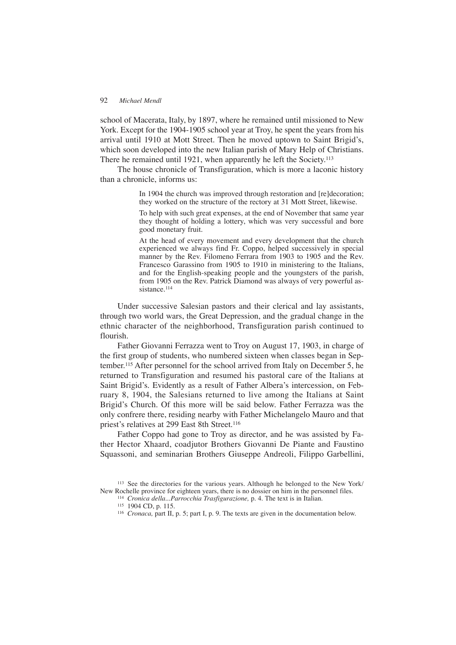school of Macerata, Italy, by 1897, where he remained until missioned to New York. Except for the 1904-1905 school year at Troy, he spent the years from his arrival until 1910 at Mott Street. Then he moved uptown to Saint Brigid's, which soon developed into the new Italian parish of Mary Help of Christians. There he remained until 1921, when apparently he left the Society.<sup>113</sup>

The house chronicle of Transfiguration, which is more a laconic history than a chronicle, informs us:

> In 1904 the church was improved through restoration and [re]decoration; they worked on the structure of the rectory at 31 Mott Street, likewise.

> To help with such great expenses, at the end of November that same year they thought of holding a lottery, which was very successful and bore good monetary fruit.

> At the head of every movement and every development that the church experienced we always find Fr. Coppo, helped successively in special manner by the Rev. Filomeno Ferrara from 1903 to 1905 and the Rev. Francesco Garassino from 1905 to 1910 in ministering to the Italians, and for the English-speaking people and the youngsters of the parish, from 1905 on the Rev. Patrick Diamond was always of very powerful assistance.<sup>114</sup>

Under successive Salesian pastors and their clerical and lay assistants, through two world wars, the Great Depression, and the gradual change in the ethnic character of the neighborhood, Transfiguration parish continued to flourish.

Father Giovanni Ferrazza went to Troy on August 17, 1903, in charge of the first group of students, who numbered sixteen when classes began in September.115 After personnel for the school arrived from Italy on December 5, he returned to Transfiguration and resumed his pastoral care of the Italians at Saint Brigid's. Evidently as a result of Father Albera's intercession, on February 8, 1904, the Salesians returned to live among the Italians at Saint Brigid's Church. Of this more will be said below. Father Ferrazza was the only confrere there, residing nearby with Father Michelangelo Mauro and that priest's relatives at 299 East 8th Street.<sup>116</sup>

Father Coppo had gone to Troy as director, and he was assisted by Father Hector Xhaard, coadjutor Brothers Giovanni De Piante and Faustino Squassoni, and seminarian Brothers Giuseppe Andreoli, Filippo Garbellini,

<sup>113</sup> See the directories for the various years. Although he belonged to the New York/ New Rochelle province for eighteen years, there is no dossier on him in the personnel files.

<sup>114</sup> *Cronica della...Parrocchia Trasfigurazione,* p. 4. The text is in Italian.

<sup>115</sup> 1904 CD, p. 115.

<sup>116</sup> *Cronaca,* part II, p. 5; part I, p. 9. The texts are given in the documentation below.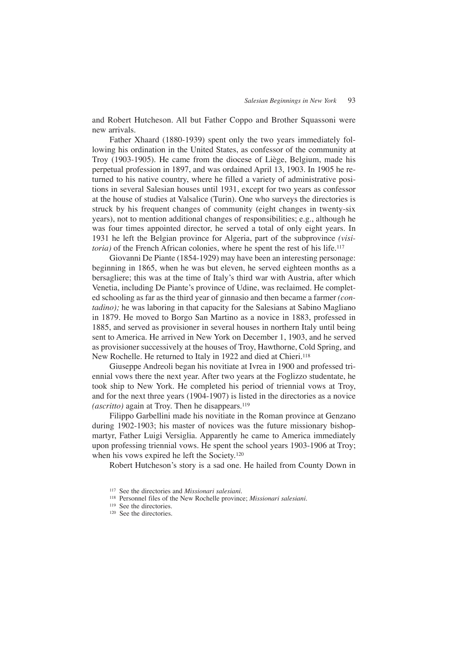and Robert Hutcheson. All but Father Coppo and Brother Squassoni were new arrivals.

Father Xhaard (1880-1939) spent only the two years immediately following his ordination in the United States, as confessor of the community at Troy (1903-1905). He came from the diocese of Liège, Belgium, made his perpetual profession in 1897, and was ordained April 13, 1903. In 1905 he returned to his native country, where he filled a variety of administrative positions in several Salesian houses until 1931, except for two years as confessor at the house of studies at Valsalice (Turin). One who surveys the directories is struck by his frequent changes of community (eight changes in twenty-six years), not to mention additional changes of responsibilities; e.g., although he was four times appointed director, he served a total of only eight years. In 1931 he left the Belgian province for Algeria, part of the subprovince *(visitoria*) of the French African colonies, where he spent the rest of his life.<sup>117</sup>

Giovanni De Piante (1854-1929) may have been an interesting personage: beginning in 1865, when he was but eleven, he served eighteen months as a bersagliere; this was at the time of Italy's third war with Austria, after which Venetia, including De Piante's province of Udine, was reclaimed. He completed schooling as far as the third year of ginnasio and then became a farmer *(contadino);* he was laboring in that capacity for the Salesians at Sabino Magliano in 1879. He moved to Borgo San Martino as a novice in 1883, professed in 1885, and served as provisioner in several houses in northern Italy until being sent to America. He arrived in New York on December 1, 1903, and he served as provisioner successively at the houses of Troy, Hawthorne, Cold Spring, and New Rochelle. He returned to Italy in 1922 and died at Chieri.<sup>118</sup>

Giuseppe Andreoli began his novitiate at Ivrea in 1900 and professed triennial vows there the next year. After two years at the Foglizzo studentate, he took ship to New York. He completed his period of triennial vows at Troy, and for the next three years (1904-1907) is listed in the directories as a novice *(ascritto)* again at Troy. Then he disappears.<sup>119</sup>

Filippo Garbellini made his novitiate in the Roman province at Genzano during 1902-1903; his master of novices was the future missionary bishopmartyr, Father Luigi Versiglia. Apparently he came to America immediately upon professing triennial vows. He spent the school years 1903-1906 at Troy; when his vows expired he left the Society.120

Robert Hutcheson's story is a sad one. He hailed from County Down in

<sup>117</sup> See the directories and *Missionari salesiani.*

<sup>118</sup> Personnel files of the New Rochelle province; *Missionari salesiani.*

<sup>119</sup> See the directories.

<sup>&</sup>lt;sup>120</sup> See the directories.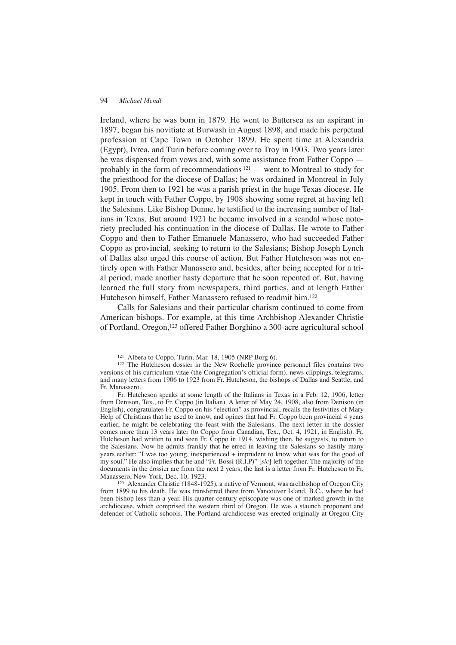Ireland, where he was born in 1879. He went to Battersea as an aspirant in 1897, began his novitiate at Burwash in August 1898, and made his perpetual profession at Cape Town in October 1899. He spent time at Alexandria (Egypt), Ivrea, and Turin before coming over to Troy in 1903. Two years later he was dispensed from vows and, with some assistance from Father Coppo probably in the form of recommendations  $121$  — went to Montreal to study for the priesthood for the diocese of Dallas; he was ordained in Montreal in July 1905. From then to 1921 he was a parish priest in the huge Texas diocese. He kept in touch with Father Coppo, by 1908 showing some regret at having left the Salesians. Like Bishop Dunne, he testified to the increasing number of Italians in Texas. But around 1921 he became involved in a scandal whose notoriety precluded his continuation in the diocese of Dallas. He wrote to Father Coppo and then to Father Emanuele Manassero, who had succeeded Father Coppo as provincial, seeking to return to the Salesians; Bishop Joseph Lynch of Dallas also urged this course of action. But Father Hutcheson was not entirely open with Father Manassero and, besides, after being accepted for a trial period, made another hasty departure that he soon repented of. But, having learned the full story from newspapers, third parties, and at length Father Hutcheson himself, Father Manassero refused to readmit him.122

Calls for Salesians and their particular charism continued to come from American bishops. For example, at this time Archbishop Alexander Christie of Portland, Oregon,123 offered Father Borghino a 300-acre agricultural school

Fr. Hutcheson speaks at some length of the Italians in Texas in a Feb. 12, 1906, letter from Denison, Tex., to Fr. Coppo (in Italian). A letter of May 24, 1908, also from Denison (in English), congratulates Fr. Coppo on his "election" as provincial, recalls the festivities of Mary Help of Christians that he used to know, and opines that had Fr. Coppo been provincial 4 years earlier, he might be celebrating the feast with the Salesians. The next letter in the dossier comes more than 13 years later (to Coppo from Canadian, Tex., Oct. 4, 1921, in English). Fr. Hutcheson had written to and seen Fr. Coppo in 1914, wishing then, he suggests, to return to the Salesians. Now he admits frankly that he erred in leaving the Salesians so hastily many years earlier: "I was too young, inexperienced + imprudent to know what was for the good of my soul." He also implies that he and "Fr. Bossi (R.I.P)" [*sic*] left together. The majority of the documents in the dossier are from the next 2 years; the last is a letter from Fr. Hutcheson to Fr. Manassero, New York, Dec. 10, 1923.

<sup>123</sup> Alexander Christie (1848-1925), a native of Vermont, was archbishop of Oregon City from 1899 to his death. He was transferred there from Vancouver Island, B.C., where he had been bishop less than a year. His quarter-century episcopate was one of marked growth in the archdiocese, which comprised the western third of Oregon. He was a staunch proponent and defender of Catholic schools. The Portland archdiocese was erected originally at Oregon City

<sup>121</sup> Albera to Coppo, Turin, Mar. 18, 1905 (NRP Borg 6).

<sup>122</sup> The Hutcheson dossier in the New Rochelle province personnel files contains two versions of his curriculum vitae (the Congregation's official form), news clippings, telegrams, and many letters from 1906 to 1923 from Fr. Hutcheson, the bishops of Dallas and Seattle, and Fr. Manassero.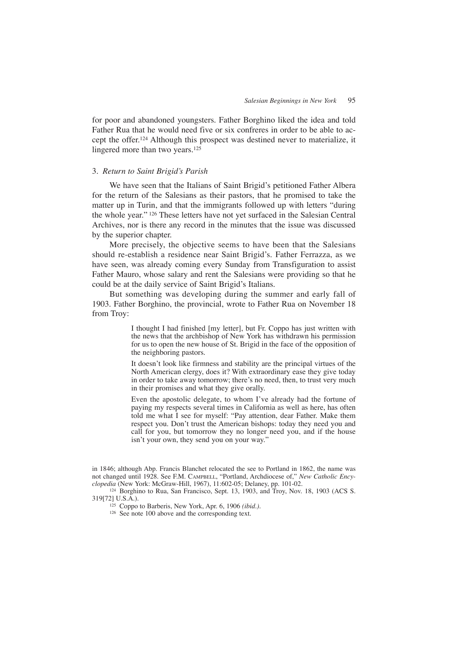for poor and abandoned youngsters. Father Borghino liked the idea and told Father Rua that he would need five or six confreres in order to be able to accept the offer.124 Although this prospect was destined never to materialize, it lingered more than two years.125

# 3. *Return to Saint Brigid's Parish*

We have seen that the Italians of Saint Brigid's petitioned Father Albera for the return of the Salesians as their pastors, that he promised to take the matter up in Turin, and that the immigrants followed up with letters "during the whole year." <sup>126</sup> These letters have not yet surfaced in the Salesian Central Archives, nor is there any record in the minutes that the issue was discussed by the superior chapter.

More precisely, the objective seems to have been that the Salesians should re-establish a residence near Saint Brigid's. Father Ferrazza, as we have seen, was already coming every Sunday from Transfiguration to assist Father Mauro, whose salary and rent the Salesians were providing so that he could be at the daily service of Saint Brigid's Italians.

But something was developing during the summer and early fall of 1903. Father Borghino, the provincial, wrote to Father Rua on November 18 from Troy:

> I thought I had finished [my letter], but Fr. Coppo has just written with the news that the archbishop of New York has withdrawn his permission for us to open the new house of St. Brigid in the face of the opposition of the neighboring pastors.

> It doesn't look like firmness and stability are the principal virtues of the North American clergy, does it? With extraordinary ease they give today in order to take away tomorrow; there's no need, then, to trust very much in their promises and what they give orally.

> Even the apostolic delegate, to whom I've already had the fortune of paying my respects several times in California as well as here, has often told me what I see for myself: "Pay attention, dear Father. Make them respect you. Don't trust the American bishops: today they need you and call for you, but tomorrow they no longer need you, and if the house isn't your own, they send you on your way."

in 1846; although Abp. Francis Blanchet relocated the see to Portland in 1862, the name was not changed until 1928. See F.M. CAMPBELL, "Portland, Archdiocese of," *New Catholic Encyclopedia* (New York: McGraw-Hill, 1967), 11:602-05; Delaney, pp. 101-02.

<sup>124</sup> Borghino to Rua, San Francisco, Sept. 13, 1903, and Troy, Nov. 18, 1903 (ACS S. 319[72] U.S.A.).

<sup>125</sup> Coppo to Barberis, New York, Apr. 6, 1906 *(ibid.).*

<sup>126</sup> See note 100 above and the corresponding text.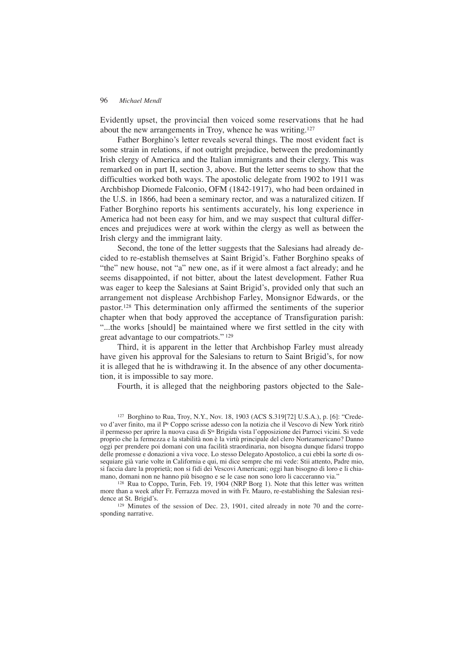Evidently upset, the provincial then voiced some reservations that he had about the new arrangements in Troy, whence he was writing.<sup>127</sup>

Father Borghino's letter reveals several things. The most evident fact is some strain in relations, if not outright prejudice, between the predominantly Irish clergy of America and the Italian immigrants and their clergy. This was remarked on in part II, section 3, above. But the letter seems to show that the difficulties worked both ways. The apostolic delegate from 1902 to 1911 was Archbishop Diomede Falconio, OFM (1842-1917), who had been ordained in the U.S. in 1866, had been a seminary rector, and was a naturalized citizen. If Father Borghino reports his sentiments accurately, his long experience in America had not been easy for him, and we may suspect that cultural differences and prejudices were at work within the clergy as well as between the Irish clergy and the immigrant laity.

Second, the tone of the letter suggests that the Salesians had already decided to re-establish themselves at Saint Brigid's. Father Borghino speaks of "the" new house, not "a" new one, as if it were almost a fact already; and he seems disappointed, if not bitter, about the latest development. Father Rua was eager to keep the Salesians at Saint Brigid's, provided only that such an arrangement not displease Archbishop Farley, Monsignor Edwards, or the pastor.128 This determination only affirmed the sentiments of the superior chapter when that body approved the acceptance of Transfiguration parish: "...the works [should] be maintained where we first settled in the city with great advantage to our compatriots." <sup>129</sup>

Third, it is apparent in the letter that Archbishop Farley must already have given his approval for the Salesians to return to Saint Brigid's, for now it is alleged that he is withdrawing it. In the absence of any other documentation, it is impossible to say more.

Fourth, it is alleged that the neighboring pastors objected to the Sale-

<sup>127</sup> Borghino to Rua, Troy, N.Y., Nov. 18, 1903 (ACS S.319[72] U.S.A.), p. [6]: "Credevo d'aver finito, ma il Pe Coppo scrisse adesso con la notizia che il Vescovo di New York ritirò il permesso per aprire la nuova casa di Sta Brigida vista l'opposizione dei Parroci vicini. Si vede proprio che la fermezza e la stabilità non è la virtù principale del clero Norteamericano? Danno oggi per prendere poi domani con una facilità straordinaria, non bisogna dunque fidarsi troppo delle promesse e donazioni a viva voce. Lo stesso Delegato Apostolico, a cui ebbi la sorte di ossequiare già varie volte in California e qui, mi dice sempre che mi vede: Stii attento, Padre mio, si faccia dare la proprietà; non si fidi dei Vescovi Americani; oggi han bisogno di loro e li chiamano, domani non ne hanno più bisogno e se le case non sono loro li cacceranno via."

<sup>128</sup> Rua to Coppo, Turin, Feb. 19, 1904 (NRP Borg 1). Note that this letter was written more than a week after Fr. Ferrazza moved in with Fr. Mauro, re-establishing the Salesian residence at St. Brigid's.

<sup>129</sup> Minutes of the session of Dec. 23, 1901, cited already in note 70 and the corresponding narrative.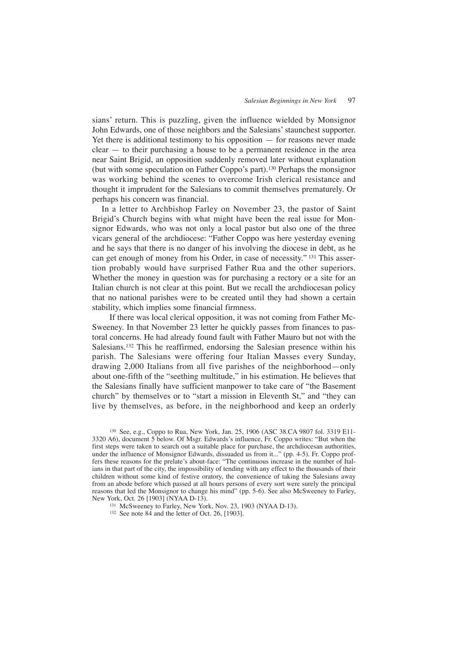sians' return. This is puzzling, given the influence wielded by Monsignor John Edwards, one of those neighbors and the Salesians' staunchest supporter. Yet there is additional testimony to his opposition — for reasons never made clear — to their purchasing a house to be a permanent residence in the area near Saint Brigid, an opposition suddenly removed later without explanation (but with some speculation on Father Coppo's part).130 Perhaps the monsignor was working behind the scenes to overcome Irish clerical resistance and thought it imprudent for the Salesians to commit themselves prematurely. Or perhaps his concern was financial.

In a letter to Archbishop Farley on November 23, the pastor of Saint Brigid's Church begins with what might have been the real issue for Monsignor Edwards, who was not only a local pastor but also one of the three vicars general of the archdiocese: "Father Coppo was here yesterday evening and he says that there is no danger of his involving the diocese in debt, as he can get enough of money from his Order, in case of necessity." <sup>131</sup> This assertion probably would have surprised Father Rua and the other superiors. Whether the money in question was for purchasing a rectory or a site for an Italian church is not clear at this point. But we recall the archdiocesan policy that no national parishes were to be created until they had shown a certain stability, which implies some financial firmness.

If there was local clerical opposition, it was not coming from Father Mc-Sweeney. In that November 23 letter he quickly passes from finances to pastoral concerns. He had already found fault with Father Mauro but not with the Salesians.132 This he reaffirmed, endorsing the Salesian presence within his parish. The Salesians were offering four Italian Masses every Sunday, drawing 2,000 Italians from all five parishes of the neighborhood—only about one-fifth of the "seething multitude," in his estimation. He believes that the Salesians finally have sufficient manpower to take care of "the Basement church" by themselves or to "start a mission in Eleventh St," and "they can live by themselves, as before, in the neighborhood and keep an orderly

<sup>130</sup> See, e.g., Coppo to Rua, New York, Jan. 25, 1906 (ASC 38.CA 9807 fol. 3319 E11- 3320 A6), document 5 below. Of Msgr. Edwards's influence, Fr. Coppo writes: "But when the first steps were taken to search out a suitable place for purchase, the archdiocesan authorities, under the influence of Monsignor Edwards, dissuaded us from it..." (pp. 4-5). Fr. Coppo proffers these reasons for the prelate's about-face: "The continuous increase in the number of Italians in that part of the city, the impossibility of tending with any effect to the thousands of their children without some kind of festive oratory, the convenience of taking the Salesians away from an abode before which passed at all hours persons of every sort were surely the principal reasons that led the Monsignor to change his mind" (pp. 5-6). See also McSweeney to Farley, New York, Oct. 26 [1903] (NYAA D-13).

<sup>131</sup> McSweeney to Farley, New York, Nov. 23, 1903 (NYAA D-13).

<sup>132</sup> See note 84 and the letter of Oct. 26, [1903].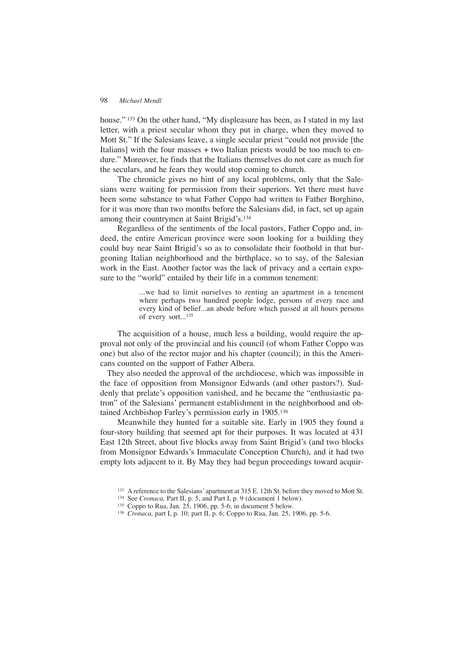house."<sup>133</sup> On the other hand, "My displeasure has been, as I stated in my last letter, with a priest secular whom they put in charge, when they moved to Mott St." If the Salesians leave, a single secular priest "could not provide [the Italians] with the four masses  $+$  two Italian priests would be too much to endure." Moreover, he finds that the Italians themselves do not care as much for the seculars, and he fears they would stop coming to church.

The chronicle gives no hint of any local problems, only that the Salesians were waiting for permission from their superiors. Yet there must have been some substance to what Father Coppo had written to Father Borghino, for it was more than two months before the Salesians did, in fact, set up again among their countrymen at Saint Brigid's.134

Regardless of the sentiments of the local pastors, Father Coppo and, indeed, the entire American province were soon looking for a building they could buy near Saint Brigid's so as to consolidate their foothold in that burgeoning Italian neighborhood and the birthplace, so to say, of the Salesian work in the East. Another factor was the lack of privacy and a certain exposure to the "world" entailed by their life in a common tenement:

> ...we had to limit ourselves to renting an apartment in a tenement where perhaps two hundred people lodge, persons of every race and every kind of belief...an abode before which passed at all hours persons of every sort...<sup>135</sup>

The acquisition of a house, much less a building, would require the approval not only of the provincial and his council (of whom Father Coppo was one) but also of the rector major and his chapter (council); in this the Americans counted on the support of Father Albera.

They also needed the approval of the archdiocese, which was impossible in the face of opposition from Monsignor Edwards (and other pastors?). Suddenly that prelate's opposition vanished, and he became the "enthusiastic patron" of the Salesians' permanent establishment in the neighborhood and obtained Archbishop Farley's permission early in 1905.136

Meanwhile they hunted for a suitable site. Early in 1905 they found a four-story building that seemed apt for their purposes. It was located at 431 East 12th Street, about five blocks away from Saint Brigid's (and two blocks from Monsignor Edwards's Immaculate Conception Church), and it had two empty lots adjacent to it. By May they had begun proceedings toward acquir-

<sup>133</sup> A reference to the Salesians' apartment at 315 E. 12th St. before they moved to Mott St.

<sup>134</sup> See *Cronaca,* Part II, p. 5, and Part I, p. 9 (document 1 below).

<sup>135</sup> Coppo to Rua, Jan. 25, 1906, pp. 5-6, in document 5 below.

<sup>136</sup> *Cronaca,* part I, p. 10; part II, p. 6; Coppo to Rua, Jan. 25, 1906, pp. 5-6.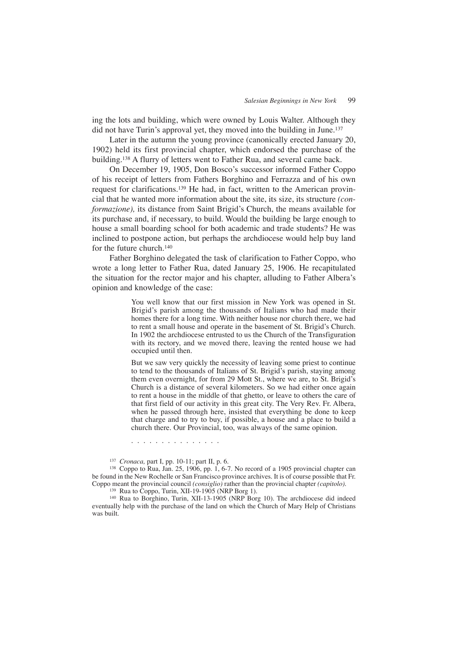ing the lots and building, which were owned by Louis Walter. Although they did not have Turin's approval yet, they moved into the building in June.<sup>137</sup>

Later in the autumn the young province (canonically erected January 20, 1902) held its first provincial chapter, which endorsed the purchase of the building.138 A flurry of letters went to Father Rua, and several came back.

On December 19, 1905, Don Bosco's successor informed Father Coppo of his receipt of letters from Fathers Borghino and Ferrazza and of his own request for clarifications.139 He had, in fact, written to the American provincial that he wanted more information about the site, its size, its structure *(conformazione),* its distance from Saint Brigid's Church, the means available for its purchase and, if necessary, to build. Would the building be large enough to house a small boarding school for both academic and trade students? He was inclined to postpone action, but perhaps the archdiocese would help buy land for the future church.140

Father Borghino delegated the task of clarification to Father Coppo, who wrote a long letter to Father Rua, dated January 25, 1906. He recapitulated the situation for the rector major and his chapter, alluding to Father Albera's opinion and knowledge of the case:

> You well know that our first mission in New York was opened in St. Brigid's parish among the thousands of Italians who had made their homes there for a long time. With neither house nor church there, we had to rent a small house and operate in the basement of St. Brigid's Church. In 1902 the archdiocese entrusted to us the Church of the Transfiguration with its rectory, and we moved there, leaving the rented house we had occupied until then.

> But we saw very quickly the necessity of leaving some priest to continue to tend to the thousands of Italians of St. Brigid's parish, staying among them even overnight, for from 29 Mott St., where we are, to St. Brigid's Church is a distance of several kilometers. So we had either once again to rent a house in the middle of that ghetto, or leave to others the care of that first field of our activity in this great city. The Very Rev. Fr. Albera, when he passed through here, insisted that everything be done to keep that charge and to try to buy, if possible, a house and a place to build a church there. Our Provincial, too, was always of the same opinion.

. . . . . . . . . . . . . . .

<sup>137</sup> *Cronaca,* part I, pp. 10-11; part II, p. 6.

 $138$  Coppo to Rua, Jan. 25, 1906, pp. 1, 6-7. No record of a 1905 provincial chapter can be found in the New Rochelle or San Francisco province archives. It is of course possible that Fr. Coppo meant the provincial council *(consiglio)* rather than the provincial chapter *(capitolo).*

<sup>139</sup> Rua to Coppo, Turin, XII-19-1905 (NRP Borg 1).

<sup>140</sup> Rua to Borghino, Turin, XII-13-1905 (NRP Borg 10). The archdiocese did indeed eventually help with the purchase of the land on which the Church of Mary Help of Christians was built.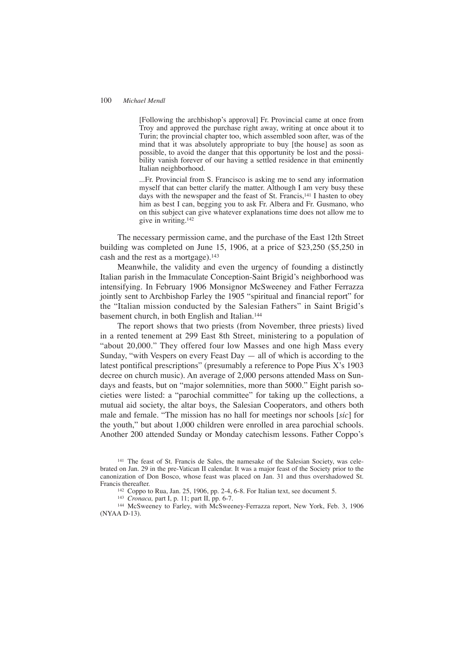[Following the archbishop's approval] Fr. Provincial came at once from Troy and approved the purchase right away, writing at once about it to Turin; the provincial chapter too, which assembled soon after, was of the mind that it was absolutely appropriate to buy [the house] as soon as possible, to avoid the danger that this opportunity be lost and the possibility vanish forever of our having a settled residence in that eminently Italian neighborhood.

...Fr. Provincial from S. Francisco is asking me to send any information myself that can better clarify the matter. Although I am very busy these days with the newspaper and the feast of St. Francis,<sup>141</sup> I hasten to obey him as best I can, begging you to ask Fr. Albera and Fr. Gusmano, who on this subject can give whatever explanations time does not allow me to give in writing.142

The necessary permission came, and the purchase of the East 12th Street building was completed on June 15, 1906, at a price of \$23,250 (\$5,250 in cash and the rest as a mortgage).<sup>143</sup>

Meanwhile, the validity and even the urgency of founding a distinctly Italian parish in the Immaculate Conception-Saint Brigid's neighborhood was intensifying. In February 1906 Monsignor McSweeney and Father Ferrazza jointly sent to Archbishop Farley the 1905 "spiritual and financial report" for the "Italian mission conducted by the Salesian Fathers" in Saint Brigid's basement church, in both English and Italian.144

The report shows that two priests (from November, three priests) lived in a rented tenement at 299 East 8th Street, ministering to a population of "about 20,000." They offered four low Masses and one high Mass every Sunday, "with Vespers on every Feast Day  $-$  all of which is according to the latest pontifical prescriptions" (presumably a reference to Pope Pius X's 1903 decree on church music). An average of 2,000 persons attended Mass on Sundays and feasts, but on "major solemnities, more than 5000." Eight parish societies were listed: a "parochial committee" for taking up the collections, a mutual aid society, the altar boys, the Salesian Cooperators, and others both male and female. "The mission has no hall for meetings nor schools [*sic*] for the youth," but about 1,000 children were enrolled in area parochial schools. Another 200 attended Sunday or Monday catechism lessons. Father Coppo's

<sup>141</sup> The feast of St. Francis de Sales, the namesake of the Salesian Society, was celebrated on Jan. 29 in the pre-Vatican II calendar. It was a major feast of the Society prior to the canonization of Don Bosco, whose feast was placed on Jan. 31 and thus overshadowed St. Francis thereafter.

<sup>142</sup> Coppo to Rua, Jan. 25, 1906, pp. 2-4, 6-8. For Italian text, see document 5.

<sup>143</sup> *Cronaca,* part I, p. 11; part II, pp. 6-7.

<sup>144</sup> McSweeney to Farley, with McSweeney-Ferrazza report, New York, Feb. 3, 1906 (NYAA D-13).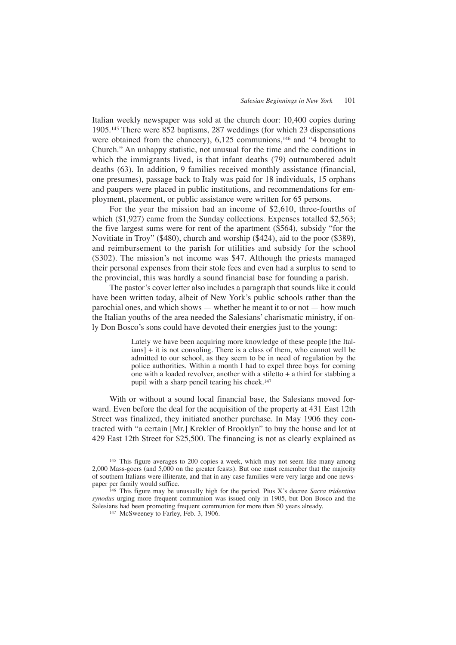Italian weekly newspaper was sold at the church door: 10,400 copies during 1905.145 There were 852 baptisms, 287 weddings (for which 23 dispensations were obtained from the chancery), 6,125 communions,<sup>146</sup> and "4 brought to Church." An unhappy statistic, not unusual for the time and the conditions in which the immigrants lived, is that infant deaths (79) outnumbered adult deaths (63). In addition, 9 families received monthly assistance (financial, one presumes), passage back to Italy was paid for 18 individuals, 15 orphans and paupers were placed in public institutions, and recommendations for employment, placement, or public assistance were written for 65 persons.

For the year the mission had an income of \$2,610, three-fourths of which (\$1,927) came from the Sunday collections. Expenses totalled \$2,563; the five largest sums were for rent of the apartment (\$564), subsidy "for the Novitiate in Troy" (\$480), church and worship (\$424), aid to the poor (\$389), and reimbursement to the parish for utilities and subsidy for the school (\$302). The mission's net income was \$47. Although the priests managed their personal expenses from their stole fees and even had a surplus to send to the provincial, this was hardly a sound financial base for founding a parish.

The pastor's cover letter also includes a paragraph that sounds like it could have been written today, albeit of New York's public schools rather than the parochial ones, and which shows — whether he meant it to or not — how much the Italian youths of the area needed the Salesians' charismatic ministry, if only Don Bosco's sons could have devoted their energies just to the young:

> Lately we have been acquiring more knowledge of these people [the Italians] + it is not consoling. There is a class of them, who cannot well be admitted to our school, as they seem to be in need of regulation by the police authorities. Within a month I had to expel three boys for coming one with a loaded revolver, another with a stiletto  $+$  a third for stabbing a pupil with a sharp pencil tearing his cheek.147

With or without a sound local financial base, the Salesians moved forward. Even before the deal for the acquisition of the property at 431 East 12th Street was finalized, they initiated another purchase. In May 1906 they contracted with "a certain [Mr.] Krekler of Brooklyn" to buy the house and lot at 429 East 12th Street for \$25,500. The financing is not as clearly explained as

<sup>146</sup> This figure may be unusually high for the period. Pius X's decree *Sacra tridentina synodus* urging more frequent communion was issued only in 1905, but Don Bosco and the Salesians had been promoting frequent communion for more than 50 years already.

<sup>147</sup> McSweeney to Farley, Feb. 3, 1906.

<sup>&</sup>lt;sup>145</sup> This figure averages to 200 copies a week, which may not seem like many among 2,000 Mass-goers (and 5,000 on the greater feasts). But one must remember that the majority of southern Italians were illiterate, and that in any case families were very large and one newspaper per family would suffice.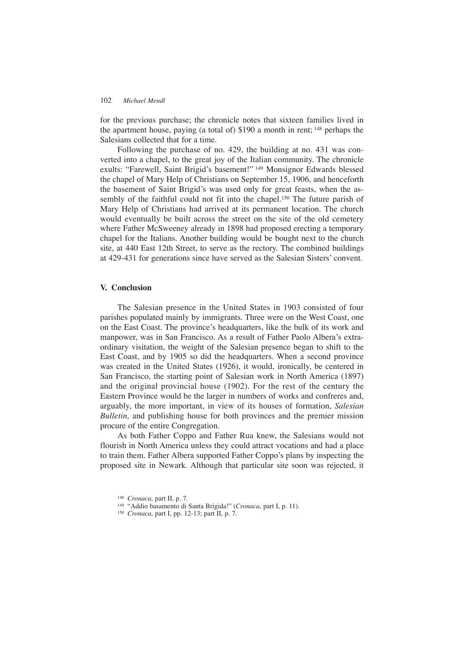for the previous purchase; the chronicle notes that sixteen families lived in the apartment house, paying (a total of) \$190 a month in rent; <sup>148</sup> perhaps the Salesians collected that for a time.

Following the purchase of no. 429, the building at no. 431 was converted into a chapel, to the great joy of the Italian community. The chronicle exults: "Farewell, Saint Brigid's basement!" <sup>149</sup> Monsignor Edwards blessed the chapel of Mary Help of Christians on September 15, 1906, and henceforth the basement of Saint Brigid's was used only for great feasts, when the assembly of the faithful could not fit into the chapel.<sup>150</sup> The future parish of Mary Help of Christians had arrived at its permanent location. The church would eventually be built across the street on the site of the old cemetery where Father McSweeney already in 1898 had proposed erecting a temporary chapel for the Italians. Another building would be bought next to the church site, at 440 East 12th Street, to serve as the rectory. The combined buildings at 429-431 for generations since have served as the Salesian Sisters' convent.

# **V. Conclusion**

The Salesian presence in the United States in 1903 consisted of four parishes populated mainly by immigrants. Three were on the West Coast, one on the East Coast. The province's headquarters, like the bulk of its work and manpower, was in San Francisco. As a result of Father Paolo Albera's extraordinary visitation, the weight of the Salesian presence began to shift to the East Coast, and by 1905 so did the headquarters. When a second province was created in the United States (1926), it would, ironically, be centered in San Francisco, the starting point of Salesian work in North America (1897) and the original provincial house (1902). For the rest of the century the Eastern Province would be the larger in numbers of works and confreres and, arguably, the more important, in view of its houses of formation, *Salesian Bulletin,* and publishing house for both provinces and the premier mission procure of the entire Congregation.

As both Father Coppo and Father Rua knew, the Salesians would not flourish in North America unless they could attract vocations and had a place to train them. Father Albera supported Father Coppo's plans by inspecting the proposed site in Newark. Although that particular site soon was rejected, it

<sup>148</sup> *Cronaca,* part II, p. 7.

<sup>149</sup> "Addio basamento di Santa Brigida!" (*Cronaca,* part I, p. 11).

<sup>150</sup> *Cronaca,* part I, pp. 12-13; part II, p. 7.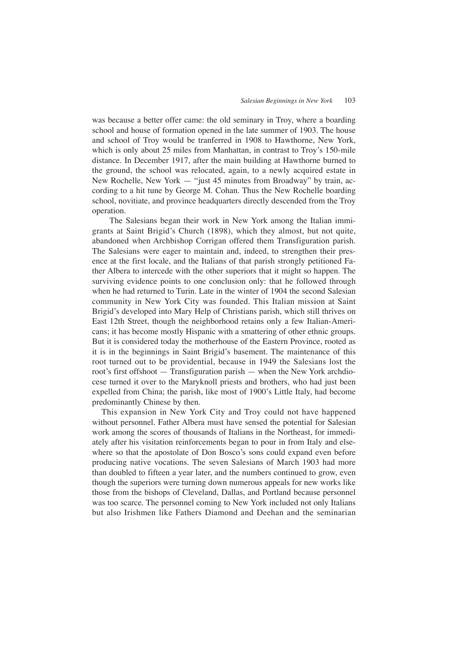was because a better offer came: the old seminary in Troy, where a boarding school and house of formation opened in the late summer of 1903. The house and school of Troy would be tranferred in 1908 to Hawthorne, New York, which is only about 25 miles from Manhattan, in contrast to Troy's 150-mile distance. In December 1917, after the main building at Hawthorne burned to the ground, the school was relocated, again, to a newly acquired estate in New Rochelle, New York — "just 45 minutes from Broadway" by train, according to a hit tune by George M. Cohan. Thus the New Rochelle boarding school, novitiate, and province headquarters directly descended from the Troy operation.

The Salesians began their work in New York among the Italian immigrants at Saint Brigid's Church (1898), which they almost, but not quite, abandoned when Archbishop Corrigan offered them Transfiguration parish. The Salesians were eager to maintain and, indeed, to strengthen their presence at the first locale, and the Italians of that parish strongly petitioned Father Albera to intercede with the other superiors that it might so happen. The surviving evidence points to one conclusion only: that he followed through when he had returned to Turin. Late in the winter of 1904 the second Salesian community in New York City was founded. This Italian mission at Saint Brigid's developed into Mary Help of Christians parish, which still thrives on East 12th Street, though the neighborhood retains only a few Italian-Americans; it has become mostly Hispanic with a smattering of other ethnic groups. But it is considered today the motherhouse of the Eastern Province, rooted as it is in the beginnings in Saint Brigid's basement. The maintenance of this root turned out to be providential, because in 1949 the Salesians lost the root's first offshoot — Transfiguration parish — when the New York archdiocese turned it over to the Maryknoll priests and brothers, who had just been expelled from China; the parish, like most of 1900's Little Italy, had become predominantly Chinese by then.

This expansion in New York City and Troy could not have happened without personnel. Father Albera must have sensed the potential for Salesian work among the scores of thousands of Italians in the Northeast, for immediately after his visitation reinforcements began to pour in from Italy and elsewhere so that the apostolate of Don Bosco's sons could expand even before producing native vocations. The seven Salesians of March 1903 had more than doubled to fifteen a year later, and the numbers continued to grow, even though the superiors were turning down numerous appeals for new works like those from the bishops of Cleveland, Dallas, and Portland because personnel was too scarce. The personnel coming to New York included not only Italians but also Irishmen like Fathers Diamond and Deehan and the seminarian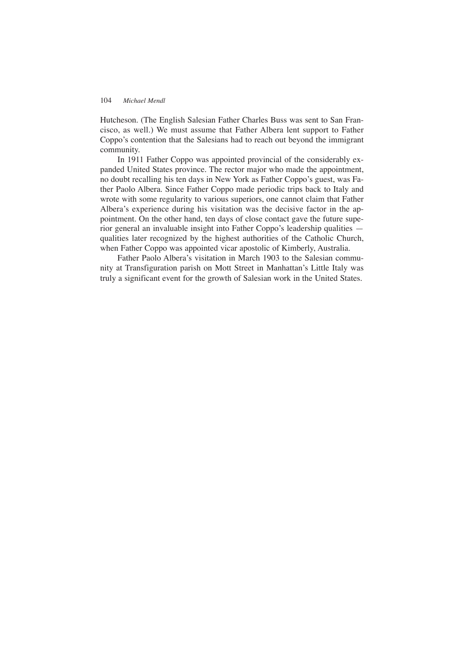Hutcheson. (The English Salesian Father Charles Buss was sent to San Francisco, as well.) We must assume that Father Albera lent support to Father Coppo's contention that the Salesians had to reach out beyond the immigrant community.

In 1911 Father Coppo was appointed provincial of the considerably expanded United States province. The rector major who made the appointment, no doubt recalling his ten days in New York as Father Coppo's guest, was Father Paolo Albera. Since Father Coppo made periodic trips back to Italy and wrote with some regularity to various superiors, one cannot claim that Father Albera's experience during his visitation was the decisive factor in the appointment. On the other hand, ten days of close contact gave the future superior general an invaluable insight into Father Coppo's leadership qualities qualities later recognized by the highest authorities of the Catholic Church, when Father Coppo was appointed vicar apostolic of Kimberly, Australia.

Father Paolo Albera's visitation in March 1903 to the Salesian community at Transfiguration parish on Mott Street in Manhattan's Little Italy was truly a significant event for the growth of Salesian work in the United States.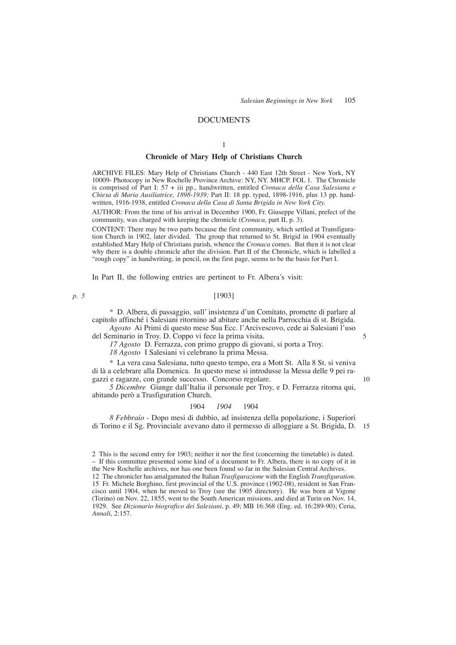## **DOCUMENTS**

#### 1

## **Chronicle of Mary Help of Christians Church**

ARCHIVE FILES: Mary Help of Christians Church - 440 East 12th Street - New York, NY 10009- Photocopy in New Rochelle Province Archive: NY, NY. MHCP. FOL 1. The Chronicle is comprised of Part I: 57 + iii pp., handwritten, entitled *Cronaca della Casa Salesiana e Chiesa di Maria Ausiliatrice, 1898-1939;* Part II: 18 pp. typed, 1898-1916, plus 13 pp. handwritten, 1916-1938, entitled *Cronaca della Casa di Santa Brigida in New York City.*

AUTHOR: From the time of his arrival in December 1900, Fr. Giuseppe Villani, prefect of the community, was charged with keeping the chronicle (*Cronaca*, part II, p. 3).

CONTENT: There may be two parts because the first community, which settled at Transfiguration Church in 1902, later divided. The group that returned to St. Brigid in 1904 eventually established Mary Help of Christians parish, whence the *Cronaca* comes. But then it is not clear why there is a double chronicle after the division. Part II of the Chronicle, which is labelled a "rough copy" in handwriting, in pencil, on the first page, seems to be the basis for Part I.

In Part II, the following entries are pertinent to Fr. Albera's visit:

#### *p. 5*

### [1903]

\* D. Albera, di passaggio, sull' insistenza d'un Comitato, promette di parlare al capitolo affinché i Salesiani ritornino ad abitare anche nella Parrocchia di st. Brigida.

*Agosto* Ai Primi di questo mese Sua Ecc. l'Arcivescovo, cede ai Salesiani l'uso del Seminario in Troy. D. Coppo vi fece la prima visita.

*17 Agosto* D. Ferrazza, con primo gruppo di giovani, si porta a Troy.

*18 Agosto* I Salesiani vi celebrano la prima Messa.

\* La vera casa Salesiana, tutto questo tempo, era a Mott St. Alla 8 St. si veniva di là a celebrare alla Domenica. In questo mese si introdusse la Messa delle 9 pei ragazzi e ragazze, con grande successo. Concorso regolare.

*5 Dicembre* Giunge dall'Italia il personale per Troy, e D. Ferrazza ritorna qui, abitando però a Trasfiguration Church.

#### 1904 *1904* 1904

*8 Febbraio* - Dopo mesi di dubbio, ad insistenza della popolazione, i Superiori di Torino e il Sg. Provinciale avevano dato il permesso di alloggiare a St. Brigida, D. 15

5

10

<sup>2</sup> This is the second entry for 1903; neither it nor the first (concerning the timetable) is dated. – If this committee presented some kind of a document to Fr. Albera, there is no copy of it in the New Rochelle archives, nor has one been found so far in the Salesian Central Archives. 12 The chronicler has amalgamated the Italian *Trasfigurazione* with the English *Transfiguration*. 15 Fr. Michele Borghino, first provincial of the U.S. province (1902-08), resident in San Francisco until 1904, when he moved to Troy (see the 1905 directory). He was born at Vigone (Torino) on Nov. 22, 1855, went to the South American missions, and died at Turin on Nov. 14, 1929. See *Dizionario biografico dei Salesiani*, p. 49; MB 16:368 (Eng. ed. 16:289-90); Ceria, *Annali*, 2:157.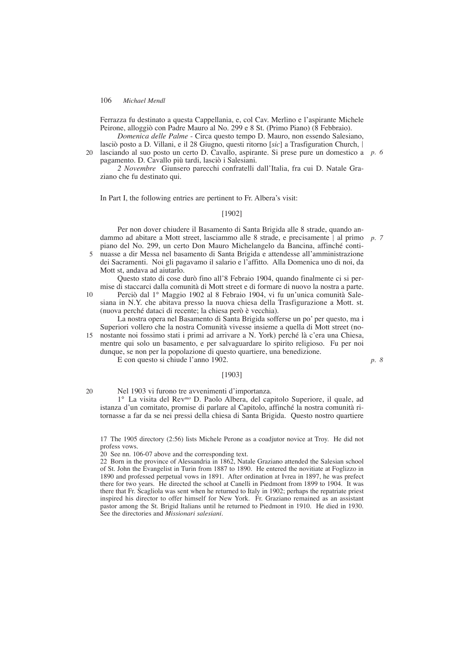Ferrazza fu destinato a questa Cappellania, e, col Cav. Merlino e l'aspirante Michele Peirone, alloggiò con Padre Mauro al No. 299 e 8 St. (Primo Piano) (8 Febbraio).

*Domenica delle Palme* - Circa questo tempo D. Mauro, non essendo Salesiano, lasciò posto a D. Villani, e il 28 Giugno, questi ritorno [*sic*] a Trasfiguration Church, |

20 lasciando al suo posto un certo D. Cavallo, aspirante. Si prese pure un domestico a p. 6 pagamento. D. Cavallo più tardi, lasciò i Salesiani.

*2 Novembre* Giunsero parecchi confratelli dall'Italia, fra cui D. Natale Graziano che fu destinato qui.

In Part I, the following entries are pertinent to Fr. Albera's visit:

## [1902]

Per non dover chiudere il Basamento di Santa Brigida alle 8 strade, quando andammo ad abitare a Mott street, lasciammo alle 8 strade, e precisamente | al primo *p. 7* piano del No. 299, un certo Don Mauro Michelangelo da Bancina, affinché conti-

nuasse a dir Messa nel basamento di Santa Brigida e attendesse all'amministrazione dei Sacramenti. Noi gli pagavamo il salario e l'affitto. Alla Domenica uno di noi, da Mott st, andava ad aiutarlo. 5

Questo stato di cose durò fino all'8 Febraio 1904, quando finalmente ci si permise di staccarci dalla comunità di Mott street e di formare di nuovo la nostra a parte.

Perciò dal 1° Maggio 1902 al 8 Febraio 1904, vi fu un'unica comunità Salesiana in N.Y. che abitava presso la nuova chiesa della Trasfigurazione a Mott. st. (nuova perché dataci di recente; la chiesa però è vecchia). 10

La nostra opera nel Basamento di Santa Brigida sofferse un po' per questo, ma i Superiori vollero che la nostra Comunità vivesse insieme a quella di Mott street (nonostante noi fossimo stati i primi ad arrivare a N. York) perché là c'era una Chiesa, mentre qui solo un basamento, e per salvaguardare lo spirito religioso. Fu per noi dunque, se non per la popolazione di questo quartiere, una benedizione. 15

E con questo si chiude l'anno 1902.

#### [1903]

*p. 8*

Nel 1903 vi furono tre avvenimenti d'importanza. 20

1° La visita del Rev*mo* D. Paolo Albera, del capitolo Superiore, il quale, ad istanza d'un comitato, promise di parlare al Capitolo, affinché la nostra comunità ritornasse a far da se nei pressi della chiesa di Santa Brigida. Questo nostro quartiere

17 The 1905 directory (2:56) lists Michele Perone as a coadjutor novice at Troy. He did not profess vows.

20 See nn. 106-07 above and the corresponding text.

22 Born in the province of Alessandria in 1862, Natale Graziano attended the Salesian school of St. John the Evangelist in Turin from 1887 to 1890. He entered the novitiate at Foglizzo in 1890 and professed perpetual vows in 1891. After ordination at Ivrea in 1897, he was prefect there for two years. He directed the school at Canelli in Piedmont from 1899 to 1904. It was there that Fr. Scagliola was sent when he returned to Italy in 1902; perhaps the repatriate priest inspired his director to offer himself for New York. Fr. Graziano remained as an assistant pastor among the St. Brigid Italians until he returned to Piedmont in 1910. He died in 1930. See the directories and *Missionari salesiani*.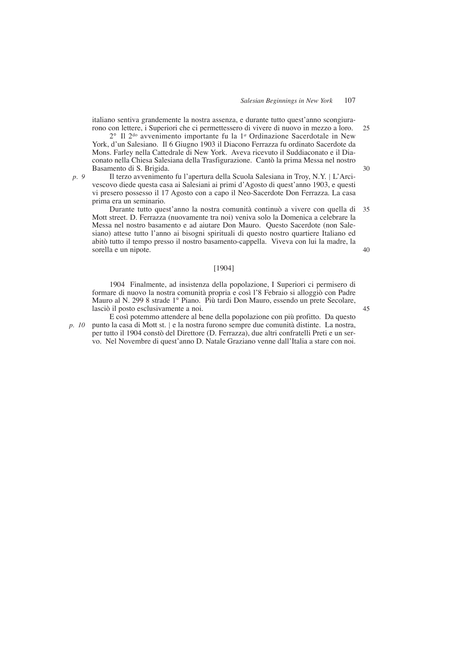italiano sentiva grandemente la nostra assenza, e durante tutto quest'anno scongiurarono con lettere, i Superiori che ci permettessero di vivere di nuovo in mezzo a loro.

2° Il 2do avvenimento importante fu la 1*<sup>a</sup>* Ordinazione Sacerdotale in New York, d'un Salesiano. Il 6 Giugno 1903 il Diacono Ferrazza fu ordinato Sacerdote da Mons. Farley nella Cattedrale di New York. Aveva ricevuto il Suddiaconato e il Diaconato nella Chiesa Salesiana della Trasfigurazione. Cantò la prima Messa nel nostro Basamento di S. Brigida.

*p. 9*

Il terzo avvenimento fu l'apertura della Scuola Salesiana in Troy, N.Y. | L'Arcivescovo diede questa casa ai Salesiani ai primi d'Agosto di quest'anno 1903, e questi vi presero possesso il 17 Agosto con a capo il Neo-Sacerdote Don Ferrazza. La casa prima era un seminario.

Durante tutto quest'anno la nostra comunità continuò a vivere con quella di Mott street. D. Ferrazza (nuovamente tra noi) veniva solo la Domenica a celebrare la Messa nel nostro basamento e ad aiutare Don Mauro. Questo Sacerdote (non Salesiano) attese tutto l'anno ai bisogni spirituali di questo nostro quartiere Italiano ed abitò tutto il tempo presso il nostro basamento-cappella. Viveva con lui la madre, la sorella e un nipote. 35 40

## [1904]

1904 Finalmente, ad insistenza della popolazione, I Superiori ci permisero di formare di nuovo la nostra comunità propria e così l'8 Febraio si alloggiò con Padre Mauro al N. 299 8 strade 1° Piano. Più tardi Don Mauro, essendo un prete Secolare, lasciò il posto esclusivamente a noi.

E così potemmo attendere al bene della popolazione con più profitto. Da questo punto la casa di Mott st. | e la nostra furono sempre due comunità distinte. La nostra, per tutto il 1904 constò del Direttore (D. Ferrazza), due altri confratelli Preti e un servo. Nel Novembre di quest'anno D. Natale Graziano venne dall'Italia a stare con noi. *p. 10*

30

25

45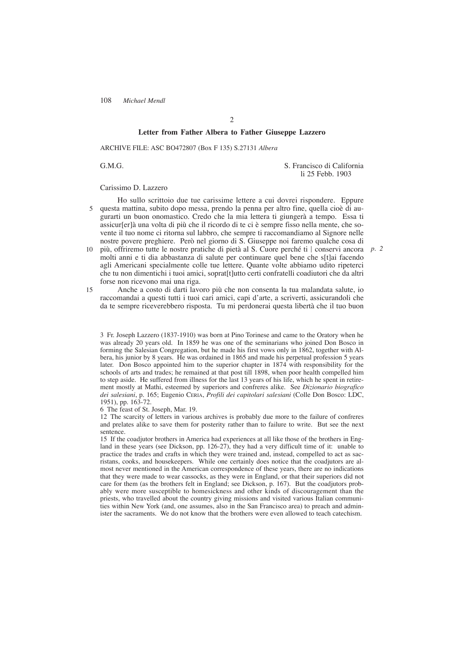### **Letter from Father Albera to Father Giuseppe Lazzero**

ARCHIVE FILE: ASC BO472807 (Box F 135) S.27131 *Albera*

G.M.G. S. Francisco di California li 25 Febb. 1903

#### Carissimo D. Lazzero

Ho sullo scrittoio due tue carissime lettere a cui dovrei rispondere. Eppure questa mattina, subito dopo messa, prendo la penna per altro fine, quella cioè di augurarti un buon onomastico. Credo che la mia lettera ti giungerà a tempo. Essa ti assicur[er]à una volta di più che il ricordo di te ci è sempre fisso nella mente, che sovente il tuo nome ci ritorna sul labbro, che sempre ti raccomandiamo al Signore nelle nostre povere preghiere. Però nel giorno di S. Giuseppe noi faremo qualche cosa di 5

- più, offriremo tutte le nostre pratiche di pietà al S. Cuore perché ti | conservi ancora *p. 2*molti anni e ti dia abbastanza di salute per continuare quel bene che s[t]ai facendo agli Americani specialmente colle tue lettere. Quante volte abbiamo udito ripeterci che tu non dimentichi i tuoi amici, soprat[t]utto certi confratelli coadiutori che da altri forse non ricevono mai una riga. 10
- Anche a costo di darti lavoro più che non consenta la tua malandata salute, io raccomandai a questi tutti i tuoi cari amici, capi d'arte, a scriverti, assicurandoli che da te sempre riceverebbero risposta. Tu mi perdonerai questa libertà che il tuo buon 15

3 Fr. Joseph Lazzero (1837-1910) was born at Pino Torinese and came to the Oratory when he was already 20 years old. In 1859 he was one of the seminarians who joined Don Bosco in forming the Salesian Congregation, but he made his first vows only in 1862, together with Albera, his junior by 8 years. He was ordained in 1865 and made his perpetual profession 5 years later. Don Bosco appointed him to the superior chapter in 1874 with responsibility for the schools of arts and trades; he remained at that post till 1898, when poor health compelled him to step aside. He suffered from illness for the last 13 years of his life, which he spent in retirement mostly at Mathi, esteemed by superiors and confreres alike. See *Dizionario biografico dei salesiani*, p. 165; Eugenio CERIA, *Profili dei capitolari salesiani* (Colle Don Bosco: LDC, 1951), pp. 163-72.

6 The feast of St. Joseph, Mar. 19.

12 The scarcity of letters in various archives is probably due more to the failure of confreres and prelates alike to save them for posterity rather than to failure to write. But see the next sentence.

15 If the coadjutor brothers in America had experiences at all like those of the brothers in England in these years (see Dickson, pp. 126-27), they had a very difficult time of it: unable to practice the trades and crafts in which they were trained and, instead, compelled to act as sacristans, cooks, and housekeepers. While one certainly does notice that the coadjutors are almost never mentioned in the American correspondence of these years, there are no indications that they were made to wear cassocks, as they were in England, or that their superiors did not care for them (as the brothers felt in England; see Dickson, p. 167). But the coadjutors probably were more susceptible to homesickness and other kinds of discouragement than the priests, who travelled about the country giving missions and visited various Italian communities within New York (and, one assumes, also in the San Francisco area) to preach and administer the sacraments. We do not know that the brothers were even allowed to teach catechism.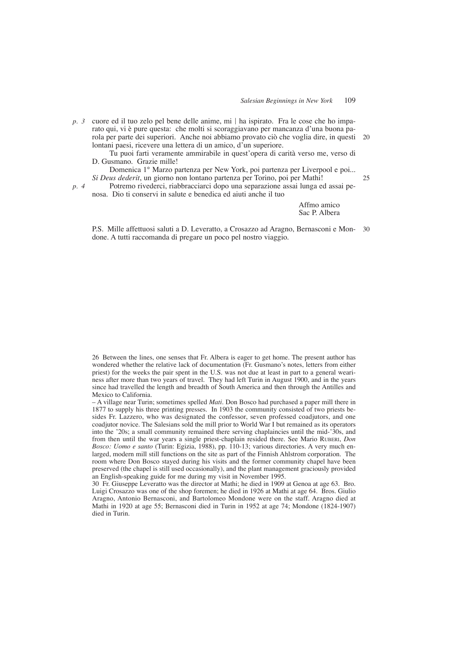cuore ed il tuo zelo pel bene delle anime, mi | ha ispirato. Fra le cose che ho imparato qui, vi è pure questa: che molti si scoraggiavano per mancanza d'una buona parola per parte dei superiori. Anche noi abbiamo provato ciò che voglia dire, in questi lontani paesi, ricevere una lettera di un amico, d'un superiore. *p. 3* 20

Tu puoi farti veramente ammirabile in quest'opera di carità verso me, verso di D. Gusmano. Grazie mille!

Domenica 1° Marzo partenza per New York, poi partenza per Liverpool e poi... *Si Deus dederit*, un giorno non lontano partenza per Torino, poi per Mathi!

Potremo rivederci, riabbracciarci dopo una separazione assai lunga ed assai penosa. Dio ti conservi in salute e benedica ed aiuti anche il tuo

> Affmo amico Sac P. Albera

25

P.S. Mille affettuosi saluti a D. Leveratto, a Crosazzo ad Aragno, Bernasconi e Mondone. A tutti raccomanda di pregare un poco pel nostro viaggio. 30

26 Between the lines, one senses that Fr. Albera is eager to get home. The present author has wondered whether the relative lack of documentation (Fr. Gusmano's notes, letters from either priest) for the weeks the pair spent in the U.S. was not due at least in part to a general weariness after more than two years of travel. They had left Turin in August 1900, and in the years since had travelled the length and breadth of South America and then through the Antilles and Mexico to California.

– A village near Turin; sometimes spelled *Mati*. Don Bosco had purchased a paper mill there in 1877 to supply his three printing presses. In 1903 the community consisted of two priests besides Fr. Lazzero, who was designated the confessor, seven professed coadjutors, and one coadjutor novice. The Salesians sold the mill prior to World War I but remained as its operators into the '20s; a small community remained there serving chaplaincies until the mid-'30s, and from then until the war years a single priest-chaplain resided there. See Mario RUBERI, *Don Bosco: Uomo e santo* (Turin: Egizia, 1988), pp. 110-13; various directories. A very much enlarged, modern mill still functions on the site as part of the Finnish Ahlstrom corporation. The room where Don Bosco stayed during his visits and the former community chapel have been preserved (the chapel is still used occasionally), and the plant management graciously provided an English-speaking guide for me during my visit in November 1995.

30 Fr. Giuseppe Leveratto was the director at Mathi; he died in 1909 at Genoa at age 63. Bro. Luigi Crosazzo was one of the shop foremen; he died in 1926 at Mathi at age 64. Bros. Giulio Aragno, Antonio Bernasconi, and Bartolomeo Mondone were on the staff. Aragno died at Mathi in 1920 at age 55; Bernasconi died in Turin in 1952 at age 74; Mondone (1824-1907) died in Turin.

*p. 4*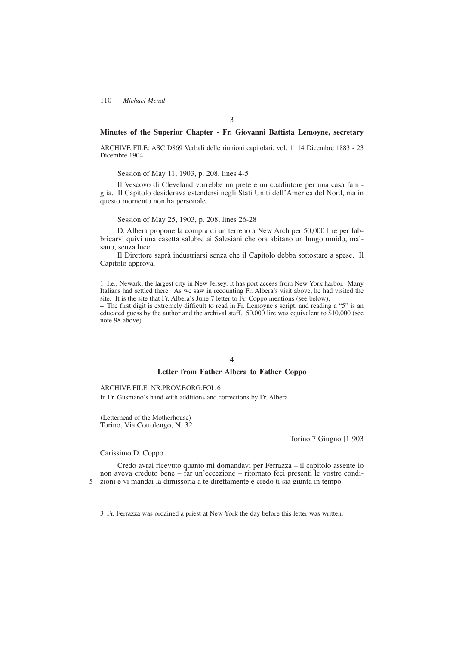## **Minutes of the Superior Chapter - Fr. Giovanni Battista Lemoyne, secretary**

ARCHIVE FILE: ASC D869 Verbali delle riunioni capitolari, vol. 1 14 Dicembre 1883 - 23 Dicembre 1904

Session of May 11, 1903, p. 208, lines 4-5

Il Vescovo di Cleveland vorrebbe un prete e un coadiutore per una casa famiglia. Il Capitolo desiderava estendersi negli Stati Uniti dell'America del Nord, ma in questo momento non ha personale.

Session of May 25, 1903, p. 208, lines 26-28

D. Albera propone la compra di un terreno a New Arch per 50,000 lire per fabbricarvi quivi una casetta salubre ai Salesiani che ora abitano un lungo umido, malsano, senza luce.

Il Direttore saprà industriarsi senza che il Capitolo debba sottostare a spese. Il Capitolo approva.

1 I.e., Newark, the largest city in New Jersey. It has port access from New York harbor. Many Italians had settled there. As we saw in recounting Fr. Albera's visit above, he had visited the site. It is the site that Fr. Albera's June 7 letter to Fr. Coppo mentions (see below).

– The first digit is extremely difficult to read in Fr. Lemoyne's script, and reading a "5" is an educated guess by the author and the archival staff. 50,000 lire was equivalent to \$10,000 (see note 98 above).

### 4

## **Letter from Father Albera to Father Coppo**

### ARCHIVE FILE: NR.PROV.BORG.FOL 6

In Fr. Gusmano's hand with additions and corrections by Fr. Albera

(Letterhead of the Motherhouse) Torino, Via Cottolengo, N. 32

Torino 7 Giugno [1]903

### Carissimo D. Coppo

Credo avrai ricevuto quanto mi domandavi per Ferrazza – il capitolo assente io non aveva creduto bene – far un'eccezione – ritornato feci presenti le vostre condizioni e vi mandai la dimissoria a te direttamente e credo ti sia giunta in tempo. 5

3 Fr. Ferrazza was ordained a priest at New York the day before this letter was written.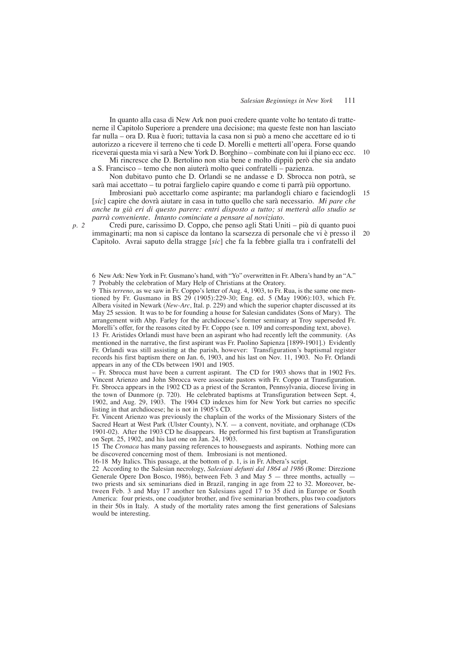10

In quanto alla casa di New Ark non puoi credere quante volte ho tentato di trattenerne il Capitolo Superiore a prendere una decisione; ma queste feste non han lasciato far nulla – ora D. Rua è fuori; tuttavia la casa non si può a meno che accettare ed io ti autorizzo a ricevere il terreno che ti cede D. Morelli e metterti all'opera. Forse quando riceverai questa mia vi sarà a New York D. Borghino – combinate con lui il piano ecc ecc.

Mi rincresce che D. Bertolino non stia bene e molto dippiù però che sia andato a S. Francisco – temo che non aiuterà molto quei confratelli – pazienza.

Non dubitavo punto che D. Orlandi se ne andasse e D. Sbrocca non potrà, se sarà mai accettato – tu potrai farglielo capire quando e come ti parrà più opportuno.

Imbrosiani può accettarlo come aspirante; ma parlandogli chiaro e faciendogli [*sic*] capire che dovrà aiutare in casa in tutto quello che sarà necessario. *Mi pare che anche tu già eri di questo parere: entri disposto a tutto; si metterà allo studio se parrà conveniente. Intanto cominciate a pensare al noviziato.* 15

Credi pure, carissimo D. Coppo, che penso agli Stati Uniti – più di quanto puoi immaginarti; ma non si capisce da lontano la scarsezza di personale che vi è presso il Capitolo. Avrai saputo della stragge [*sic*] che fa la febbre gialla tra i confratelli del 20

6 New Ark: New York in Fr. Gusmano's hand, with "Yo" overwritten in Fr. Albera's hand by an "A." 7 Probably the celebration of Mary Help of Christians at the Oratory.

9 This *terreno*, as we saw in Fr. Coppo's letter of Aug. 4, 1903, to Fr. Rua, is the same one mentioned by Fr. Gusmano in BS  $29(1905):229-30$ ; Eng. ed. 5 (May 1906):103, which Fr. Albera visited in Newark (*New-Arc*, Ital. p. 229) and which the superior chapter discussed at its May 25 session. It was to be for founding a house for Salesian candidates (Sons of Mary). The arrangement with Abp. Farley for the archdiocese's former seminary at Troy superseded Fr. Morelli's offer, for the reasons cited by Fr. Coppo (see n. 109 and corresponding text, above).

13 Fr. Aristides Orlandi must have been an aspirant who had recently left the community. (As mentioned in the narrative, the first aspirant was Fr. Paolino Sapienza [1899-1901].) Evidently Fr. Orlandi was still assisting at the parish, however: Transfiguration's baptismal register records his first baptism there on Jan. 6, 1903, and his last on Nov. 11, 1903. No Fr. Orlandi appears in any of the CDs between 1901 and 1905.

– Fr. Sbrocca must have been a current aspirant. The CD for 1903 shows that in 1902 Frs. Vincent Arienzo and John Sbrocca were associate pastors with Fr. Coppo at Transfiguration. Fr. Sbrocca appears in the 1902 CD as a priest of the Scranton, Pennsylvania, diocese living in the town of Dunmore (p. 720). He celebrated baptisms at Transfiguration between Sept. 4, 1902, and Aug. 29, 1903. The 1904 CD indexes him for New York but carries no specific listing in that archdiocese; he is not in 1905's CD.

Fr. Vincent Arienzo was previously the chaplain of the works of the Missionary Sisters of the Sacred Heart at West Park (Ulster County),  $N.Y. - a$  convent, novitiate, and orphanage (CDs 1901-02). After the 1903 CD he disappears. He performed his first baptism at Transfiguration on Sept. 25, 1902, and his last one on Jan. 24, 1903.

15 The *Cronaca* has many passing references to houseguests and aspirants. Nothing more can be discovered concerning most of them. Imbrosiani is not mentioned.

16-18 My Italics. This passage, at the bottom of p. 1, is in Fr. Albera's script.

22 According to the Salesian necrology, *Salesiani defunti dal 1864 al 1986* (Rome: Direzione Generale Opere Don Bosco, 1986), between Feb. 3 and May 5 — three months, actually two priests and six seminarians died in Brazil, ranging in age from 22 to 32. Moreover, between Feb. 3 and May 17 another ten Salesians aged 17 to 35 died in Europe or South America: four priests, one coadjutor brother, and five seminarian brothers, plus two coadjutors in their 50s in Italy. A study of the mortality rates among the first generations of Salesians would be interesting.

*p. 2*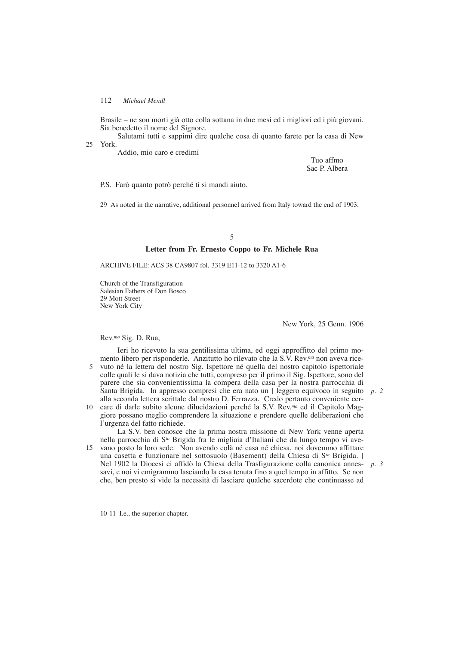Brasile – ne son morti già otto colla sottana in due mesi ed i migliori ed i più giovani. Sia benedetto il nome del Signore.

Salutami tutti e sappimi dire qualche cosa di quanto farete per la casa di New York. 25

Addio, mio caro e credimi

Tuo affmo Sac P. Albera

P.S. Farò quanto potrò perché ti si mandi aiuto.

29 As noted in the narrative, additional personnel arrived from Italy toward the end of 1903.

### 5

## **Letter from Fr. Ernesto Coppo to Fr. Michele Rua**

ARCHIVE FILE: ACS 38 CA9807 fol. 3319 E11-12 to 3320 A1-6

Church of the Transfiguration Salesian Fathers of Don Bosco 29 Mott Street New York City

New York, 25 Genn. 1906

Rev.*mo* Sig. D. Rua,

Ieri ho ricevuto la sua gentilissima ultima, ed oggi approffitto del primo momento libero per risponderle. Anzitutto ho rilevato che la S.V. Rev.*ma* non aveva rice-

- 5 vuto né la lettera del nostro Sig. Ispettore né quella del nostro capitolo ispettoriale colle quali le si dava notizia che tutti, compreso per il primo il Sig. Ispettore, sono del parere che sia convenientissima la compera della casa per la nostra parrocchia di Santa Brigida. In appresso compresi che era nato un | leggero equivoco in seguito *p. 2* alla seconda lettera scrittale dal nostro D. Ferrazza. Credo pertanto conveniente cer-
- care di darle subito alcune dilucidazioni perché la S.V. Rev.*ma* ed il Capitolo Mag-10 giore possano meglio comprendere la situazione e prendere quelle deliberazioni che l'urgenza del fatto richiede.

La S.V. ben conosce che la prima nostra missione di New York venne aperta nella parrocchia di S*ta* Brigida fra le migliaia d'Italiani che da lungo tempo vi avevano posto la loro sede. Non avendo colà né casa né chiesa, noi dovemmo affittare 15 una casetta e funzionare nel sottosuolo (Basement) della Chiesa di S*ta* Brigida. |

Nel 1902 la Diocesi ci affidò la Chiesa della Trasfigurazione colla canonica annes-*p. 3*savi, e noi vi emigrammo lasciando la casa tenuta fino a quel tempo in affitto. Se non che, ben presto si vide la necessità di lasciare qualche sacerdote che continuasse ad

10-11 I.e., the superior chapter.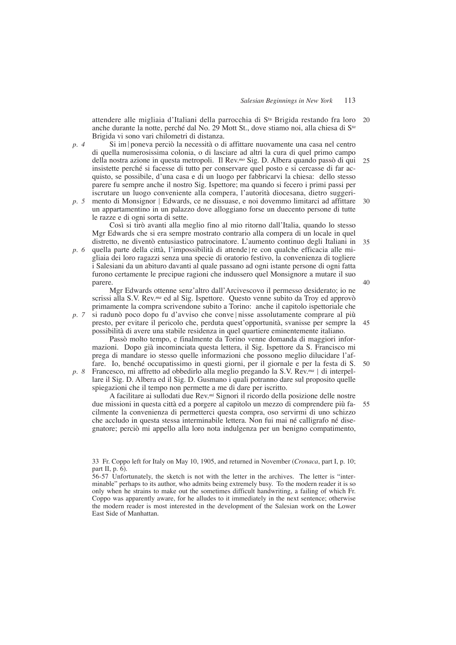attendere alle migliaia d'Italiani della parrocchia di Sta Brigida restando fra loro anche durante la notte, perché dal No. 29 Mott St., dove stiamo noi, alla chiesa di S*ta* Brigida vi sono vari chilometri di distanza. 20

*p. 4*

Si im|poneva perciò la necessità o di affittare nuovamente una casa nel centro di quella numerosissima colonia, o di lasciare ad altri la cura di quel primo campo della nostra azione in questa metropoli. Il Rev.*mo* Sig. D. Albera quando passò di qui insistette perché si facesse di tutto per conservare quel posto e si cercasse di far acquisto, se possibile, d'una casa e di un luogo per fabbricarvi la chiesa: dello stesso parere fu sempre anche il nostro Sig. Ispettore; ma quando si fecero i primi passi per iscrutare un luogo conveniente alla compera, l'autorità diocesana, dietro suggeri-25

mento di Monsignor | Edwards, ce ne dissuase, e noi dovemmo limitarci ad affittare un appartamentino in un palazzo dove alloggiano forse un duecento persone di tutte le razze e di ogni sorta di sette. *p. 5* 30

Così si tirò avanti alla meglio fino al mio ritorno dall'Italia, quando lo stesso Mgr Edwards che si era sempre mostrato contrario alla compera di un locale in quel distretto, ne diventò entusiastico patrocinatore. L'aumento continuo degli Italiani in

quella parte della città, l'impossibilità di attende|re con qualche efficacia alle migliaia dei loro ragazzi senza una specie di oratorio festivo, la convenienza di togliere i Salesiani da un abituro davanti al quale passano ad ogni istante persone di ogni fatta furono certamente le precipue ragioni che indussero quel Monsignore a mutare il suo parere. *p. 6*

Mgr Edwards ottenne senz'altro dall'Arcivescovo il permesso desiderato; io ne scrissi alla S.V. Rev.*ma* ed al Sig. Ispettore. Questo venne subito da Troy ed approvò primamente la compra scrivendone subito a Torino: anche il capitolo ispettoriale che si radunò poco dopo fu d'avviso che conve | nisse assolutamente comprare al più

presto, per evitare il pericolo che, perduta quest'opportunità, svanisse per sempre la possibilità di avere una stabile residenza in quel quartiere eminentemente italiano. *p. 7*

Passò molto tempo, e finalmente da Torino venne domanda di maggiori informazioni. Dopo già incominciata questa lettera, il Sig. Ispettore da S. Francisco mi prega di mandare io stesso quelle informazioni che possono meglio dilucidare l'affare. Io, benché occupatissimo in questi giorni, per il giornale e per la festa di S.

Francesco, mi affretto ad obbedirlo alla meglio pregando la S.V. Rev.*ma* | di interpel-*p. 8* lare il Sig. D. Albera ed il Sig. D. Gusmano i quali potranno dare sul proposito quelle spiegazioni che il tempo non permette a me di dare per iscritto.

A facilitare ai sullodati due Rev.*mi* Signori il ricordo della posizione delle nostre due missioni in questa città ed a porgere al capitolo un mezzo di comprendere più facilmente la convenienza di permetterci questa compra, oso servirmi di uno schizzo che accludo in questa stessa interminabile lettera. Non fui mai né calligrafo né disegnatore; perciò mi appello alla loro nota indulgenza per un benigno compatimento, 55

33 Fr. Coppo left for Italy on May 10, 1905, and returned in November (*Cronaca*, part I, p. 10; part II, p. 6).

56-57 Unfortunately, the sketch is not with the letter in the archives. The letter is "interminable" perhaps to its author, who admits being extremely busy. To the modern reader it is so only when he strains to make out the sometimes difficult handwriting, a failing of which Fr. Coppo was apparently aware, for he alludes to it immediately in the next sentence; otherwise the modern reader is most interested in the development of the Salesian work on the Lower East Side of Manhattan.

40

45

50

35